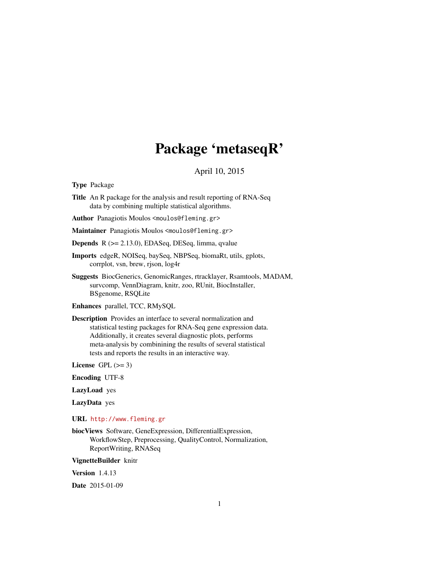# Package 'metaseqR'

April 10, 2015

<span id="page-0-0"></span>Type Package

Title An R package for the analysis and result reporting of RNA-Seq data by combining multiple statistical algorithms.

Author Panagiotis Moulos <moulos@fleming.gr>

Maintainer Panagiotis Moulos <moulos@fleming.gr>

Depends R (>= 2.13.0), EDASeq, DESeq, limma, qvalue

- Imports edgeR, NOISeq, baySeq, NBPSeq, biomaRt, utils, gplots, corrplot, vsn, brew, rjson, log4r
- Suggests BiocGenerics, GenomicRanges, rtracklayer, Rsamtools, MADAM, survcomp, VennDiagram, knitr, zoo, RUnit, BiocInstaller, BSgenome, RSQLite

Enhances parallel, TCC, RMySQL

Description Provides an interface to several normalization and statistical testing packages for RNA-Seq gene expression data. Additionally, it creates several diagnostic plots, performs meta-analysis by combinining the results of several statistical tests and reports the results in an interactive way.

License GPL  $(>= 3)$ 

Encoding UTF-8

LazyLoad yes

LazyData yes

URL <http://www.fleming.gr>

biocViews Software, GeneExpression, DifferentialExpression, WorkflowStep, Preprocessing, QualityControl, Normalization, ReportWriting, RNASeq

VignetteBuilder knitr

Version 1.4.13

Date 2015-01-09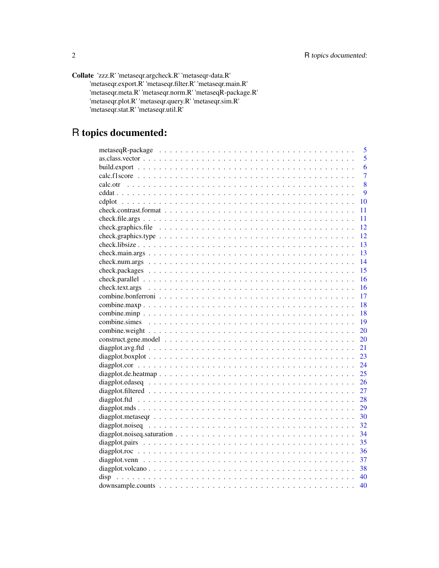| Collate 'zzz.R' 'metaseqr.argcheck.R' 'metaseqr-data.R'   |
|-----------------------------------------------------------|
|                                                           |
| 'metaseqr.export.R' 'metaseqr.filter.R' 'metaseqr.main.R' |
| 'metaseqr.meta.R' 'metaseqr.norm.R' 'metaseqR-package.R'  |
| 'metaseqr.plot.R' 'metaseqr.query.R' 'metaseqr.sim.R'     |
| 'metaseqr.stat.R' 'metaseqr.util.R'                       |

# R topics documented:

|                                                                                                                    | 5              |
|--------------------------------------------------------------------------------------------------------------------|----------------|
| $as.class. vector \dots \dots \dots \dots \dots \dots \dots \dots \dots \dots \dots \dots \dots \dots \dots \dots$ | 5              |
|                                                                                                                    | 6              |
|                                                                                                                    | $\overline{7}$ |
|                                                                                                                    | 8              |
|                                                                                                                    | 9              |
|                                                                                                                    | 10             |
|                                                                                                                    | 11             |
|                                                                                                                    | 11             |
|                                                                                                                    | 12             |
|                                                                                                                    | 12             |
|                                                                                                                    | 13             |
|                                                                                                                    | 13             |
|                                                                                                                    | 14             |
|                                                                                                                    | 15             |
|                                                                                                                    | 16             |
|                                                                                                                    | 16             |
|                                                                                                                    | 17             |
|                                                                                                                    | 18             |
|                                                                                                                    | 18             |
|                                                                                                                    | 19             |
|                                                                                                                    | 20             |
|                                                                                                                    | 20             |
|                                                                                                                    | 21             |
|                                                                                                                    | 23             |
|                                                                                                                    | 24             |
|                                                                                                                    | 25             |
|                                                                                                                    | 26             |
|                                                                                                                    | 27             |
|                                                                                                                    | 28             |
|                                                                                                                    | 29             |
|                                                                                                                    | 30             |
|                                                                                                                    | 32             |
|                                                                                                                    | 34             |
|                                                                                                                    | 35             |
|                                                                                                                    | 36             |
|                                                                                                                    |                |
|                                                                                                                    | 38             |
| disp                                                                                                               | 40             |
|                                                                                                                    | 40             |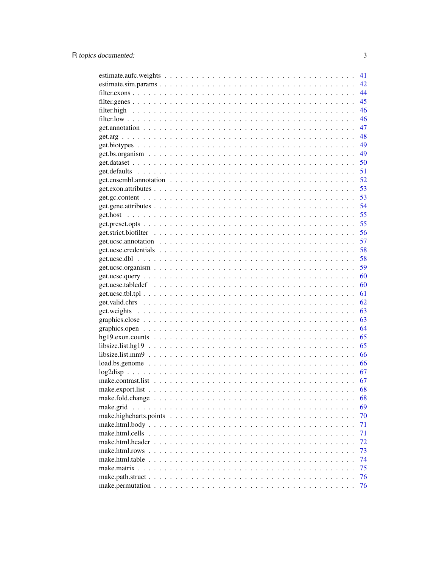|                                                                                                        | 41 |
|--------------------------------------------------------------------------------------------------------|----|
|                                                                                                        | 42 |
|                                                                                                        | 44 |
|                                                                                                        | 45 |
|                                                                                                        | 46 |
|                                                                                                        | 46 |
|                                                                                                        | 47 |
|                                                                                                        | 48 |
|                                                                                                        | 49 |
|                                                                                                        | 49 |
|                                                                                                        | 50 |
|                                                                                                        | 51 |
|                                                                                                        | 52 |
|                                                                                                        | 53 |
|                                                                                                        | 53 |
|                                                                                                        | 54 |
|                                                                                                        | 55 |
|                                                                                                        | 55 |
|                                                                                                        | 56 |
|                                                                                                        | 57 |
|                                                                                                        | 58 |
|                                                                                                        | 58 |
|                                                                                                        | 59 |
|                                                                                                        | 60 |
|                                                                                                        | 60 |
|                                                                                                        | 61 |
|                                                                                                        | 62 |
|                                                                                                        | 63 |
|                                                                                                        | 63 |
|                                                                                                        | 64 |
|                                                                                                        | 65 |
|                                                                                                        | 65 |
| $libsize.list.mm9$                                                                                     | 66 |
| $load, bs, genome \ldots \ldots \ldots \ldots \ldots \ldots \ldots \ldots \ldots \ldots \ldots \ldots$ | 66 |
|                                                                                                        | 67 |
|                                                                                                        | 67 |
|                                                                                                        | 68 |
|                                                                                                        | 68 |
| make.grid                                                                                              | 69 |
|                                                                                                        | 70 |
|                                                                                                        | 71 |
|                                                                                                        | 71 |
| make.html.header                                                                                       | 72 |
|                                                                                                        | 73 |
|                                                                                                        | 74 |
|                                                                                                        | 75 |
|                                                                                                        | 76 |
|                                                                                                        | 76 |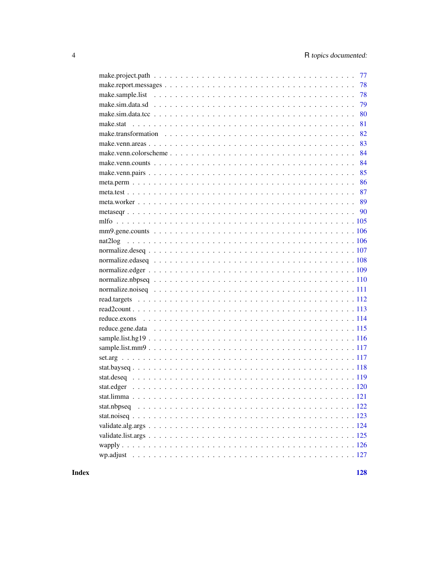| 77 |
|----|
| 78 |
| 78 |
| 79 |
| 80 |
| 81 |
| 82 |
| 83 |
| 84 |
| 84 |
| 85 |
| 86 |
|    |
|    |
|    |
|    |
|    |
|    |
|    |
|    |
|    |
|    |
|    |
|    |
|    |
|    |
|    |
|    |
|    |
|    |
|    |
|    |
|    |
|    |
|    |
|    |
|    |
|    |
|    |
|    |

**Index**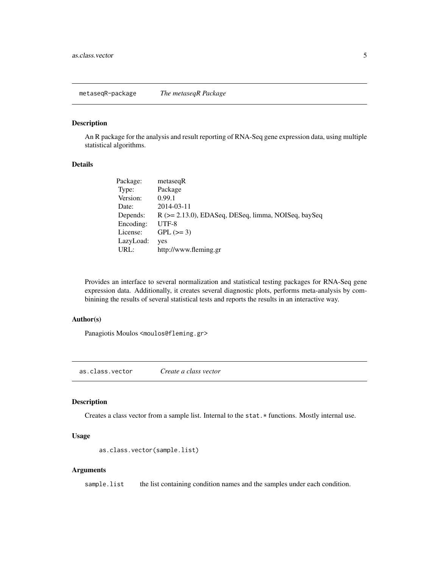<span id="page-4-0"></span>metaseqR-package *The metaseqR Package*

#### Description

An R package for the analysis and result reporting of RNA-Seq gene expression data, using multiple statistical algorithms.

#### Details

| Package:  | metaseqR                                            |
|-----------|-----------------------------------------------------|
| Type:     | Package                                             |
| Version:  | 0.99.1                                              |
| Date:     | 2014-03-11                                          |
| Depends:  | R (>= 2.13.0), EDASeq, DESeq, limma, NOISeq, baySeq |
| Encoding: | $UTF-8$                                             |
| License:  | $GPL (=3)$                                          |
| LazyLoad: | yes                                                 |
| URL:      | http://www.fleming.gr                               |

Provides an interface to several normalization and statistical testing packages for RNA-Seq gene expression data. Additionally, it creates several diagnostic plots, performs meta-analysis by combinining the results of several statistical tests and reports the results in an interactive way.

#### Author(s)

Panagiotis Moulos <moulos@fleming.gr>

as.class.vector *Create a class vector*

# Description

Creates a class vector from a sample list. Internal to the stat. \* functions. Mostly internal use.

#### Usage

```
as.class.vector(sample.list)
```
# Arguments

sample.list the list containing condition names and the samples under each condition.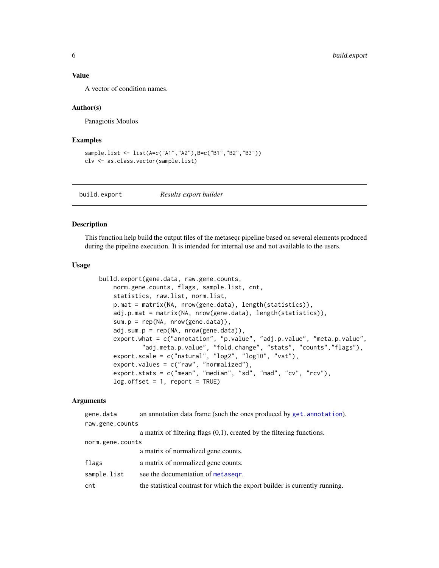#### <span id="page-5-0"></span>Value

A vector of condition names.

#### Author(s)

Panagiotis Moulos

#### Examples

```
sample.list <- list(A=c("A1","A2"),B=c("B1","B2","B3"))
clv <- as.class.vector(sample.list)
```
build.export *Results export builder*

# Description

This function help build the output files of the metaseqr pipeline based on several elements produced during the pipeline execution. It is intended for internal use and not available to the users.

# Usage

```
build.export(gene.data, raw.gene.counts,
   norm.gene.counts, flags, sample.list, cnt,
   statistics, raw.list, norm.list,
   p.mat = matrix(NA, nrow(gene.data), length(statistics)),
   adj.p.mat = matrix(NA, nrow(gene.data), length(statistics)),
    sum.p = rep(NA, nrow(gene.data)),adj.sum.p = rep(NA, nrow(gene.data)),
   export.what = c("annotation", "p.value", "adj.p.value", "meta.p.value",
            "adj.meta.p.value", "fold.change", "stats", "counts","flags"),
    export.scale = c("natural", "log2", "log10", "vst"),
   export.values = c("raw", "normalized"),
   export.stats = c("mean", "median", "sd", "mad", "cv", "rcv"),
   log.offset = 1, report = TRUE)
```
#### Arguments

| gene.data        | an annotation data frame (such the ones produced by get. annotation).       |  |
|------------------|-----------------------------------------------------------------------------|--|
| raw.gene.counts  |                                                                             |  |
|                  | a matrix of filtering flags $(0,1)$ , created by the filtering functions.   |  |
| norm.gene.counts |                                                                             |  |
|                  | a matrix of normalized gene counts.                                         |  |
| flags            | a matrix of normalized gene counts.                                         |  |
| sample.list      | see the documentation of metasegr.                                          |  |
| cnt              | the statistical contrast for which the export builder is currently running. |  |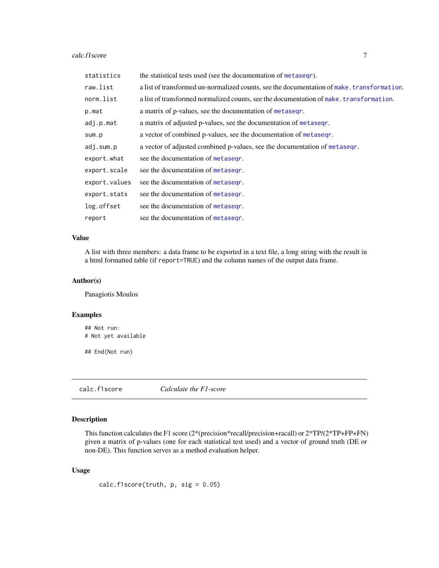#### <span id="page-6-0"></span>calc.f1score 7

| statistics    | the statistical tests used (see the documentation of metasegr).                            |
|---------------|--------------------------------------------------------------------------------------------|
| raw.list      | a list of transformed un-normalized counts, see the documentation of make. transformation. |
| norm.list     | a list of transformed normalized counts, see the documentation of make. transformation.    |
| p.mat         | a matrix of p-values, see the documentation of metasegr.                                   |
| adj.p.mat     | a matrix of adjusted p-values, see the documentation of metasegr.                          |
| sum.p         | a vector of combined p-values, see the documentation of metasegr.                          |
| adj.sum.p     | a vector of adjusted combined p-values, see the documentation of metaseqr.                 |
| export.what   | see the documentation of metasegr.                                                         |
| export.scale  | see the documentation of metasegr.                                                         |
| export.values | see the documentation of metasegr.                                                         |
| export.stats  | see the documentation of metasegr.                                                         |
| log.offset    | see the documentation of metasegr.                                                         |
| report        | see the documentation of metasegr.                                                         |

# Value

A list with three members: a data frame to be exported in a text file, a long string with the result in a html formatted table (if report=TRUE) and the column names of the output data frame.

# Author(s)

Panagiotis Moulos

#### Examples

## Not run: # Not yet available

## End(Not run)

calc.f1score *Calculate the F1-score*

# Description

This function calculates the F1 score (2\*(precision\*recall/precision+racall) or 2\*TP/(2\*TP+FP+FN) given a matrix of p-values (one for each statistical test used) and a vector of ground truth (DE or non-DE). This function serves as a method evaluation helper.

# Usage

 $calc.f1score(truth, p, sig = 0.05)$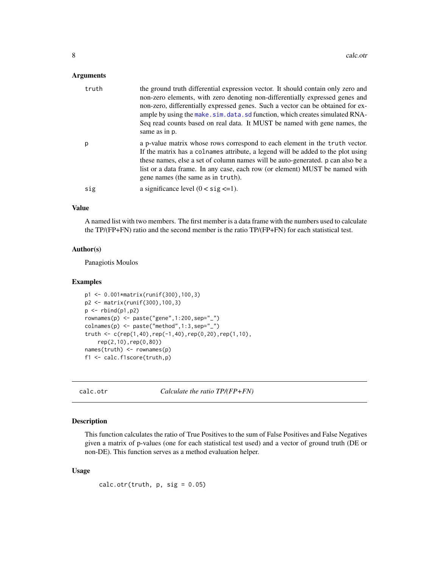#### <span id="page-7-0"></span>**Arguments**

| truth | the ground truth differential expression vector. It should contain only zero and<br>non-zero elements, with zero denoting non-differentially expressed genes and<br>non-zero, differentially expressed genes. Such a vector can be obtained for ex-<br>ample by using the make. sim. data. sd function, which creates simulated RNA-<br>Seq read counts based on real data. It MUST be named with gene names, the<br>same as in p. |
|-------|------------------------------------------------------------------------------------------------------------------------------------------------------------------------------------------------------------------------------------------------------------------------------------------------------------------------------------------------------------------------------------------------------------------------------------|
| р     | a p-value matrix whose rows correspond to each element in the truth vector.<br>If the matrix has a colnames attribute, a legend will be added to the plot using<br>these names, else a set of column names will be auto-generated. p can also be a<br>list or a data frame. In any case, each row (or element) MUST be named with<br>gene names (the same as in truth).                                                            |
| sig   | a significance level $(0 < sig \leq 1)$ .                                                                                                                                                                                                                                                                                                                                                                                          |

#### Value

A named list with two members. The first member is a data frame with the numbers used to calculate the TP/(FP+FN) ratio and the second member is the ratio TP/(FP+FN) for each statistical test.

#### Author(s)

Panagiotis Moulos

#### Examples

```
p1 <- 0.001*matrix(runif(300),100,3)
p2 <- matrix(runif(300),100,3)
p \leftarrow \text{rbind}(p1, p2)rownames(p) <- paste("gene",1:200,sep="_")
colnames(p) <- paste("method",1:3,sep="_")
truth <- c(rep(1,40),rep(-1,40),rep(0,20),rep(1,10),
    rep(2,10),rep(0,80))
names(truth) <- rownames(p)
f1 <- calc.f1score(truth,p)
```
calc.otr *Calculate the ratio TP/(FP+FN)*

#### Description

This function calculates the ratio of True Positives to the sum of False Positives and False Negatives given a matrix of p-values (one for each statistical test used) and a vector of ground truth (DE or non-DE). This function serves as a method evaluation helper.

#### Usage

 $calc.otr(truth, p, sig = 0.05)$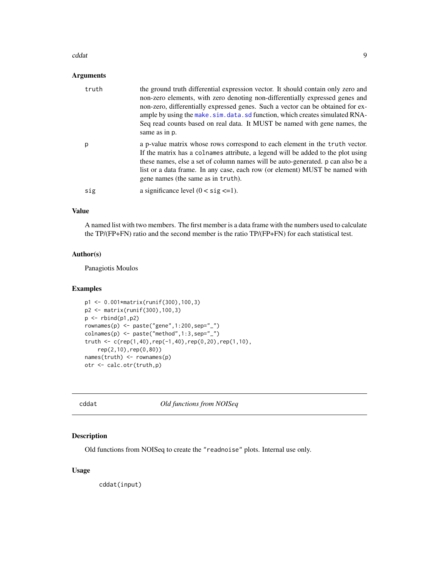#### <span id="page-8-0"></span>cddat **9** y 1999 a 1999 a 1999 a 1999 a 1999 a 1999 a 1999 a 1999 a 1999 a 1999 a 1999 a 1999 a 1999 a 1999 a 1

# Arguments

| truth | the ground truth differential expression vector. It should contain only zero and<br>non-zero elements, with zero denoting non-differentially expressed genes and<br>non-zero, differentially expressed genes. Such a vector can be obtained for ex-<br>ample by using the make.sim.data.sd function, which creates simulated RNA-<br>Seq read counts based on real data. It MUST be named with gene names, the<br>same as in p. |
|-------|---------------------------------------------------------------------------------------------------------------------------------------------------------------------------------------------------------------------------------------------------------------------------------------------------------------------------------------------------------------------------------------------------------------------------------|
| p     | a p-value matrix whose rows correspond to each element in the truth vector.<br>If the matrix has a colnames attribute, a legend will be added to the plot using<br>these names, else a set of column names will be auto-generated. p can also be a<br>list or a data frame. In any case, each row (or element) MUST be named with<br>gene names (the same as in truth).                                                         |
| sig   | a significance level $(0 \lt$ sig $\lt = 1)$ .                                                                                                                                                                                                                                                                                                                                                                                  |

#### Value

A named list with two members. The first member is a data frame with the numbers used to calculate the TP/(FP+FN) ratio and the second member is the ratio TP/(FP+FN) for each statistical test.

# Author(s)

Panagiotis Moulos

#### Examples

```
p1 <- 0.001*matrix(runif(300),100,3)
p2 <- matrix(runif(300),100,3)
p \leftarrow \text{rbind}(p1, p2)rownames(p) <- paste("gene",1:200,sep="_")
colnames(p) <- paste("method",1:3,sep="_")
truth <- c(rep(1,40),rep(-1,40),rep(0,20),rep(1,10),rep(2,10),rep(0,80))
names(truth) <- rownames(p)
otr <- calc.otr(truth,p)
```
<span id="page-8-1"></span>cddat *Old functions from NOISeq*

# Description

Old functions from NOISeq to create the "readnoise" plots. Internal use only.

# Usage

cddat(input)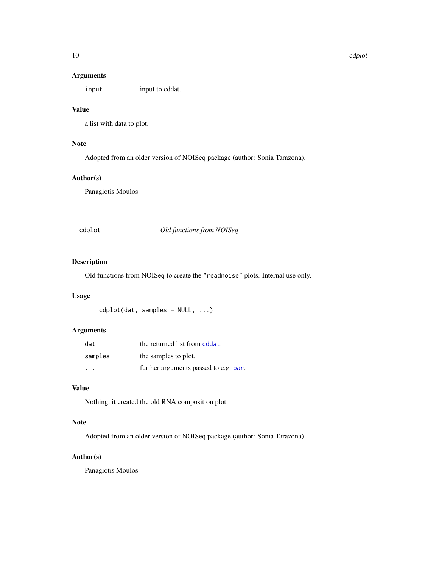# <span id="page-9-0"></span>Arguments

input input to cddat.

#### Value

a list with data to plot.

# Note

Adopted from an older version of NOISeq package (author: Sonia Tarazona).

# Author(s)

Panagiotis Moulos

cdplot *Old functions from NOISeq*

# Description

Old functions from NOISeq to create the "readnoise" plots. Internal use only.

# Usage

cdplot(dat, samples = NULL, ...)

# Arguments

| dat                     | the returned list from cddat.         |
|-------------------------|---------------------------------------|
| samples                 | the samples to plot.                  |
| $\cdot$ $\cdot$ $\cdot$ | further arguments passed to e.g. par. |

# Value

Nothing, it created the old RNA composition plot.

# Note

Adopted from an older version of NOISeq package (author: Sonia Tarazona)

# Author(s)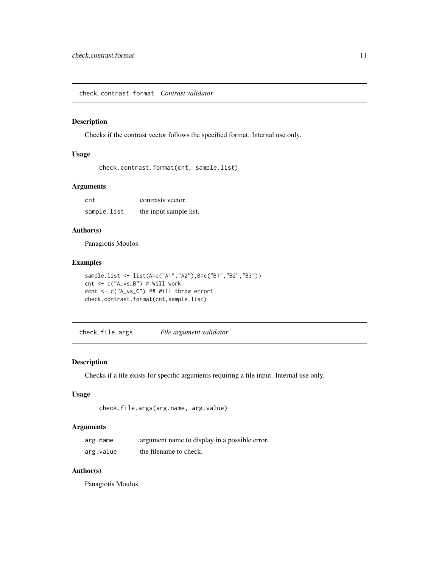<span id="page-10-0"></span>check.contrast.format *Contrast validator*

# Description

Checks if the contrast vector follows the specified format. Internal use only.

# Usage

```
check.contrast.format(cnt, sample.list)
```
# Arguments

cnt contrasts vector. sample.list the input sample list.

# Author(s)

Panagiotis Moulos

# Examples

```
sample.list <- list(A=c("A1","A2"),B=c("B1","B2","B3"))
cnt <- c("A_vs_B") # Will work
#cnt <- c("A_vs_C") ## Will throw error!
check.contrast.format(cnt,sample.list)
```
check.file.args *File argument validator*

#### Description

Checks if a file exists for specific arguments requiring a file input. Internal use only.

# Usage

```
check.file.args(arg.name, arg.value)
```
## Arguments

| arg.name  | argument name to display in a possible error. |
|-----------|-----------------------------------------------|
| arg.value | the filename to check.                        |

# Author(s)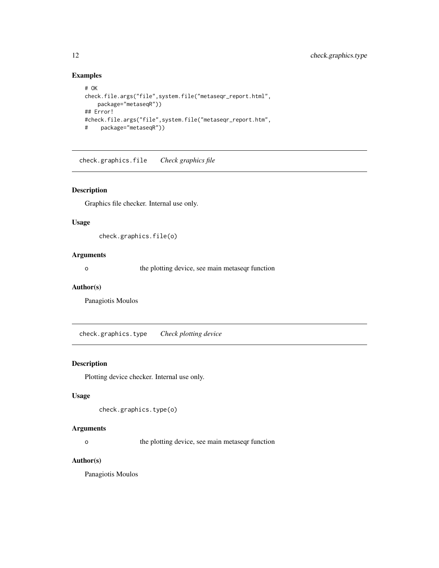# Examples

```
# OK
check.file.args("file",system.file("metaseqr_report.html",
   package="metaseqR"))
## Error!
#check.file.args("file",system.file("metaseqr_report.htm",
# package="metaseqR"))
```
check.graphics.file *Check graphics file*

# Description

Graphics file checker. Internal use only.

# Usage

check.graphics.file(o)

#### Arguments

o the plotting device, see main metaseqr function

#### Author(s)

Panagiotis Moulos

check.graphics.type *Check plotting device*

# Description

Plotting device checker. Internal use only.

# Usage

```
check.graphics.type(o)
```
#### Arguments

o the plotting device, see main metaseqr function

# Author(s)

<span id="page-11-0"></span>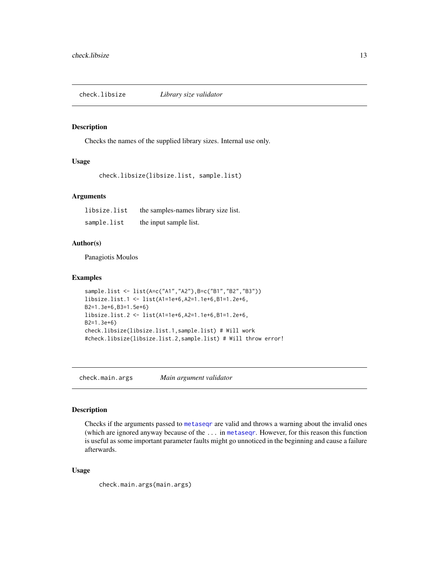<span id="page-12-0"></span>check.libsize *Library size validator*

# Description

Checks the names of the supplied library sizes. Internal use only.

# Usage

```
check.libsize(libsize.list, sample.list)
```
#### **Arguments**

| libsize.list | the samples-names library size list. |
|--------------|--------------------------------------|
| sample.list  | the input sample list.               |

# Author(s)

Panagiotis Moulos

#### Examples

```
sample.list <- list(A=c("A1","A2"),B=c("B1","B2","B3"))
libsize.list.1 <- list(A1=1e+6,A2=1.1e+6,B1=1.2e+6,
B2=1.3e+6,B3=1.5e+6)
libsize.list.2 <- list(A1=1e+6,A2=1.1e+6,B1=1.2e+6,
B2=1.3e+6)
check.libsize(libsize.list.1,sample.list) # Will work
#check.libsize(libsize.list.2,sample.list) # Will throw error!
```
check.main.args *Main argument validator*

# Description

Checks if the arguments passed to [metaseqr](#page-89-1) are valid and throws a warning about the invalid ones (which are ignored anyway because of the ... in [metaseqr](#page-89-1). However, for this reason this function is useful as some important parameter faults might go unnoticed in the beginning and cause a failure afterwards.

# Usage

check.main.args(main.args)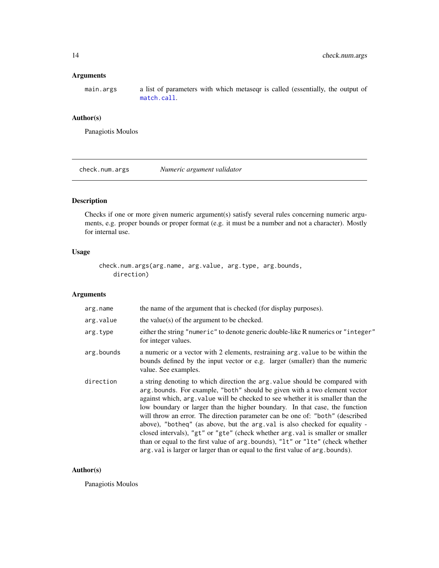# <span id="page-13-0"></span>Arguments

main.args a list of parameters with which metaseqr is called (essentially, the output of [match.call](#page-0-0).

# Author(s)

Panagiotis Moulos

check.num.args *Numeric argument validator*

# Description

Checks if one or more given numeric argument(s) satisfy several rules concerning numeric arguments, e.g. proper bounds or proper format (e.g. it must be a number and not a character). Mostly for internal use.

# Usage

check.num.args(arg.name, arg.value, arg.type, arg.bounds, direction)

## Arguments

| arg.name   | the name of the argument that is checked (for display purposes).                                                                                                                                                                                                                                                                                                                                                                                                                                                                                                                                                                                                                                                                                |
|------------|-------------------------------------------------------------------------------------------------------------------------------------------------------------------------------------------------------------------------------------------------------------------------------------------------------------------------------------------------------------------------------------------------------------------------------------------------------------------------------------------------------------------------------------------------------------------------------------------------------------------------------------------------------------------------------------------------------------------------------------------------|
| arg.value  | the value(s) of the argument to be checked.                                                                                                                                                                                                                                                                                                                                                                                                                                                                                                                                                                                                                                                                                                     |
| arg.type   | either the string "numeric" to denote generic double-like R numerics or "integer"<br>for integer values.                                                                                                                                                                                                                                                                                                                                                                                                                                                                                                                                                                                                                                        |
| arg.bounds | a numeric or a vector with 2 elements, restraining arg, value to be within the<br>bounds defined by the input vector or e.g. larger (smaller) than the numeric<br>value. See examples.                                                                                                                                                                                                                                                                                                                                                                                                                                                                                                                                                          |
| direction  | a string denoting to which direction the arg. value should be compared with<br>arg bounds. For example, "both" should be given with a two element vector<br>against which, arg. value will be checked to see whether it is smaller than the<br>low boundary or larger than the higher boundary. In that case, the function<br>will throw an error. The direction parameter can be one of: "both" (described<br>above), "botheq" (as above, but the arg. val is also checked for equality -<br>closed intervals), "gt" or "gte" (check whether arg. val is smaller or smaller<br>than or equal to the first value of arg.bounds), "1t" or "1te" (check whether<br>arg. val is larger or larger than or equal to the first value of arg. bounds). |

## Author(s)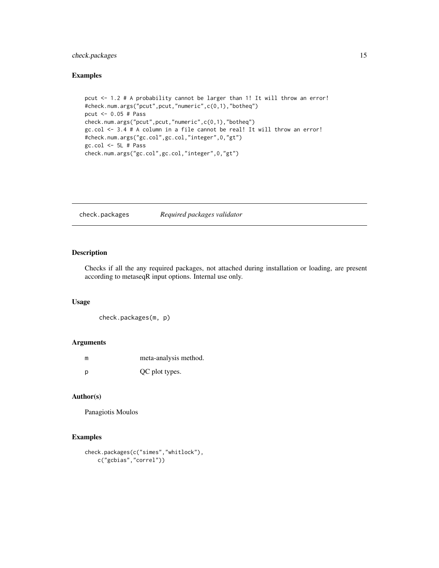# <span id="page-14-0"></span>check.packages 15

# Examples

```
pcut <- 1.2 # A probability cannot be larger than 1! It will throw an error!
#check.num.args("pcut",pcut,"numeric",c(0,1),"botheq")
pcut <- 0.05 # Pass
check.num.args("pcut",pcut,"numeric",c(0,1),"botheq")
gc.col <- 3.4 # A column in a file cannot be real! It will throw an error!
#check.num.args("gc.col",gc.col,"integer",0,"gt")
gc.col <- 5L # Pass
check.num.args("gc.col",gc.col,"integer",0,"gt")
```
check.packages *Required packages validator*

# Description

Checks if all the any required packages, not attached during installation or loading, are present according to metaseqR input options. Internal use only.

# Usage

```
check.packages(m, p)
```
#### Arguments

| m | meta-analysis method. |
|---|-----------------------|
| D | QC plot types.        |

# Author(s)

Panagiotis Moulos

```
check.packages(c("simes","whitlock"),
    c("gcbias","correl"))
```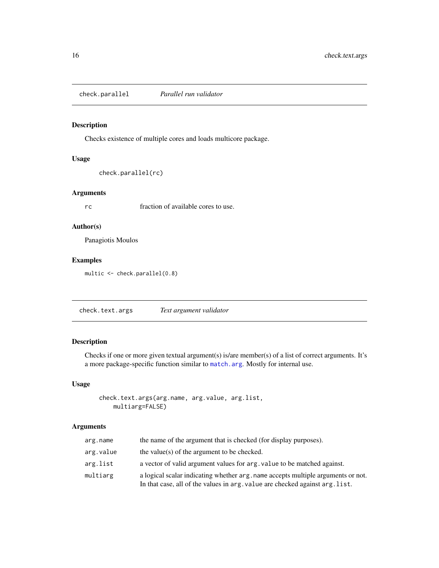<span id="page-15-0"></span>check.parallel *Parallel run validator*

# Description

Checks existence of multiple cores and loads multicore package.

#### Usage

```
check.parallel(rc)
```
# Arguments

rc fraction of available cores to use.

# Author(s)

Panagiotis Moulos

# Examples

multic <- check.parallel(0.8)

check.text.args *Text argument validator*

# Description

Checks if one or more given textual argument(s) is/are member(s) of a list of correct arguments. It's a more package-specific function similar to [match.arg](#page-0-0). Mostly for internal use.

## Usage

```
check.text.args(arg.name, arg.value, arg.list,
   multiarg=FALSE)
```
# Arguments

| arg.name  | the name of the argument that is checked (for display purposes).                                                                                                 |
|-----------|------------------------------------------------------------------------------------------------------------------------------------------------------------------|
| arg.value | the value(s) of the argument to be checked.                                                                                                                      |
| arg.list  | a vector of valid argument values for arg. value to be matched against.                                                                                          |
| multiarg  | a logical scalar indicating whether arg, name accepts multiple arguments or not.<br>In that case, all of the values in arg. value are checked against arg. list. |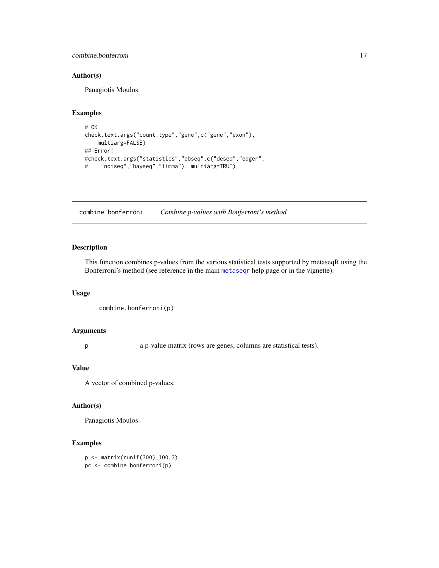#### <span id="page-16-0"></span>combine.bonferroni 17

# Author(s)

Panagiotis Moulos

#### Examples

```
# OK
check.text.args("count.type","gene",c("gene","exon"),
   multiarg=FALSE)
## Error!
#check.text.args("statistics","ebseq",c("deseq","edger",
# "noiseq","bayseq","limma"), multiarg=TRUE)
```
combine.bonferroni *Combine p-values with Bonferroni's method*

# Description

This function combines p-values from the various statistical tests supported by metaseqR using the Bonferroni's method (see reference in the main [metaseqr](#page-89-1) help page or in the vignette).

#### Usage

```
combine.bonferroni(p)
```
#### Arguments

p a p-value matrix (rows are genes, columns are statistical tests).

# Value

A vector of combined p-values.

# Author(s)

Panagiotis Moulos

# Examples

p <- matrix(runif(300),100,3) pc <- combine.bonferroni(p)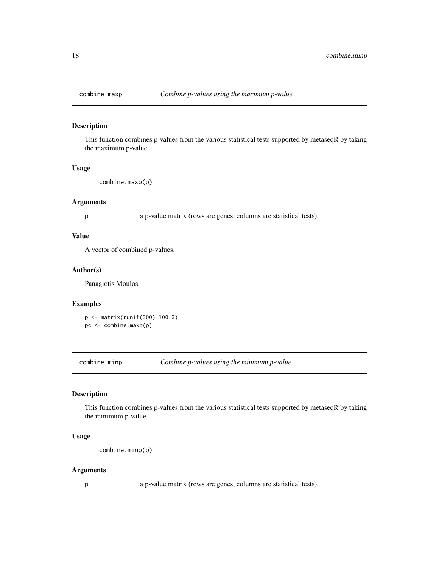<span id="page-17-0"></span>

# Description

This function combines p-values from the various statistical tests supported by metaseqR by taking the maximum p-value.

#### Usage

```
combine.maxp(p)
```
#### Arguments

p a p-value matrix (rows are genes, columns are statistical tests).

## Value

A vector of combined p-values.

# Author(s)

Panagiotis Moulos

## Examples

p <- matrix(runif(300),100,3) pc <- combine.maxp(p)

combine.minp *Combine p-values using the minimum p-value*

#### Description

This function combines p-values from the various statistical tests supported by metaseqR by taking the minimum p-value.

#### Usage

combine.minp(p)

## Arguments

p a p-value matrix (rows are genes, columns are statistical tests).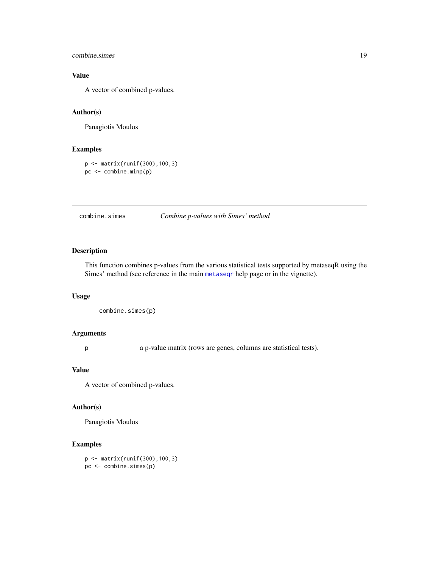#### <span id="page-18-0"></span>combine.simes 19

# Value

A vector of combined p-values.

# Author(s)

Panagiotis Moulos

# Examples

```
p <- matrix(runif(300),100,3)
pc <- combine.minp(p)
```
combine.simes *Combine p-values with Simes' method*

# Description

This function combines p-values from the various statistical tests supported by metaseqR using the Simes' method (see reference in the main [metaseqr](#page-89-1) help page or in the vignette).

#### Usage

```
combine.simes(p)
```
# Arguments

p a p-value matrix (rows are genes, columns are statistical tests).

#### Value

A vector of combined p-values.

#### Author(s)

Panagiotis Moulos

# Examples

p <- matrix(runif(300),100,3) pc <- combine.simes(p)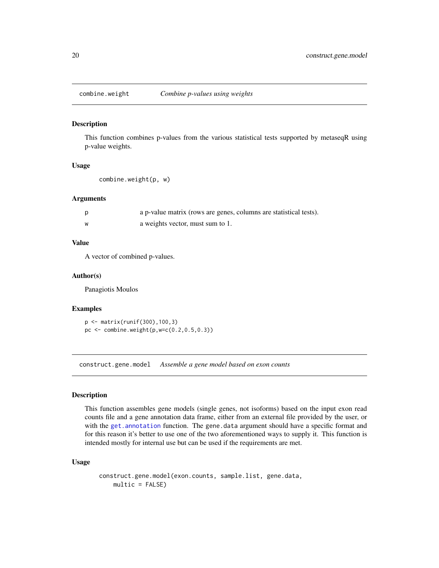<span id="page-19-0"></span>

#### Description

This function combines p-values from the various statistical tests supported by metaseqR using p-value weights.

## Usage

```
combine.weight(p, w)
```
#### Arguments

|   | a p-value matrix (rows are genes, columns are statistical tests). |
|---|-------------------------------------------------------------------|
| W | a weights vector, must sum to 1.                                  |

# Value

A vector of combined p-values.

#### Author(s)

Panagiotis Moulos

#### Examples

p <- matrix(runif(300),100,3) pc <- combine.weight(p,w=c(0.2,0.5,0.3))

construct.gene.model *Assemble a gene model based on exon counts*

#### Description

This function assembles gene models (single genes, not isoforms) based on the input exon read counts file and a gene annotation data frame, either from an external file provided by the user, or with the [get.annotation](#page-46-1) function. The gene.data argument should have a specific format and for this reason it's better to use one of the two aforementioned ways to supply it. This function is intended mostly for internal use but can be used if the requirements are met.

# Usage

```
construct.gene.model(exon.counts, sample.list, gene.data,
   multic = FALSE)
```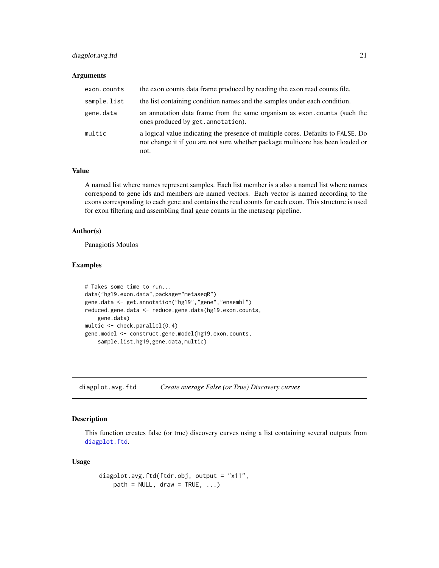# <span id="page-20-0"></span>diagplot.avg.ftd 21

#### Arguments

| exon.counts | the exon counts data frame produced by reading the exon read counts file.                                                                                                  |
|-------------|----------------------------------------------------------------------------------------------------------------------------------------------------------------------------|
| sample.list | the list containing condition names and the samples under each condition.                                                                                                  |
| gene.data   | an annotation data frame from the same organism as exon.counts (such the<br>ones produced by get. annotation).                                                             |
| multic      | a logical value indicating the presence of multiple cores. Defaults to FALSE. Do<br>not change it if you are not sure whether package multicore has been loaded or<br>not. |

# Value

A named list where names represent samples. Each list member is a also a named list where names correspond to gene ids and members are named vectors. Each vector is named according to the exons corresponding to each gene and contains the read counts for each exon. This structure is used for exon filtering and assembling final gene counts in the metaseqr pipeline.

#### Author(s)

Panagiotis Moulos

# Examples

```
# Takes some time to run...
data("hg19.exon.data",package="metaseqR")
gene.data <- get.annotation("hg19","gene","ensembl")
reduced.gene.data <- reduce.gene.data(hg19.exon.counts,
    gene.data)
multic <- check.parallel(0.4)
gene.model <- construct.gene.model(hg19.exon.counts,
    sample.list.hg19,gene.data,multic)
```
diagplot.avg.ftd *Create average False (or True) Discovery curves*

# Description

This function creates false (or true) discovery curves using a list containing several outputs from [diagplot.ftd](#page-27-1).

#### Usage

```
diagplot.avg.ftd(ftdr.obj, output = "x11",
   path = NULL, draw = TRUE, ...)
```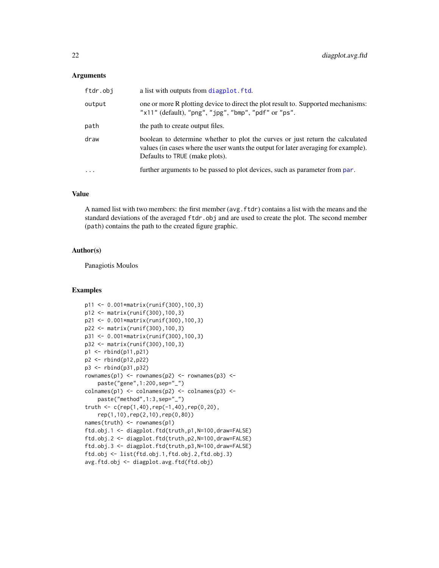#### Arguments

| ftdr.obj  | a list with outputs from diagplot. ftd.                                                                                                                                                               |
|-----------|-------------------------------------------------------------------------------------------------------------------------------------------------------------------------------------------------------|
| output    | one or more R plotting device to direct the plot result to. Supported mechanisms:<br>" $x11"$ (default), " $png"$ , " $jpg"$ , " $bmp"$ , " $pdf"$ or " $ps"$ .                                       |
| path      | the path to create output files.                                                                                                                                                                      |
| draw      | boolean to determine whether to plot the curves or just return the calculated<br>values (in cases where the user wants the output for later averaging for example).<br>Defaults to TRUE (make plots). |
| $\ddotsc$ | further arguments to be passed to plot devices, such as parameter from par.                                                                                                                           |

# Value

A named list with two members: the first member (avg.ftdr) contains a list with the means and the standard deviations of the averaged ftdr.obj and are used to create the plot. The second member (path) contains the path to the created figure graphic.

#### Author(s)

Panagiotis Moulos

```
p11 <- 0.001*matrix(runif(300),100,3)
p12 <- matrix(runif(300),100,3)
p21 <- 0.001*matrix(runif(300),100,3)
p22 <- matrix(runif(300),100,3)
p31 <- 0.001*matrix(runif(300),100,3)
p32 <- matrix(runif(300),100,3)
p1 <- rbind(p11,p21)
p2 <- rbind(p12,p22)
p3 <- rbind(p31,p32)
rownames(p1) <- rownames(p2) <- rownames(p3) <-
    paste("gene",1:200,sep="_")
colnames(p1) <- colnames(p2) <- colnames(p3) <-
   paste("method",1:3,sep="_")
truth \leq c (rep(1,40),rep(-1,40),rep(0,20),
   rep(1,10),rep(2,10),rep(0,80))
names(truth) <- rownames(p1)
ftd.obj.1 <- diagplot.ftd(truth,p1,N=100,draw=FALSE)
ftd.obj.2 <- diagplot.ftd(truth,p2,N=100,draw=FALSE)
ftd.obj.3 <- diagplot.ftd(truth,p3,N=100,draw=FALSE)
ftd.obj <- list(ftd.obj.1,ftd.obj.2,ftd.obj.3)
avg.ftd.obj <- diagplot.avg.ftd(ftd.obj)
```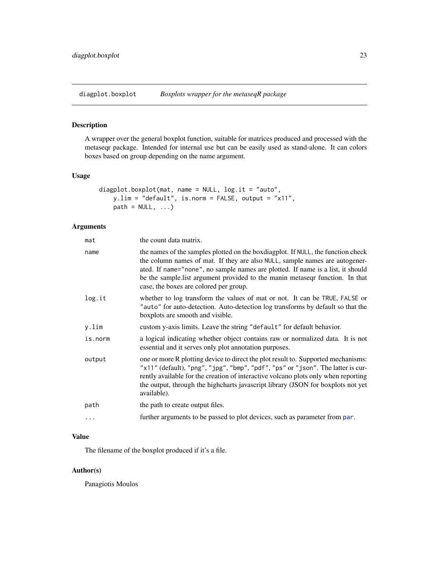<span id="page-22-0"></span>diagplot.boxplot *Boxplots wrapper for the metaseqR package*

# Description

A wrapper over the general boxplot function, suitable for matrices produced and processed with the metaseqr package. Intended for internal use but can be easily used as stand-alone. It can colors boxes based on group depending on the name argument.

#### Usage

```
diagplot.boxplot(mat, name = NULL, log.it = "auto",
    y.lim = "default", is.norm = FALSE, output = "x11",
    path = NULL, ...)
```
# Arguments

| mat     | the count data matrix.                                                                                                                                                                                                                                                                                                                                                           |
|---------|----------------------------------------------------------------------------------------------------------------------------------------------------------------------------------------------------------------------------------------------------------------------------------------------------------------------------------------------------------------------------------|
| name    | the names of the samples plotted on the boxdiagplot. If NULL, the function check<br>the column names of mat. If they are also NULL, sample names are autogener-<br>ated. If name="none", no sample names are plotted. If name is a list, it should<br>be the sample. In that argument provided to the manin metaseqr function. In that<br>case, the boxes are colored per group. |
| log.it  | whether to log transform the values of mat or not. It can be TRUE, FALSE or<br>"auto" for auto-detection. Auto-detection log transforms by default so that the<br>boxplots are smooth and visible.                                                                                                                                                                               |
| y.lim   | custom y-axis limits. Leave the string "default" for default behavior.                                                                                                                                                                                                                                                                                                           |
| is.norm | a logical indicating whether object contains raw or normalized data. It is not<br>essential and it serves only plot annotation purposes.                                                                                                                                                                                                                                         |
| output  | one or more R plotting device to direct the plot result to. Supported mechanisms:<br>"x11" (default), "png", "jpg", "bmp", "pdf", "ps" or "json". The latter is cur-<br>rently available for the creation of interactive volcano plots only when reporting<br>the output, through the highcharts javascript library (JSON for boxplots not yet<br>available).                    |
| path    | the path to create output files.                                                                                                                                                                                                                                                                                                                                                 |
| .       | further arguments to be passed to plot devices, such as parameter from par.                                                                                                                                                                                                                                                                                                      |

# Value

The filename of the boxplot produced if it's a file.

## Author(s)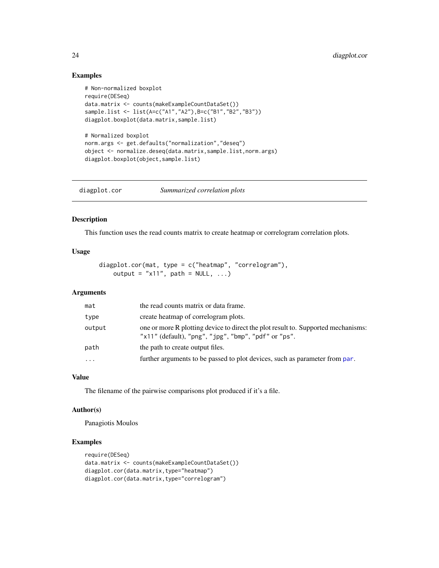# Examples

```
# Non-normalized boxplot
require(DESeq)
data.matrix <- counts(makeExampleCountDataSet())
sample.list <- list(A=c("A1","A2"),B=c("B1","B2","B3"))
diagplot.boxplot(data.matrix,sample.list)
# Normalized boxplot
norm.args <- get.defaults("normalization","deseq")
object <- normalize.deseq(data.matrix,sample.list,norm.args)
diagplot.boxplot(object,sample.list)
```
diagplot.cor *Summarized correlation plots*

## Description

This function uses the read counts matrix to create heatmap or correlogram correlation plots.

#### Usage

```
diagplot.cor(mat, type = c("heatmap", "correlogram"),
   output = "x11", path = NULL, ...)
```
# Arguments

| mat       | the read counts matrix or data frame.                                                                                                                             |
|-----------|-------------------------------------------------------------------------------------------------------------------------------------------------------------------|
| type      | create heatmap of correlogram plots.                                                                                                                              |
| output    | one or more R plotting device to direct the plot result to. Supported mechanisms:<br>" $x11$ " (default), " $png$ ", " $jpg$ ", " $bmp$ ", " $pdf$ " or " $ps$ ". |
| path      | the path to create output files.                                                                                                                                  |
| $\ddotsc$ | further arguments to be passed to plot devices, such as parameter from par.                                                                                       |

# Value

The filename of the pairwise comparisons plot produced if it's a file.

# Author(s)

Panagiotis Moulos

```
require(DESeq)
data.matrix <- counts(makeExampleCountDataSet())
diagplot.cor(data.matrix,type="heatmap")
diagplot.cor(data.matrix,type="correlogram")
```
<span id="page-23-0"></span>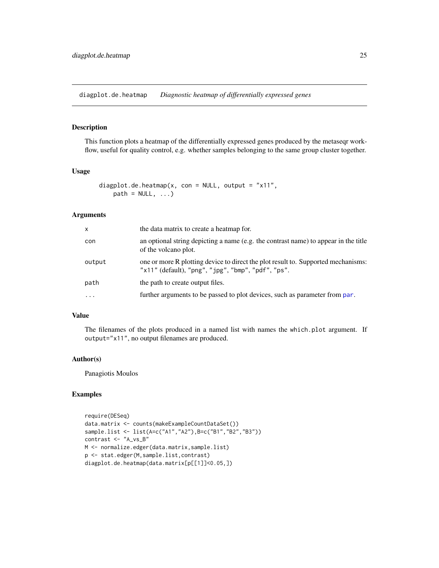<span id="page-24-0"></span>diagplot.de.heatmap *Diagnostic heatmap of differentially expressed genes*

## Description

This function plots a heatmap of the differentially expressed genes produced by the metaseqr workflow, useful for quality control, e.g. whether samples belonging to the same group cluster together.

# Usage

```
diagplot.de.heatmap(x, con = NULL, output = "x11",
   path = NULL, ...
```
#### Arguments

| $\mathsf{x}$ | the data matrix to create a heatmap for.                                                                                                                       |
|--------------|----------------------------------------------------------------------------------------------------------------------------------------------------------------|
| con          | an optional string depicting a name (e.g. the contrast name) to appear in the title<br>of the volcano plot.                                                    |
| output       | one or more R plotting device to direct the plot result to. Supported mechanisms:<br>" $x11"$ (default), " $png"$ , " $jpg"$ , " $bmp"$ , " $pdf"$ , " $ps"$ . |
| path         | the path to create output files.                                                                                                                               |
| $\cdot$      | further arguments to be passed to plot devices, such as parameter from par.                                                                                    |

# Value

The filenames of the plots produced in a named list with names the which.plot argument. If output="x11", no output filenames are produced.

#### Author(s)

Panagiotis Moulos

```
require(DESeq)
data.matrix <- counts(makeExampleCountDataSet())
sample.list <- list(A=c("A1","A2"),B=c("B1","B2","B3"))
contrast <- "A_vs_B"
M <- normalize.edger(data.matrix,sample.list)
p <- stat.edger(M,sample.list,contrast)
diagplot.de.heatmap(data.matrix[p[[1]]<0.05,])
```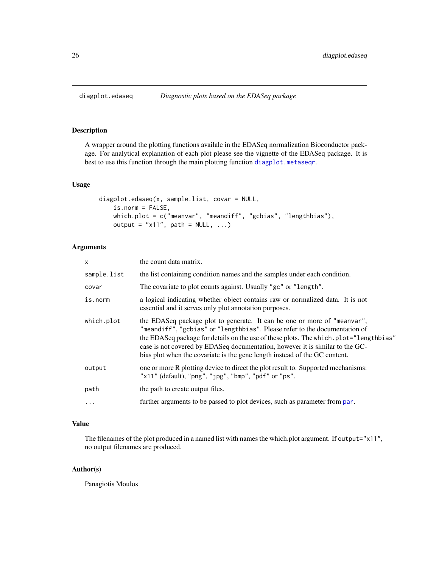# Description

A wrapper around the plotting functions availale in the EDASeq normalization Bioconductor package. For analytical explanation of each plot please see the vignette of the EDASeq package. It is best to use this function through the main plotting function [diagplot.metaseqr](#page-29-1).

#### Usage

```
diagplot.edaseq(x, sample.list, covar = NULL,
   is.norm = FALSE,
   which.plot = c("meanvar", "meandiff", "gcbias", "lengthbias"),
   output = "x11", path = NULL, ...)
```
# Arguments

| $\mathsf{x}$ | the count data matrix.                                                                                                                                                                                                                                                                                                                                                                                          |
|--------------|-----------------------------------------------------------------------------------------------------------------------------------------------------------------------------------------------------------------------------------------------------------------------------------------------------------------------------------------------------------------------------------------------------------------|
| sample.list  | the list containing condition names and the samples under each condition.                                                                                                                                                                                                                                                                                                                                       |
| covar        | The covariate to plot counts against. Usually "gc" or "length".                                                                                                                                                                                                                                                                                                                                                 |
| is.norm      | a logical indicating whether object contains raw or normalized data. It is not<br>essential and it serves only plot annotation purposes.                                                                                                                                                                                                                                                                        |
| which.plot   | the EDASeq package plot to generate. It can be one or more of "meanvar",<br>"meandiff", "gcbias" or "lengthbias". Please refer to the documentation of<br>the EDASeq package for details on the use of these plots. The which, plot="lengthbias"<br>case is not covered by EDASeq documentation, however it is similar to the GC-<br>bias plot when the covariate is the gene length instead of the GC content. |
| output       | one or more R plotting device to direct the plot result to. Supported mechanisms:<br>"x11" (default), "png", "jpg", "bmp", "pdf" or "ps".                                                                                                                                                                                                                                                                       |
| path         | the path to create output files.                                                                                                                                                                                                                                                                                                                                                                                |
| $\cdots$     | further arguments to be passed to plot devices, such as parameter from par.                                                                                                                                                                                                                                                                                                                                     |

#### Value

The filenames of the plot produced in a named list with names the which.plot argument. If output="x11", no output filenames are produced.

# Author(s)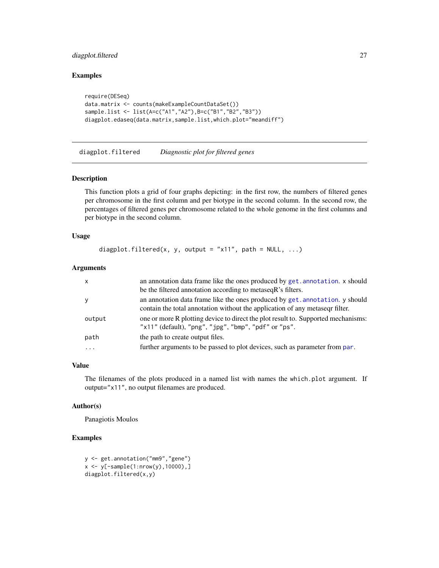# <span id="page-26-0"></span>diagplot.filtered 27

# Examples

```
require(DESeq)
data.matrix <- counts(makeExampleCountDataSet())
sample.list <- list(A=c("A1","A2"),B=c("B1","B2","B3"))
diagplot.edaseq(data.matrix,sample.list,which.plot="meandiff")
```
diagplot.filtered *Diagnostic plot for filtered genes*

## Description

This function plots a grid of four graphs depicting: in the first row, the numbers of filtered genes per chromosome in the first column and per biotype in the second column. In the second row, the percentages of filtered genes per chromosome related to the whole genome in the first columns and per biotype in the second column.

# Usage

```
diagplot.filtered(x, y, output = "x11", path = NULL, ...)
```
# Arguments

| x      | an annotation data frame like the ones produced by get. annotation. x should<br>be the filtered annotation according to metaseq R's filters.                      |
|--------|-------------------------------------------------------------------------------------------------------------------------------------------------------------------|
|        | an annotation data frame like the ones produced by get. annotation. y should<br>contain the total annotation without the application of any metased filter.       |
| output | one or more R plotting device to direct the plot result to. Supported mechanisms:<br>" $x11$ " (default), " $png$ ", " $jpg$ ", " $bmp$ ", " $pdf$ " or " $ps$ ". |
| path   | the path to create output files.                                                                                                                                  |
| .      | further arguments to be passed to plot devices, such as parameter from par.                                                                                       |

#### Value

The filenames of the plots produced in a named list with names the which.plot argument. If output="x11", no output filenames are produced.

# Author(s)

Panagiotis Moulos

```
y <- get.annotation("mm9","gene")
x \le y[-sample(1:nrow(y),10000),]diagplot.filtered(x,y)
```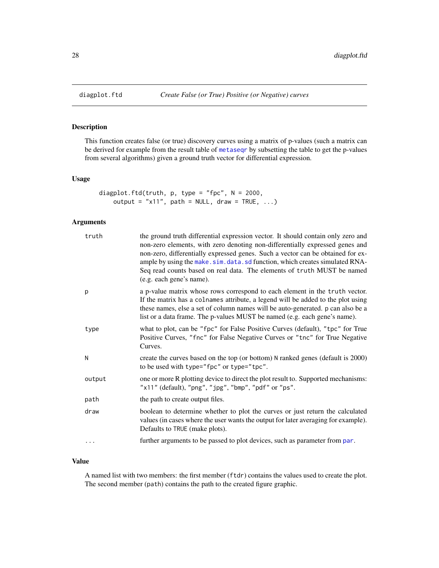<span id="page-27-1"></span><span id="page-27-0"></span>

# Description

This function creates false (or true) discovery curves using a matrix of p-values (such a matrix can be derived for example from the result table of [metaseqr](#page-89-1) by subsetting the table to get the p-values from several algorithms) given a ground truth vector for differential expression.

## Usage

```
diagplot.ftd(truth, p, type = "fpc", N = 2000,
   output = "x11", path = NULL, draw = TRUE, ...)
```
# Arguments

| truth    | the ground truth differential expression vector. It should contain only zero and<br>non-zero elements, with zero denoting non-differentially expressed genes and<br>non-zero, differentially expressed genes. Such a vector can be obtained for ex-<br>ample by using the make.sim.data.sd function, which creates simulated RNA-<br>Seq read counts based on real data. The elements of truth MUST be named<br>(e.g. each gene's name). |
|----------|------------------------------------------------------------------------------------------------------------------------------------------------------------------------------------------------------------------------------------------------------------------------------------------------------------------------------------------------------------------------------------------------------------------------------------------|
| p        | a p-value matrix whose rows correspond to each element in the truth vector.<br>If the matrix has a colnames attribute, a legend will be added to the plot using<br>these names, else a set of column names will be auto-generated. p can also be a<br>list or a data frame. The p-values MUST be named (e.g. each gene's name).                                                                                                          |
| type     | what to plot, can be "fpc" for False Positive Curves (default), "tpc" for True<br>Positive Curves, "fnc" for False Negative Curves or "tnc" for True Negative<br>Curves.                                                                                                                                                                                                                                                                 |
| N        | create the curves based on the top (or bottom) N ranked genes (default is 2000)<br>to be used with type="fpc" or type="tpc".                                                                                                                                                                                                                                                                                                             |
| output   | one or more R plotting device to direct the plot result to. Supported mechanisms:<br>"x11" (default), "png", "jpg", "bmp", "pdf" or "ps".                                                                                                                                                                                                                                                                                                |
| path     | the path to create output files.                                                                                                                                                                                                                                                                                                                                                                                                         |
| draw     | boolean to determine whether to plot the curves or just return the calculated<br>values (in cases where the user wants the output for later averaging for example).<br>Defaults to TRUE (make plots).                                                                                                                                                                                                                                    |
| $\cdots$ | further arguments to be passed to plot devices, such as parameter from par.                                                                                                                                                                                                                                                                                                                                                              |

# Value

A named list with two members: the first member (ftdr) contains the values used to create the plot. The second member (path) contains the path to the created figure graphic.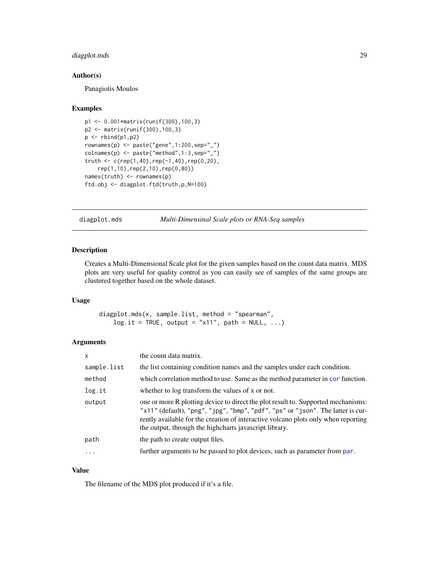# <span id="page-28-0"></span>diagplot.mds 29

#### Author(s)

Panagiotis Moulos

#### Examples

```
p1 <- 0.001*matrix(runif(300),100,3)
p2 <- matrix(runif(300),100,3)
p \leftarrow \text{rbind}(p1, p2)rownames(p) <- paste("gene",1:200,sep="_")
colnames(p) <- paste("method",1:3,sep="_")
truth \leq c (rep(1,40), rep(-1,40), rep(0,20),
    rep(1,10),rep(2,10),rep(0,80))
names(truth) <- rownames(p)
ftd.obj <- diagplot.ftd(truth,p,N=100)
```
diagplot.mds *Multi-Dimensinal Scale plots or RNA-Seq samples*

# Description

Creates a Multi-Dimensional Scale plot for the given samples based on the count data matrix. MDS plots are very useful for quality control as you can easily see of samples of the same groups are clustered together based on the whole dataset.

#### Usage

diagplot.mds(x, sample.list, method = "spearman",  $log.it = TRUE, output = "x11", path = NULL, ...)$ 

#### Arguments

| $\mathsf{x}$ | the count data matrix.                                                                                                                                                                                                                                                                                                |
|--------------|-----------------------------------------------------------------------------------------------------------------------------------------------------------------------------------------------------------------------------------------------------------------------------------------------------------------------|
| sample.list  | the list containing condition names and the samples under each condition.                                                                                                                                                                                                                                             |
| method       | which correlation method to use. Same as the method parameter in cor function.                                                                                                                                                                                                                                        |
| log.it       | whether to log transform the values of x or not.                                                                                                                                                                                                                                                                      |
| output       | one or more R plotting device to direct the plot result to. Supported mechanisms:<br>"x11" (default), "png", "jpg", "bmp", "pdf", "ps" or "json". The latter is cur-<br>rently available for the creation of interactive volcano plots only when reporting<br>the output, through the high charts javascript library. |
| path         | the path to create output files.                                                                                                                                                                                                                                                                                      |
| .            | further arguments to be passed to plot devices, such as parameter from par.                                                                                                                                                                                                                                           |
|              |                                                                                                                                                                                                                                                                                                                       |

## Value

The filename of the MDS plot produced if it's a file.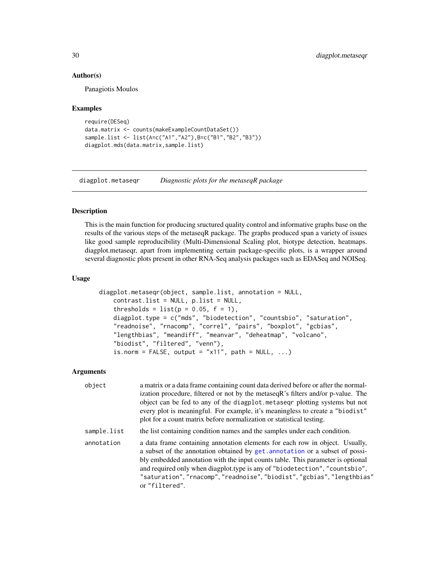#### Author(s)

Panagiotis Moulos

#### Examples

```
require(DESeq)
data.matrix <- counts(makeExampleCountDataSet())
sample.list <- list(A=c("A1","A2"),B=c("B1","B2","B3"))
diagplot.mds(data.matrix,sample.list)
```
<span id="page-29-1"></span>diagplot.metaseqr *Diagnostic plots for the metaseqR package*

#### Description

This is the main function for producing sructured quality control and informative graphs base on the results of the various steps of the metaseqR package. The graphs produced span a variety of issues like good sample reproducibility (Multi-Dimensional Scaling plot, biotype detection, heatmaps. diagplot.metaseqr, apart from implementing certain package-specific plots, is a wrapper around several diagnostic plots present in other RNA-Seq analysis packages such as EDASeq and NOISeq.

# Usage

```
diagplot.metaseqr(object, sample.list, annotation = NULL,
   contrast.list = NULL, p.list = NULL,
   thresholds = list(p = 0.05, f = 1),
    diagplot.type = c("mds", "biodetection", "countsbio", "saturation",
   "readnoise", "rnacomp", "correl", "pairs", "boxplot", "gcbias",
    "lengthbias", "meandiff", "meanvar", "deheatmap", "volcano",
    "biodist", "filtered", "venn"),
    is.norm = FALSE, output = "x11", path = NULL, ...)
```
# **Arguments**

| object      | a matrix or a data frame containing count data derived before or after the normal-<br>ization procedure, filtered or not by the metaseqR's filters and/or p-value. The<br>object can be fed to any of the diagplot. metasegr plotting systems but not<br>every plot is meaningful. For example, it's meaningless to create a "biodist"<br>plot for a count matrix before normalization or statistical testing.              |
|-------------|-----------------------------------------------------------------------------------------------------------------------------------------------------------------------------------------------------------------------------------------------------------------------------------------------------------------------------------------------------------------------------------------------------------------------------|
| sample.list | the list containing condition names and the samples under each condition.                                                                                                                                                                                                                                                                                                                                                   |
| annotation  | a data frame containing annotation elements for each row in object. Usually,<br>a subset of the annotation obtained by get. annotation or a subset of possi-<br>bly embedded annotation with the input counts table. This parameter is optional<br>and required only when diagplot.type is any of "biodetection", "countsbio",<br>"saturation", "rnacomp", "readnoise", "biodist", "gcbias", "lengthbias"<br>or "filtered". |

<span id="page-29-0"></span>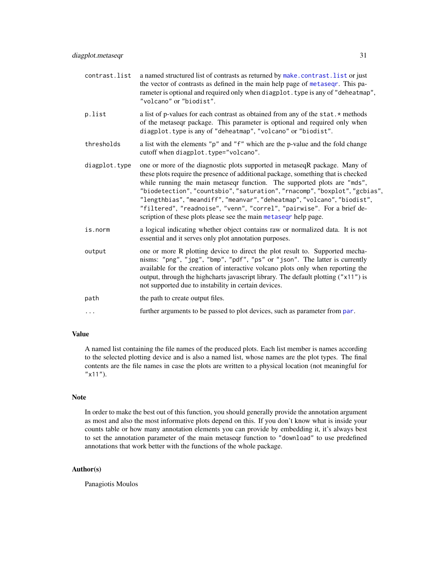| contrast.list | a named structured list of contrasts as returned by make.contrast.list or just<br>the vector of contrasts as defined in the main help page of metaseqr. This pa-<br>rameter is optional and required only when diagplot. type is any of "deheatmap",<br>"volcano" or "biodist".                                                                                                                                                                                                                                                                    |
|---------------|----------------------------------------------------------------------------------------------------------------------------------------------------------------------------------------------------------------------------------------------------------------------------------------------------------------------------------------------------------------------------------------------------------------------------------------------------------------------------------------------------------------------------------------------------|
| p.list        | a list of p-values for each contrast as obtained from any of the stat. * methods<br>of the metaseqr package. This parameter is optional and required only when<br>diagplot.type is any of "deheatmap", "volcano" or "biodist".                                                                                                                                                                                                                                                                                                                     |
| thresholds    | a list with the elements "p" and "f" which are the p-value and the fold change<br>cutoff when diagplot.type="volcano".                                                                                                                                                                                                                                                                                                                                                                                                                             |
| diagplot.type | one or more of the diagnostic plots supported in metaseqR package. Many of<br>these plots require the presence of additional package, something that is checked<br>while running the main metaseqr function. The supported plots are "mds",<br>"biodetection", "countsbio", "saturation", "rnacomp", "boxplot", "gcbias",<br>"lengthbias", "meandiff", "meanvar", "deheatmap", "volcano", "biodist",<br>"filtered", "readnoise", "venn", "correl", "pairwise". For a brief de-<br>scription of these plots please see the main metased phelp page. |
| is.norm       | a logical indicating whether object contains raw or normalized data. It is not<br>essential and it serves only plot annotation purposes.                                                                                                                                                                                                                                                                                                                                                                                                           |
| output        | one or more R plotting device to direct the plot result to. Supported mecha-<br>nisms: "png", "jpg", "bmp", "pdf", "ps" or "json". The latter is currently<br>available for the creation of interactive volcano plots only when reporting the<br>output, through the highcharts javascript library. The default plotting ("x11") is<br>not supported due to instability in certain devices.                                                                                                                                                        |
| path          | the path to create output files.                                                                                                                                                                                                                                                                                                                                                                                                                                                                                                                   |
| $\cdots$      | further arguments to be passed to plot devices, such as parameter from par.                                                                                                                                                                                                                                                                                                                                                                                                                                                                        |

# Value

A named list containing the file names of the produced plots. Each list member is names according to the selected plotting device and is also a named list, whose names are the plot types. The final contents are the file names in case the plots are written to a physical location (not meaningful for  $"x11"$ ).

#### Note

In order to make the best out of this function, you should generally provide the annotation argument as most and also the most informative plots depend on this. If you don't know what is inside your counts table or how many annotation elements you can provide by embedding it, it's always best to set the annotation parameter of the main metaseqr function to "download" to use predefined annotations that work better with the functions of the whole package.

# Author(s)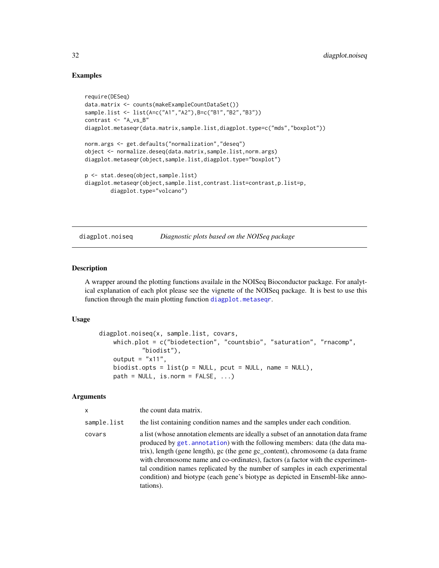# Examples

```
require(DESeq)
data.matrix <- counts(makeExampleCountDataSet())
sample.list <- list(A=c("A1","A2"),B=c("B1","B2","B3"))
contrast <- "A_vs_B"
diagplot.metaseqr(data.matrix,sample.list,diagplot.type=c("mds","boxplot"))
norm.args <- get.defaults("normalization","deseq")
object <- normalize.deseq(data.matrix,sample.list,norm.args)
diagplot.metaseqr(object,sample.list,diagplot.type="boxplot")
p <- stat.deseq(object,sample.list)
diagplot.metaseqr(object,sample.list,contrast.list=contrast,p.list=p,
       diagplot.type="volcano")
```
<span id="page-31-1"></span>diagplot.noiseq *Diagnostic plots based on the NOISeq package*

# **Description**

A wrapper around the plotting functions availale in the NOISeq Bioconductor package. For analytical explanation of each plot please see the vignette of the NOISeq package. It is best to use this function through the main plotting function [diagplot.metaseqr](#page-29-1).

# Usage

```
diagplot.noiseq(x, sample.list, covars,
   which.plot = c("biodetection", "countsbio", "saturation", "rnacomp",
            "biodist"),
   output = "x11",biodist.opts = list(p = NULL, port = NULL, name = NULL),path = NULL, is.norm = FALSE, ...)
```
#### **Arguments**

| $\mathsf{x}$ | the count data matrix.                                                                                                                                                                                                                                                                                                                                                                                                                                                                                              |
|--------------|---------------------------------------------------------------------------------------------------------------------------------------------------------------------------------------------------------------------------------------------------------------------------------------------------------------------------------------------------------------------------------------------------------------------------------------------------------------------------------------------------------------------|
| sample.list  | the list containing condition names and the samples under each condition.                                                                                                                                                                                                                                                                                                                                                                                                                                           |
| covars       | a list (whose annotation elements are ideally a subset of an annotation data frame<br>produced by get. annotation) with the following members: data (the data ma-<br>trix), length (gene length), gc (the gene gc_content), chromosome (a data frame<br>with chromosome name and co-ordinates), factors (a factor with the experimen-<br>tal condition names replicated by the number of samples in each experimental<br>condition) and biotype (each gene's biotype as depicted in Ensembl-like anno-<br>tations). |

<span id="page-31-0"></span>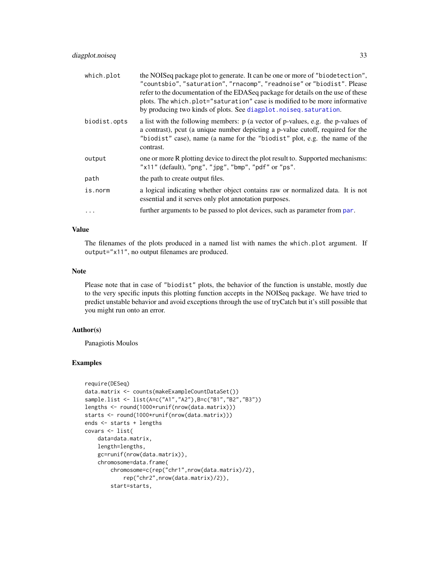| which.plot   | the NOIS eq package plot to generate. It can be one or more of "biodetection",<br>"countsbio", "saturation", "rnacomp", "readnoise" or "biodist". Please<br>refer to the documentation of the EDASeq package for details on the use of these<br>plots. The which.plot="saturation" case is modified to be more informative<br>by producing two kinds of plots. See diagplot. noiseq. saturation. |
|--------------|--------------------------------------------------------------------------------------------------------------------------------------------------------------------------------------------------------------------------------------------------------------------------------------------------------------------------------------------------------------------------------------------------|
| biodist.opts | a list with the following members: $p$ (a vector of p-values, e.g. the p-values of<br>a contrast), pcut (a unique number depicting a p-value cutoff, required for the<br>"biodist" case), name (a name for the "biodist" plot, e.g. the name of the<br>contrast.                                                                                                                                 |
| output       | one or more R plotting device to direct the plot result to. Supported mechanisms:<br>" $x11$ " (default), " $png$ ", " $jpg$ ", " $bmp$ ", " $pdf$ " or " $ps$ ".                                                                                                                                                                                                                                |
| path         | the path to create output files.                                                                                                                                                                                                                                                                                                                                                                 |
| is.norm      | a logical indicating whether object contains raw or normalized data. It is not<br>essential and it serves only plot annotation purposes.                                                                                                                                                                                                                                                         |
| $\ddots$     | further arguments to be passed to plot devices, such as parameter from par.                                                                                                                                                                                                                                                                                                                      |

# Value

The filenames of the plots produced in a named list with names the which.plot argument. If output="x11", no output filenames are produced.

# Note

Please note that in case of "biodist" plots, the behavior of the function is unstable, mostly due to the very specific inputs this plotting function accepts in the NOISeq package. We have tried to predict unstable behavior and avoid exceptions through the use of tryCatch but it's still possible that you might run onto an error.

## Author(s)

Panagiotis Moulos

```
require(DESeq)
data.matrix <- counts(makeExampleCountDataSet())
sample.list <- list(A=c("A1","A2"),B=c("B1","B2","B3"))
lengths <- round(1000*runif(nrow(data.matrix)))
starts <- round(1000*runif(nrow(data.matrix)))
ends <- starts + lengths
covars <- list(
   data=data.matrix,
   length=lengths,
    gc=runif(nrow(data.matrix)),
    chromosome=data.frame(
        chromosome=c(rep("chr1",nrow(data.matrix)/2),
            rep("chr2",nrow(data.matrix)/2)),
        start=starts,
```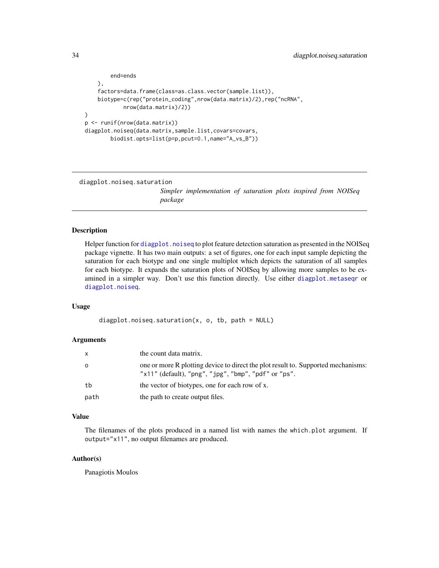```
end=ends
   ),
    factors=data.frame(class=as.class.vector(sample.list)),
   biotype=c(rep("protein_coding",nrow(data.matrix)/2),rep("ncRNA",
            nrow(data.matrix)/2))
)
p <- runif(nrow(data.matrix))
diagplot.noiseq(data.matrix,sample.list,covars=covars,
        biodist.opts=list(p=p,pcut=0.1,name="A_vs_B"))
```
<span id="page-33-1"></span>diagplot.noiseq.saturation

*Simpler implementation of saturation plots inspired from NOISeq package*

#### Description

Helper function for [diagplot.noiseq](#page-31-1) to plot feature detection saturation as presented in the NOISeq package vignette. It has two main outputs: a set of figures, one for each input sample depicting the saturation for each biotype and one single multiplot which depicts the saturation of all samples for each biotype. It expands the saturation plots of NOISeq by allowing more samples to be examined in a simpler way. Don't use this function directly. Use either [diagplot.metaseqr](#page-29-1) or [diagplot.noiseq](#page-31-1).

#### Usage

```
diagplot.noiseq.saturation(x, o, tb, path = NULL)
```
#### Arguments

| x    | the count data matrix.                                                                                                                                          |
|------|-----------------------------------------------------------------------------------------------------------------------------------------------------------------|
| o    | one or more R plotting device to direct the plot result to. Supported mechanisms:<br>" $x11"$ (default), " $png"$ , " $jpg"$ , " $bmp"$ , " $pdf"$ or " $ps"$ . |
| tb   | the vector of biotypes, one for each row of x.                                                                                                                  |
| path | the path to create output files.                                                                                                                                |

## Value

The filenames of the plots produced in a named list with names the which.plot argument. If output="x11", no output filenames are produced.

# Author(s)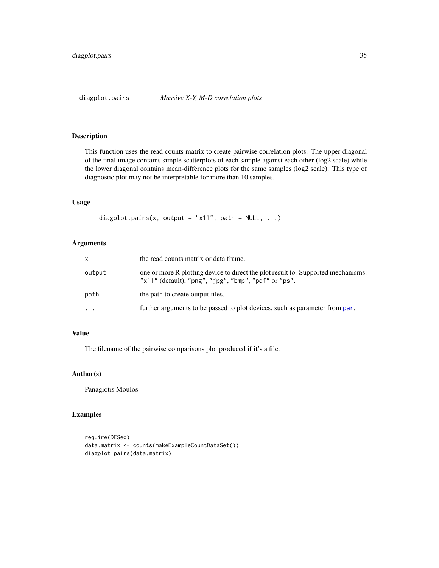<span id="page-34-0"></span>

# Description

This function uses the read counts matrix to create pairwise correlation plots. The upper diagonal of the final image contains simple scatterplots of each sample against each other (log2 scale) while the lower diagonal contains mean-difference plots for the same samples (log2 scale). This type of diagnostic plot may not be interpretable for more than 10 samples.

## Usage

diagplot.pairs(x, output = "x11", path =  $NULL, ...)$ 

# Arguments

| x         | the read counts matrix or data frame.                                                                                                     |
|-----------|-------------------------------------------------------------------------------------------------------------------------------------------|
| output    | one or more R plotting device to direct the plot result to. Supported mechanisms:<br>"x11" (default), "png", "jpg", "bmp", "pdf" or "ps". |
| path      | the path to create output files.                                                                                                          |
| $\ddotsc$ | further arguments to be passed to plot devices, such as parameter from par.                                                               |

# Value

The filename of the pairwise comparisons plot produced if it's a file.

# Author(s)

Panagiotis Moulos

```
require(DESeq)
data.matrix <- counts(makeExampleCountDataSet())
diagplot.pairs(data.matrix)
```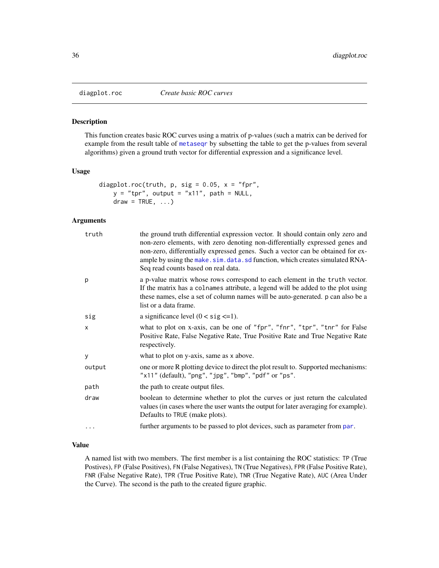<span id="page-35-0"></span>

# Description

This function creates basic ROC curves using a matrix of p-values (such a matrix can be derived for example from the result table of [metaseqr](#page-89-1) by subsetting the table to get the p-values from several algorithms) given a ground truth vector for differential expression and a significance level.

#### Usage

```
diagplot.roc(truth, p, sig = 0.05, x = "fpr",y = "tpr", output = "x11", path = NULL,draw = TRUE, ...
```
# Arguments

| truth  | the ground truth differential expression vector. It should contain only zero and<br>non-zero elements, with zero denoting non-differentially expressed genes and<br>non-zero, differentially expressed genes. Such a vector can be obtained for ex-<br>ample by using the make. sim. data. sd function, which creates simulated RNA-<br>Seq read counts based on real data. |
|--------|-----------------------------------------------------------------------------------------------------------------------------------------------------------------------------------------------------------------------------------------------------------------------------------------------------------------------------------------------------------------------------|
| p      | a p-value matrix whose rows correspond to each element in the truth vector.<br>If the matrix has a colnames attribute, a legend will be added to the plot using<br>these names, else a set of column names will be auto-generated. p can also be a<br>list or a data frame.                                                                                                 |
| sig    | a significance level $(0 < sig < = 1)$ .                                                                                                                                                                                                                                                                                                                                    |
| X      | what to plot on x-axis, can be one of "fpr", "fnr", "tpr", "tnr" for False<br>Positive Rate, False Negative Rate, True Positive Rate and True Negative Rate<br>respectively.                                                                                                                                                                                                |
| У      | what to plot on y-axis, same as x above.                                                                                                                                                                                                                                                                                                                                    |
| output | one or more R plotting device to direct the plot result to. Supported mechanisms:<br>"x11" (default), "png", "jpg", "bmp", "pdf" or "ps".                                                                                                                                                                                                                                   |
| path   | the path to create output files.                                                                                                                                                                                                                                                                                                                                            |
| draw   | boolean to determine whether to plot the curves or just return the calculated<br>values (in cases where the user wants the output for later averaging for example).<br>Defaults to TRUE (make plots).                                                                                                                                                                       |
| .      | further arguments to be passed to plot devices, such as parameter from par.                                                                                                                                                                                                                                                                                                 |
|        |                                                                                                                                                                                                                                                                                                                                                                             |

#### Value

A named list with two members. The first member is a list containing the ROC statistics: TP (True Postives), FP (False Positives), FN (False Negatives), TN (True Negatives), FPR (False Positive Rate), FNR (False Negative Rate), TPR (True Positive Rate), TNR (True Negative Rate), AUC (Area Under the Curve). The second is the path to the created figure graphic.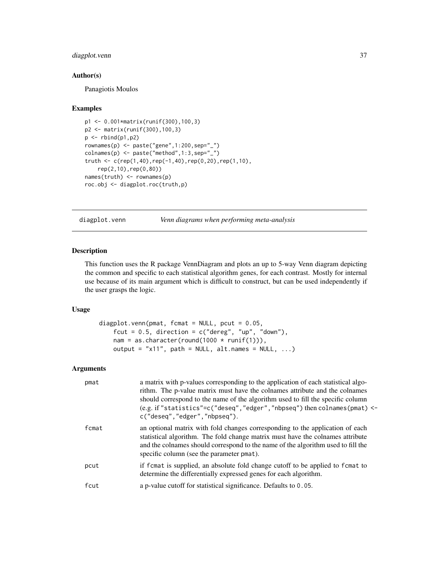# diagplot.venn 37

#### Author(s)

Panagiotis Moulos

#### Examples

```
p1 <- 0.001*matrix(runif(300),100,3)
p2 <- matrix(runif(300),100,3)
p \leftarrow \text{rbind}(p1, p2)rownames(p) <- paste("gene",1:200,sep="_")
colnames(p) <- paste("method",1:3,sep="_")
truth <- c(rep(1,40),rep(-1,40),rep(0,20),rep(1,10),rep(2,10),rep(0,80))
names(truth) <- rownames(p)
roc.obj <- diagplot.roc(truth,p)
```
diagplot.venn *Venn diagrams when performing meta-analysis*

# Description

This function uses the R package VennDiagram and plots an up to 5-way Venn diagram depicting the common and specific to each statistical algorithm genes, for each contrast. Mostly for internal use because of its main argument which is difficult to construct, but can be used independently if the user grasps the logic.

## Usage

```
diagplot.venn(pmat, fcmat = NULL, pcut = 0.05,
   fcut = 0.5, direction = c("degree", "up", "down"),nam = as.character(round(1000 * runif(1))),
   output = "x11", path = NULL, alt.names = NULL, ...)
```
# Arguments

| pmat  | a matrix with p-values corresponding to the application of each statistical algo-<br>rithm. The p-value matrix must have the colnames attribute and the colnames<br>should correspond to the name of the algorithm used to fill the specific column<br>(e.g. if "statistics"= $c$ ("deseq", "edger", "nbpseq") then colnames(pmat) <-<br>c("deseq","edger","nbpseq"). |
|-------|-----------------------------------------------------------------------------------------------------------------------------------------------------------------------------------------------------------------------------------------------------------------------------------------------------------------------------------------------------------------------|
| fcmat | an optional matrix with fold changes corresponding to the application of each<br>statistical algorithm. The fold change matrix must have the colnames attribute<br>and the colnames should correspond to the name of the algorithm used to fill the<br>specific column (see the parameter pmat).                                                                      |
| pcut  | if fcmat is supplied, an absolute fold change cutoff to be applied to fcmat to<br>determine the differentially expressed genes for each algorithm.                                                                                                                                                                                                                    |
| fcut  | a p-value cutoff for statistical significance. Defaults to 0.05.                                                                                                                                                                                                                                                                                                      |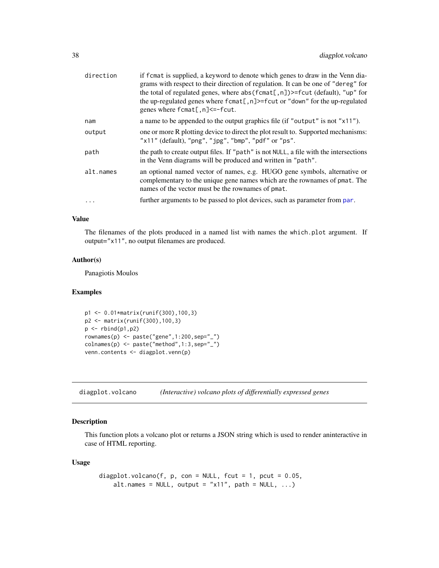| direction | if f cmat is supplied, a keyword to denote which genes to draw in the Venn dia-<br>grams with respect to their direction of regulation. It can be one of "dereg" for<br>the total of regulated genes, where $abs(femat[, n])$ >=fcut (default), "up" for<br>the up-regulated genes where fcmat[, n]>=fcut or "down" for the up-regulated<br>genes where $f$ cmat $[$ , n $]\leq-f$ cut. |
|-----------|-----------------------------------------------------------------------------------------------------------------------------------------------------------------------------------------------------------------------------------------------------------------------------------------------------------------------------------------------------------------------------------------|
| nam       | a name to be appended to the output graphics file (if "output" is not "x11").                                                                                                                                                                                                                                                                                                           |
| output    | one or more R plotting device to direct the plot result to. Supported mechanisms:<br>" $x11"$ (default), " $png"$ , " $jpg"$ , " $bmp"$ , " $pdf"$ or " $ps"$ .                                                                                                                                                                                                                         |
| path      | the path to create output files. If "path" is not NULL, a file with the intersections<br>in the Venn diagrams will be produced and written in "path".                                                                                                                                                                                                                                   |
| alt.names | an optional named vector of names, e.g. HUGO gene symbols, alternative or<br>complementary to the unique gene names which are the rownames of pmat. The<br>names of the vector must be the rownames of pmat.                                                                                                                                                                            |
| .         | further arguments to be passed to plot devices, such as parameter from par.                                                                                                                                                                                                                                                                                                             |

# Value

The filenames of the plots produced in a named list with names the which.plot argument. If output="x11", no output filenames are produced.

## Author(s)

Panagiotis Moulos

## Examples

```
p1 <- 0.01*matrix(runif(300),100,3)
p2 <- matrix(runif(300),100,3)
p <- rbind(p1,p2)
rownames(p) <- paste("gene",1:200,sep="_")
colnames(p) <- paste("method",1:3,sep="_")
venn.contents <- diagplot.venn(p)
```
diagplot.volcano *(Interactive) volcano plots of differentially expressed genes*

# Description

This function plots a volcano plot or returns a JSON string which is used to render aninteractive in case of HTML reporting.

## Usage

```
diagplot.volcano(f, p, con = NULL, fcut = 1, pcut = 0.05,
   alt.names = NULL, output = "x11", path = NULL, ...)
```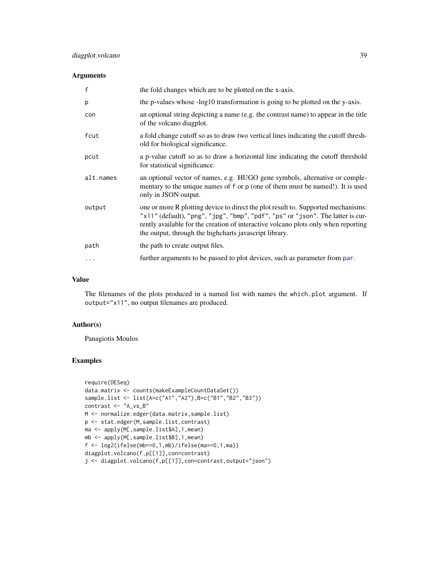## Arguments

| f         | the fold changes which are to be plotted on the x-axis.                                                                                                                                                                                                                                                              |
|-----------|----------------------------------------------------------------------------------------------------------------------------------------------------------------------------------------------------------------------------------------------------------------------------------------------------------------------|
| p         | the p-values whose -log10 transformation is going to be plotted on the y-axis.                                                                                                                                                                                                                                       |
| con       | an optional string depicting a name (e.g. the contrast name) to appear in the title<br>of the volcano diagplot.                                                                                                                                                                                                      |
| fcut      | a fold change cutoff so as to draw two vertical lines indicating the cutoff thresh-<br>old for biological significance.                                                                                                                                                                                              |
| pcut      | a p-value cutoff so as to draw a horizontal line indicating the cutoff threshold<br>for statistical significance.                                                                                                                                                                                                    |
| alt.names | an optional vector of names, e.g. HUGO gene symbols, alternative or comple-<br>mentary to the unique names of f or p (one of them must be named!). It is used<br>only in JSON output.                                                                                                                                |
| output    | one or more R plotting device to direct the plot result to. Supported mechanisms:<br>"x11" (default), "png", "jpg", "bmp", "pdf", "ps" or "json". The latter is cur-<br>rently available for the creation of interactive volcano plots only when reporting<br>the output, through the highcharts javascript library. |
| path      | the path to create output files.                                                                                                                                                                                                                                                                                     |
| .         | further arguments to be passed to plot devices, such as parameter from par.                                                                                                                                                                                                                                          |

#### Value

The filenames of the plots produced in a named list with names the which.plot argument. If output="x11", no output filenames are produced.

#### Author(s)

Panagiotis Moulos

```
require(DESeq)
data.matrix <- counts(makeExampleCountDataSet())
sample.list <- list(A=c("A1","A2"),B=c("B1","B2","B3"))
contrast <- "A_vs_B"
M <- normalize.edger(data.matrix,sample.list)
p <- stat.edger(M,sample.list,contrast)
ma <- apply(M[,sample.list$A],1,mean)
mb <- apply(M[,sample.list$B],1,mean)
f <- log2(ifelse(mb==0,1,mb)/ifelse(ma==0,1,ma))
diagplot.volcano(f,p[[1]],con=contrast)
j <- diagplot.volcano(f,p[[1]],con=contrast,output="json")
```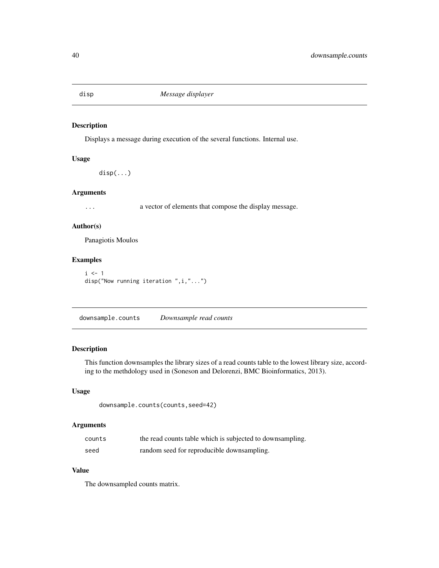Displays a message during execution of the several functions. Internal use.

#### Usage

disp(...)

#### Arguments

... a vector of elements that compose the display message.

## Author(s)

Panagiotis Moulos

# Examples

```
i \leq 1disp("Now running iteration ",i,"...")
```
downsample.counts *Downsample read counts*

# Description

This function downsamples the library sizes of a read counts table to the lowest library size, according to the methdology used in (Soneson and Delorenzi, BMC Bioinformatics, 2013).

# Usage

```
downsample.counts(counts,seed=42)
```
# Arguments

| counts | the read counts table which is subjected to downsampling. |
|--------|-----------------------------------------------------------|
| seed   | random seed for reproducible downsampling.                |

# Value

The downsampled counts matrix.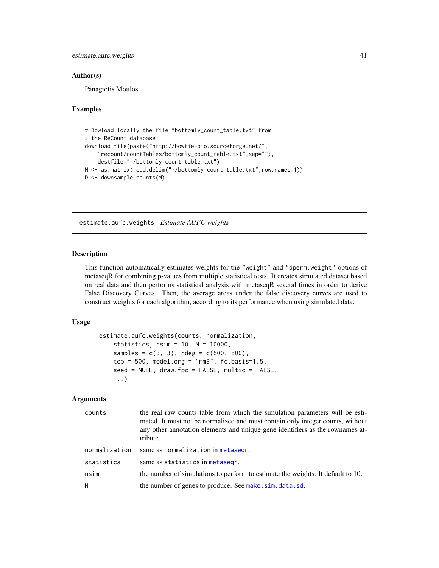# estimate.aufc.weights 41

#### Author(s)

Panagiotis Moulos

## Examples

```
# Dowload locally the file "bottomly_count_table.txt" from
# the ReCount database
download.file(paste("http://bowtie-bio.sourceforge.net/",
    "recount/countTables/bottomly_count_table.txt",sep=""),
    destfile="~/bottomly_count_table.txt")
M <- as.matrix(read.delim("~/bottomly_count_table.txt",row.names=1))
D <- downsample.counts(M)
```
<span id="page-40-0"></span>estimate.aufc.weights *Estimate AUFC weights*

#### Description

This function automatically estimates weights for the "weight" and "dperm.weight" options of metaseqR for combining p-values from multiple statistical tests. It creates simulated dataset based on real data and then performs statistical analysis with metaseqR several times in order to derive False Discovery Curves. Then, the average areas under the false discovery curves are used to construct weights for each algorithm, according to its performance when using simulated data.

## Usage

```
estimate.aufc.weights(counts, normalization,
    statistics, nsim = 10, N = 10000,
   samples = c(3, 3), ndeg = c(500, 500),top = 500, model.org = "mm9", fc.basis=1.5,
    seed = NULL, draw.fpc = FALSE, multic = FALSE,
    ...)
```
#### Arguments

| counts        | the real raw counts table from which the simulation parameters will be esti-<br>mated. It must not be normalized and must contain only integer counts, without<br>any other annotation elements and unique gene identifiers as the rownames at-<br>tribute. |
|---------------|-------------------------------------------------------------------------------------------------------------------------------------------------------------------------------------------------------------------------------------------------------------|
| normalization | same as normalization in metasegr.                                                                                                                                                                                                                          |
| statistics    | same as statistics in metasegr.                                                                                                                                                                                                                             |
| nsim          | the number of simulations to perform to estimate the weights. It default to 10.                                                                                                                                                                             |
| N             | the number of genes to produce. See make.sim.data.sd.                                                                                                                                                                                                       |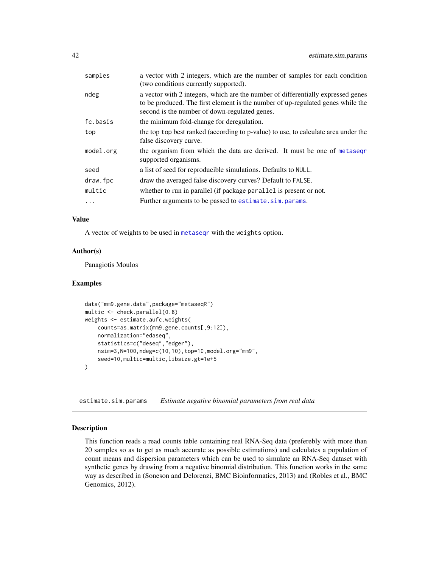| samples   | a vector with 2 integers, which are the number of samples for each condition<br>(two conditions currently supported).                                                                                                |
|-----------|----------------------------------------------------------------------------------------------------------------------------------------------------------------------------------------------------------------------|
| ndeg      | a vector with 2 integers, which are the number of differentially expressed genes<br>to be produced. The first element is the number of up-regulated genes while the<br>second is the number of down-regulated genes. |
| fc.basis  | the minimum fold-change for deregulation.                                                                                                                                                                            |
| top       | the top top best ranked (according to p-value) to use, to calculate area under the<br>false discovery curve.                                                                                                         |
| model.org | the organism from which the data are derived. It must be one of metasegr<br>supported organisms.                                                                                                                     |
| seed      | a list of seed for reproducible simulations. Defaults to NULL.                                                                                                                                                       |
| draw.fpc  | draw the averaged false discovery curves? Default to FALSE.                                                                                                                                                          |
| multic    | whether to run in parallel (if package parallel is present or not.                                                                                                                                                   |
| $\ddots$  | Further arguments to be passed to estimate.sim.params.                                                                                                                                                               |
|           |                                                                                                                                                                                                                      |

#### Value

A vector of weights to be used in [metaseqr](#page-89-0) with the weights option.

#### Author(s)

Panagiotis Moulos

## Examples

```
data("mm9.gene.data",package="metaseqR")
multic <- check.parallel(0.8)
weights <- estimate.aufc.weights(
   counts=as.matrix(mm9.gene.counts[,9:12]),
   normalization="edaseq",
    statistics=c("deseq","edger"),
   nsim=3,N=100,ndeg=c(10,10),top=10,model.org="mm9",
    seed=10,multic=multic,libsize.gt=1e+5
)
```
<span id="page-41-0"></span>estimate.sim.params *Estimate negative binomial parameters from real data*

#### Description

This function reads a read counts table containing real RNA-Seq data (preferebly with more than 20 samples so as to get as much accurate as possible estimations) and calculates a population of count means and dispersion parameters which can be used to simulate an RNA-Seq dataset with synthetic genes by drawing from a negative binomial distribution. This function works in the same way as described in (Soneson and Delorenzi, BMC Bioinformatics, 2013) and (Robles et al., BMC Genomics, 2012).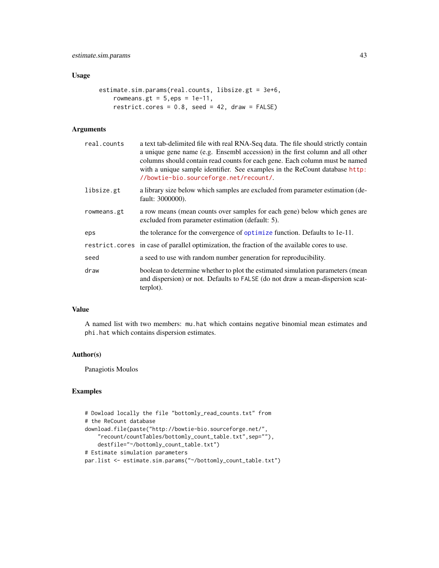## Usage

```
estimate.sim.params(real.counts, libsize.gt = 3e+6,
   rowmeans.gt = 5,eps = 1e-11,
   restrict.cores = 0.8, seed = 42, draw = FALSE)
```
# Arguments

| real.counts | a text tab-delimited file with real RNA-Seq data. The file should strictly contain<br>a unique gene name (e.g. Ensembl accession) in the first column and all other<br>columns should contain read counts for each gene. Each column must be named<br>with a unique sample identifier. See examples in the ReCount database http:<br>//bowtie-bio.sourceforge.net/recount/. |
|-------------|-----------------------------------------------------------------------------------------------------------------------------------------------------------------------------------------------------------------------------------------------------------------------------------------------------------------------------------------------------------------------------|
| libsize.gt  | a library size below which samples are excluded from parameter estimation (de-<br>fault: 3000000).                                                                                                                                                                                                                                                                          |
| rowmeans.gt | a row means (mean counts over samples for each gene) below which genes are<br>excluded from parameter estimation (default: 5).                                                                                                                                                                                                                                              |
| eps         | the tolerance for the convergence of optimize function. Defaults to 1e-11.                                                                                                                                                                                                                                                                                                  |
|             | restrict.cores in case of parallel optimization, the fraction of the available cores to use.                                                                                                                                                                                                                                                                                |
| seed        | a seed to use with random number generation for reproducibility.                                                                                                                                                                                                                                                                                                            |
| draw        | boolean to determine whether to plot the estimated simulation parameters (mean<br>and dispersion) or not. Defaults to FALSE (do not draw a mean-dispersion scat-<br>terplot).                                                                                                                                                                                               |

## Value

A named list with two members: mu.hat which contains negative binomial mean estimates and phi.hat which contains dispersion estimates.

# Author(s)

Panagiotis Moulos

```
# Dowload locally the file "bottomly_read_counts.txt" from
# the ReCount database
download.file(paste("http://bowtie-bio.sourceforge.net/",
    "recount/countTables/bottomly_count_table.txt",sep=""),
    destfile="~/bottomly_count_table.txt")
# Estimate simulation parameters
par.list <- estimate.sim.params("~/bottomly_count_table.txt")
```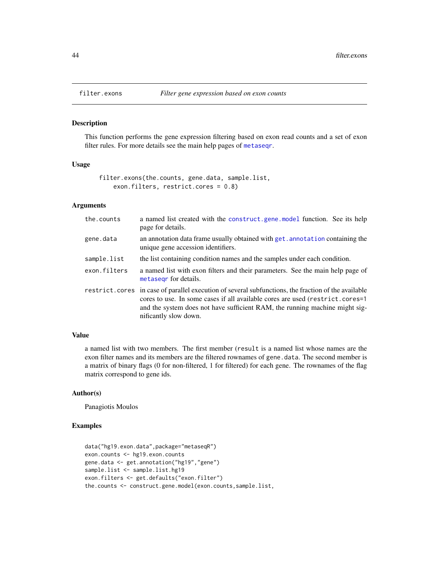This function performs the gene expression filtering based on exon read counts and a set of exon filter rules. For more details see the main help pages of [metaseqr](#page-89-0).

#### Usage

filter.exons(the.counts, gene.data, sample.list, exon.filters, restrict.cores = 0.8)

# Arguments

| the.counts   | a named list created with the construct, gene, model function. See its help<br>page for details.                                                                                                                                                                                              |  |
|--------------|-----------------------------------------------------------------------------------------------------------------------------------------------------------------------------------------------------------------------------------------------------------------------------------------------|--|
| gene.data    | an annotation data frame usually obtained with get. annotation containing the<br>unique gene accession identifiers.                                                                                                                                                                           |  |
| sample.list  | the list containing condition names and the samples under each condition.                                                                                                                                                                                                                     |  |
| exon.filters | a named list with exon filters and their parameters. See the main help page of<br>metasegr for details.                                                                                                                                                                                       |  |
|              | restrict.cores in case of parallel execution of several subfunctions, the fraction of the available<br>cores to use. In some cases if all available cores are used (restrict.cores=1)<br>and the system does not have sufficient RAM, the running machine might sig-<br>nificantly slow down. |  |

## Value

a named list with two members. The first member (result is a named list whose names are the exon filter names and its members are the filtered rownames of gene.data. The second member is a matrix of binary flags (0 for non-filtered, 1 for filtered) for each gene. The rownames of the flag matrix correspond to gene ids.

## Author(s)

Panagiotis Moulos

```
data("hg19.exon.data",package="metaseqR")
exon.counts <- hg19.exon.counts
gene.data <- get.annotation("hg19","gene")
sample.list <- sample.list.hg19
exon.filters <- get.defaults("exon.filter")
the.counts <- construct.gene.model(exon.counts,sample.list,
```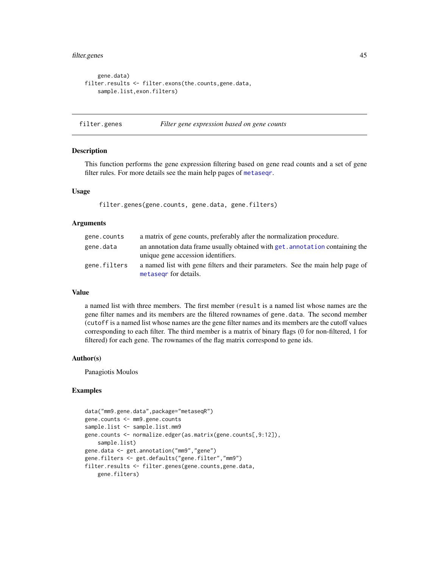# filter.genes 45

```
gene.data)
filter.results <- filter.exons(the.counts,gene.data,
   sample.list,exon.filters)
```
filter.genes *Filter gene expression based on gene counts*

#### Description

This function performs the gene expression filtering based on gene read counts and a set of gene filter rules. For more details see the main help pages of [metaseqr](#page-89-0).

#### Usage

filter.genes(gene.counts, gene.data, gene.filters)

#### Arguments

| gene.counts  | a matrix of gene counts, preferably after the normalization procedure.         |
|--------------|--------------------------------------------------------------------------------|
| gene.data    | an annotation data frame usually obtained with get, annotation containing the  |
|              | unique gene accession identifiers.                                             |
| gene.filters | a named list with gene filters and their parameters. See the main help page of |
|              | metasegr for details.                                                          |

# Value

a named list with three members. The first member (result is a named list whose names are the gene filter names and its members are the filtered rownames of gene.data. The second member (cutoff is a named list whose names are the gene filter names and its members are the cutoff values corresponding to each filter. The third member is a matrix of binary flags (0 for non-filtered, 1 for filtered) for each gene. The rownames of the flag matrix correspond to gene ids.

## Author(s)

Panagiotis Moulos

```
data("mm9.gene.data",package="metaseqR")
gene.counts <- mm9.gene.counts
sample.list <- sample.list.mm9
gene.counts <- normalize.edger(as.matrix(gene.counts[,9:12]),
    sample.list)
gene.data <- get.annotation("mm9","gene")
gene.filters <- get.defaults("gene.filter","mm9")
filter.results <- filter.genes(gene.counts,gene.data,
   gene.filters)
```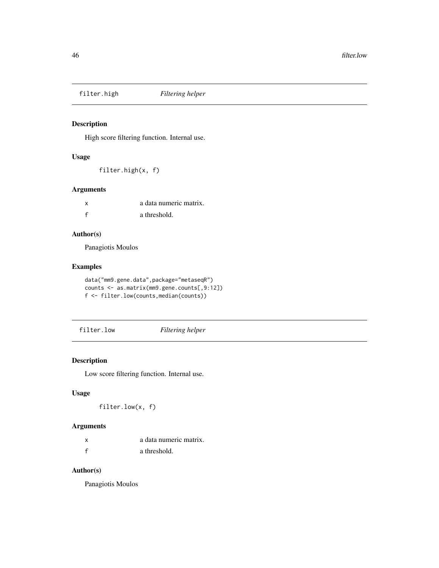High score filtering function. Internal use.

#### Usage

filter.high(x, f)

## Arguments

| x            | a data numeric matrix. |
|--------------|------------------------|
| $\mathbf{f}$ | a threshold.           |

# Author(s)

Panagiotis Moulos

# Examples

```
data("mm9.gene.data",package="metaseqR")
counts <- as.matrix(mm9.gene.counts[,9:12])
f <- filter.low(counts,median(counts))
```
# filter.low *Filtering helper*

# Description

Low score filtering function. Internal use.

#### Usage

filter.low(x, f)

# Arguments

| a data numeric matrix. |
|------------------------|
| a threshold.           |

# Author(s)

Panagiotis Moulos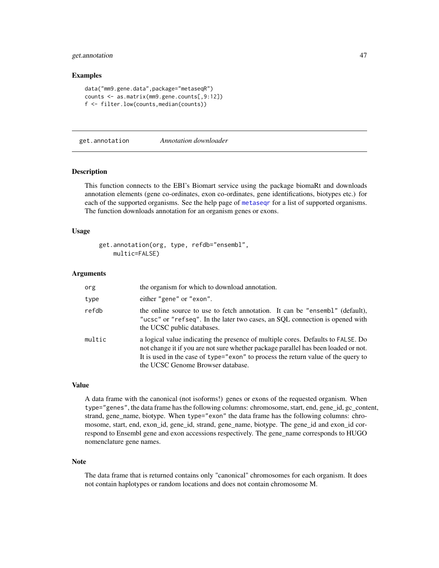# get.annotation 47

#### Examples

```
data("mm9.gene.data",package="metaseqR")
counts <- as.matrix(mm9.gene.counts[,9:12])
f <- filter.low(counts,median(counts))
```
<span id="page-46-0"></span>get.annotation *Annotation downloader*

#### Description

This function connects to the EBI's Biomart service using the package biomaRt and downloads annotation elements (gene co-ordinates, exon co-ordinates, gene identifications, biotypes etc.) for each of the supported organisms. See the help page of [metaseqr](#page-89-0) for a list of supported organisms. The function downloads annotation for an organism genes or exons.

#### Usage

```
get.annotation(org, type, refdb="ensembl",
   multic=FALSE)
```
#### Arguments

| org    | the organism for which to download annotation.                                                                                                                                                                                                                                                   |  |
|--------|--------------------------------------------------------------------------------------------------------------------------------------------------------------------------------------------------------------------------------------------------------------------------------------------------|--|
| type   | either "gene" or "exon".                                                                                                                                                                                                                                                                         |  |
| refdb  | the online source to use to fetch annotation. It can be "ensembl" (default),<br>"ucsc" or "refseq". In the later two cases, an SQL connection is opened with<br>the UCSC public databases.                                                                                                       |  |
| multic | a logical value indicating the presence of multiple cores. Defaults to FALSE. Do<br>not change it if you are not sure whether package parallel has been loaded or not.<br>It is used in the case of type="exon" to process the return value of the query to<br>the UCSC Genome Browser database. |  |

#### Value

A data frame with the canonical (not isoforms!) genes or exons of the requested organism. When type="genes", the data frame has the following columns: chromosome, start, end, gene\_id, gc\_content, strand, gene\_name, biotype. When type="exon" the data frame has the following columns: chromosome, start, end, exon\_id, gene\_id, strand, gene\_name, biotype. The gene\_id and exon\_id correspond to Ensembl gene and exon accessions respectively. The gene\_name corresponds to HUGO nomenclature gene names.

#### Note

The data frame that is returned contains only "canonical" chromosomes for each organism. It does not contain haplotypes or random locations and does not contain chromosome M.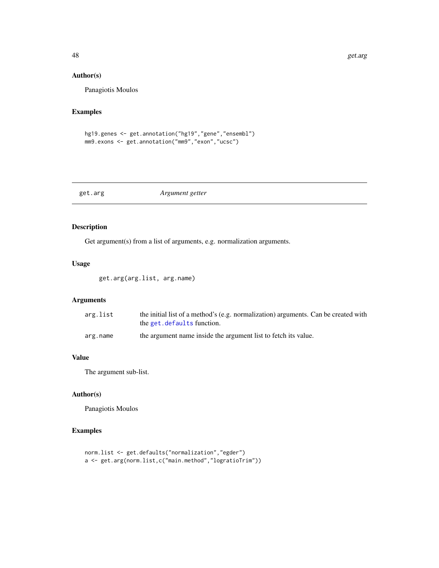## Author(s)

Panagiotis Moulos

# Examples

```
hg19.genes <- get.annotation("hg19","gene","ensembl")
mm9.exons <- get.annotation("mm9","exon","ucsc")
```
get.arg *Argument getter*

## Description

Get argument(s) from a list of arguments, e.g. normalization arguments.

#### Usage

get.arg(arg.list, arg.name)

# Arguments

| arg.list | the initial list of a method's (e.g. normalization) arguments. Can be created with<br>the get. defaults function. |
|----------|-------------------------------------------------------------------------------------------------------------------|
| arg.name | the argument name inside the argument list to fetch its value.                                                    |

## Value

The argument sub-list.

# Author(s)

Panagiotis Moulos

```
norm.list <- get.defaults("normalization","egder")
a <- get.arg(norm.list,c("main.method","logratioTrim"))
```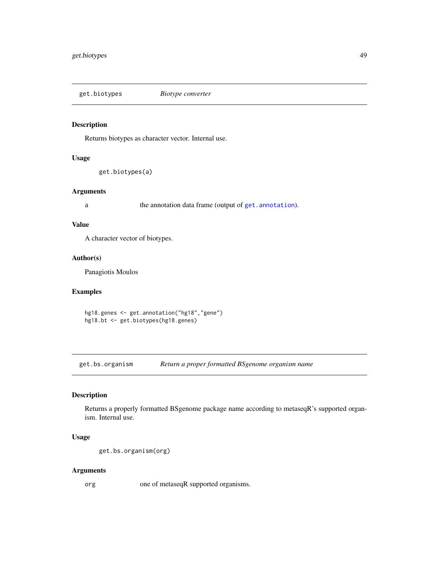get.biotypes *Biotype converter*

#### Description

Returns biotypes as character vector. Internal use.

## Usage

get.biotypes(a)

#### Arguments

a the annotation data frame (output of [get.annotation](#page-46-0)).

# Value

A character vector of biotypes.

## Author(s)

Panagiotis Moulos

# Examples

hg18.genes <- get.annotation("hg18","gene") hg18.bt <- get.biotypes(hg18.genes)

get.bs.organism *Return a proper formatted BSgenome organism name*

# Description

Returns a properly formatted BSgenome package name according to metaseqR's supported organism. Internal use.

# Usage

```
get.bs.organism(org)
```
## Arguments

org one of metaseqR supported organisms.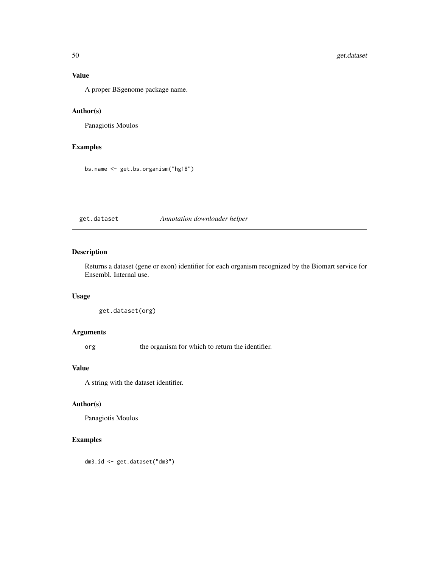# Value

A proper BSgenome package name.

# Author(s)

Panagiotis Moulos

# Examples

bs.name <- get.bs.organism("hg18")

get.dataset *Annotation downloader helper*

# Description

Returns a dataset (gene or exon) identifier for each organism recognized by the Biomart service for Ensembl. Internal use.

## Usage

```
get.dataset(org)
```
## Arguments

org the organism for which to return the identifier.

# Value

A string with the dataset identifier.

## Author(s)

Panagiotis Moulos

# Examples

dm3.id <- get.dataset("dm3")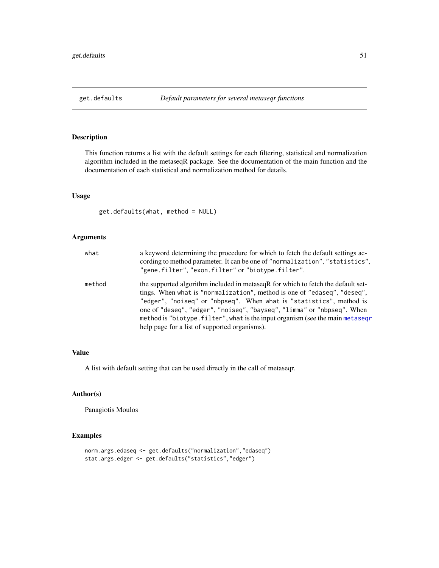<span id="page-50-0"></span>

This function returns a list with the default settings for each filtering, statistical and normalization algorithm included in the metaseqR package. See the documentation of the main function and the documentation of each statistical and normalization method for details.

# Usage

get.defaults(what, method = NULL)

## Arguments

| what   | a keyword determining the procedure for which to fetch the default settings ac-<br>cording to method parameter. It can be one of "normalization", "statistics",<br>"gene.filter", "exon.filter" or "biotype.filter".                                                                                                                                                                                                                              |
|--------|---------------------------------------------------------------------------------------------------------------------------------------------------------------------------------------------------------------------------------------------------------------------------------------------------------------------------------------------------------------------------------------------------------------------------------------------------|
| method | the supported algorithm included in metaseq R for which to fetch the default set-<br>tings. When what is "normalization", method is one of "edaseq", "deseq",<br>"edger", "noiseq" or "nbpseq". When what is "statistics", method is<br>one of "deseq", "edger", "noiseq", "bayseq", "limma" or "nbpseq". When<br>method is "biotype. filter", what is the input organism (see the main metasegr<br>help page for a list of supported organisms). |

#### Value

A list with default setting that can be used directly in the call of metaseqr.

# Author(s)

Panagiotis Moulos

```
norm.args.edaseq <- get.defaults("normalization","edaseq")
stat.args.edger <- get.defaults("statistics","edger")
```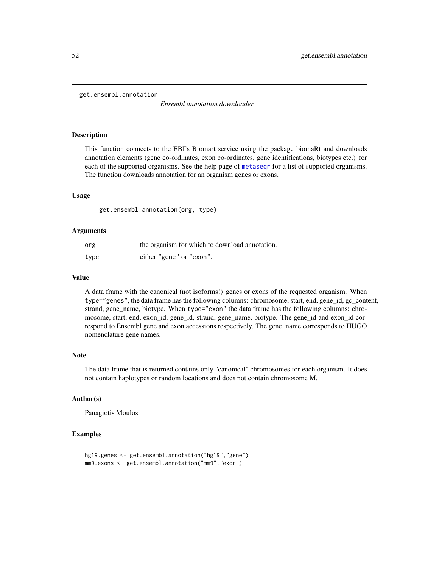get.ensembl.annotation

*Ensembl annotation downloader*

## **Description**

This function connects to the EBI's Biomart service using the package biomaRt and downloads annotation elements (gene co-ordinates, exon co-ordinates, gene identifications, biotypes etc.) for each of the supported organisms. See the help page of [metaseqr](#page-89-0) for a list of supported organisms. The function downloads annotation for an organism genes or exons.

#### Usage

get.ensembl.annotation(org, type)

## Arguments

| org  | the organism for which to download annotation. |
|------|------------------------------------------------|
| type | either "gene" or "exon".                       |

#### Value

A data frame with the canonical (not isoforms!) genes or exons of the requested organism. When type="genes", the data frame has the following columns: chromosome, start, end, gene\_id, gc\_content, strand, gene\_name, biotype. When type="exon" the data frame has the following columns: chromosome, start, end, exon\_id, gene\_id, strand, gene\_name, biotype. The gene\_id and exon\_id correspond to Ensembl gene and exon accessions respectively. The gene\_name corresponds to HUGO nomenclature gene names.

## Note

The data frame that is returned contains only "canonical" chromosomes for each organism. It does not contain haplotypes or random locations and does not contain chromosome M.

## Author(s)

Panagiotis Moulos

```
hg19.genes <- get.ensembl.annotation("hg19","gene")
mm9.exons <- get.ensembl.annotation("mm9","exon")
```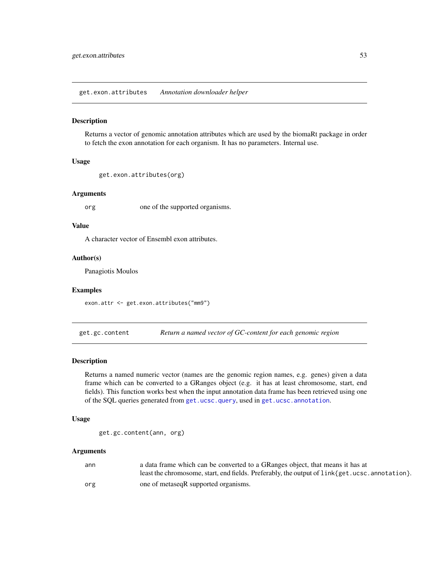get.exon.attributes *Annotation downloader helper*

#### Description

Returns a vector of genomic annotation attributes which are used by the biomaRt package in order to fetch the exon annotation for each organism. It has no parameters. Internal use.

## Usage

```
get.exon.attributes(org)
```
## Arguments

org one of the supported organisms.

### Value

A character vector of Ensembl exon attributes.

#### Author(s)

Panagiotis Moulos

#### Examples

exon.attr <- get.exon.attributes("mm9")

get.gc.content *Return a named vector of GC-content for each genomic region*

#### Description

Returns a named numeric vector (names are the genomic region names, e.g. genes) given a data frame which can be converted to a GRanges object (e.g. it has at least chromosome, start, end fields). This function works best when the input annotation data frame has been retrieved using one of the SQL queries generated from [get.ucsc.query](#page-59-0), used in [get.ucsc.annotation](#page-56-0).

#### Usage

```
get.gc.content(ann, org)
```
#### Arguments

| ann | a data frame which can be converted to a GRanges object, that means it has at                                   |
|-----|-----------------------------------------------------------------------------------------------------------------|
|     | least the chromosome, start, end fields. Preferably, the output of $link{\text{get}}$ , ucsc. annotation $\}$ . |
| org | one of metaseqR supported organisms.                                                                            |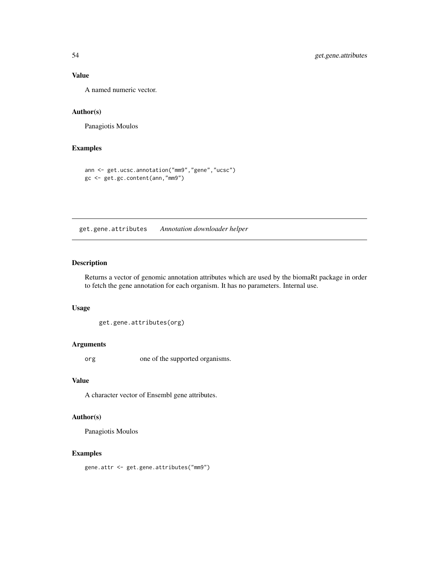# Value

A named numeric vector.

# Author(s)

Panagiotis Moulos

# Examples

```
ann <- get.ucsc.annotation("mm9","gene","ucsc")
gc <- get.gc.content(ann,"mm9")
```
get.gene.attributes *Annotation downloader helper*

## Description

Returns a vector of genomic annotation attributes which are used by the biomaRt package in order to fetch the gene annotation for each organism. It has no parameters. Internal use.

#### Usage

```
get.gene.attributes(org)
```
#### Arguments

org one of the supported organisms.

#### Value

A character vector of Ensembl gene attributes.

## Author(s)

Panagiotis Moulos

# Examples

gene.attr <- get.gene.attributes("mm9")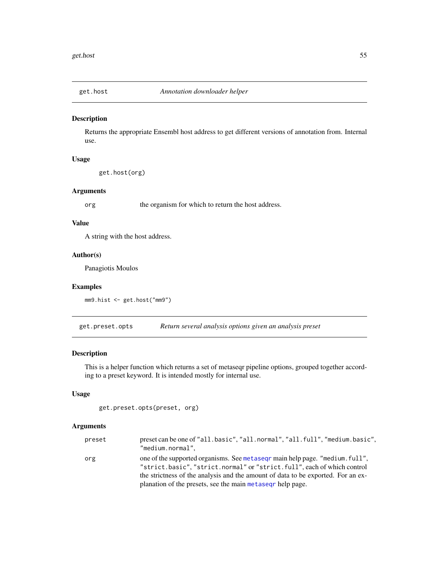Returns the appropriate Ensembl host address to get different versions of annotation from. Internal use.

#### Usage

get.host(org)

#### Arguments

org the organism for which to return the host address.

## Value

A string with the host address.

## Author(s)

Panagiotis Moulos

#### Examples

mm9.hist <- get.host("mm9")

get.preset.opts *Return several analysis options given an analysis preset*

## Description

This is a helper function which returns a set of metaseqr pipeline options, grouped together according to a preset keyword. It is intended mostly for internal use.

# Usage

```
get.preset.opts(preset, org)
```
# Arguments

| preset | preset can be one of "all.basic", "all.normal", "all.full", "medium.basic",<br>"medium.normal",                                                          |
|--------|----------------------------------------------------------------------------------------------------------------------------------------------------------|
| org    | one of the supported organisms. See metased r main help page. "medium. full",<br>"strict.basic", "strict.normal" or "strict.full", each of which control |
|        | the strictness of the analysis and the amount of data to be exported. For an ex-                                                                         |
|        | planation of the presets, see the main metased phelp page.                                                                                               |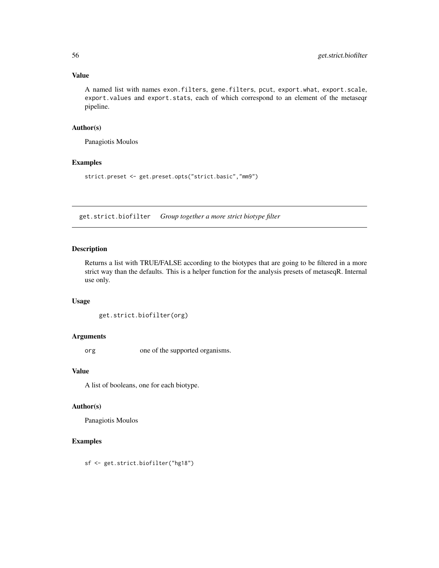# Value

A named list with names exon.filters, gene.filters, pcut, export.what, export.scale, export.values and export.stats, each of which correspond to an element of the metaseqr pipeline.

## Author(s)

Panagiotis Moulos

## Examples

strict.preset <- get.preset.opts("strict.basic","mm9")

get.strict.biofilter *Group together a more strict biotype filter*

## Description

Returns a list with TRUE/FALSE according to the biotypes that are going to be filtered in a more strict way than the defaults. This is a helper function for the analysis presets of metaseqR. Internal use only.

#### Usage

```
get.strict.biofilter(org)
```
#### Arguments

org one of the supported organisms.

#### Value

A list of booleans, one for each biotype.

## Author(s)

Panagiotis Moulos

# Examples

sf <- get.strict.biofilter("hg18")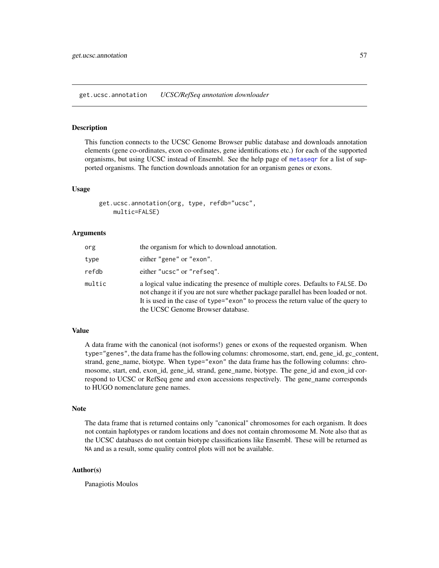<span id="page-56-0"></span>get.ucsc.annotation *UCSC/RefSeq annotation downloader*

#### **Description**

This function connects to the UCSC Genome Browser public database and downloads annotation elements (gene co-ordinates, exon co-ordinates, gene identifications etc.) for each of the supported organisms, but using UCSC instead of Ensembl. See the help page of [metaseqr](#page-89-0) for a list of supported organisms. The function downloads annotation for an organism genes or exons.

#### Usage

```
get.ucsc.annotation(org, type, refdb="ucsc",
    multic=FALSE)
```
#### Arguments

| org    | the organism for which to download annotation.                                                                                                                                                                                                                                                   |
|--------|--------------------------------------------------------------------------------------------------------------------------------------------------------------------------------------------------------------------------------------------------------------------------------------------------|
| type   | either "gene" or "exon".                                                                                                                                                                                                                                                                         |
| refdb  | either "ucsc" or "refseq".                                                                                                                                                                                                                                                                       |
| multic | a logical value indicating the presence of multiple cores. Defaults to FALSE, Do<br>not change it if you are not sure whether package parallel has been loaded or not.<br>It is used in the case of type="exon" to process the return value of the query to<br>the UCSC Genome Browser database. |

# Value

A data frame with the canonical (not isoforms!) genes or exons of the requested organism. When type="genes", the data frame has the following columns: chromosome, start, end, gene\_id, gc\_content, strand, gene\_name, biotype. When type="exon" the data frame has the following columns: chromosome, start, end, exon\_id, gene\_id, strand, gene\_name, biotype. The gene\_id and exon\_id correspond to UCSC or RefSeq gene and exon accessions respectively. The gene\_name corresponds to HUGO nomenclature gene names.

#### **Note**

The data frame that is returned contains only "canonical" chromosomes for each organism. It does not contain haplotypes or random locations and does not contain chromosome M. Note also that as the UCSC databases do not contain biotype classifications like Ensembl. These will be returned as NA and as a result, some quality control plots will not be available.

#### Author(s)

Panagiotis Moulos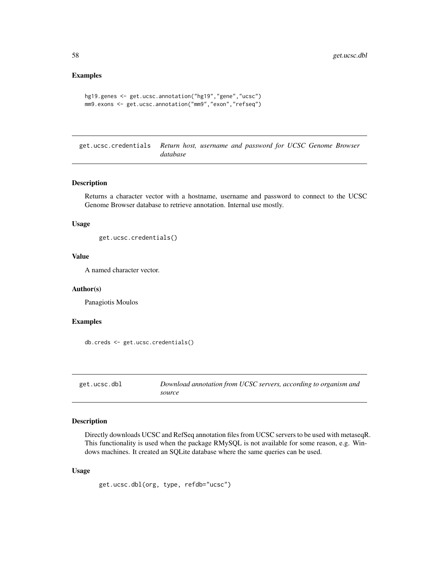#### Examples

```
hg19.genes <- get.ucsc.annotation("hg19","gene","ucsc")
mm9.exons <- get.ucsc.annotation("mm9","exon","refseq")
```
get.ucsc.credentials *Return host, username and password for UCSC Genome Browser database*

## Description

Returns a character vector with a hostname, username and password to connect to the UCSC Genome Browser database to retrieve annotation. Internal use mostly.

## Usage

get.ucsc.credentials()

## Value

A named character vector.

#### Author(s)

Panagiotis Moulos

#### Examples

db.creds <- get.ucsc.credentials()

get.ucsc.dbl *Download annotation from UCSC servers, according to organism and source*

#### Description

Directly downloads UCSC and RefSeq annotation files from UCSC servers to be used with metaseqR. This functionality is used when the package RMySQL is not available for some reason, e.g. Windows machines. It created an SQLite database where the same queries can be used.

#### Usage

get.ucsc.dbl(org, type, refdb="ucsc")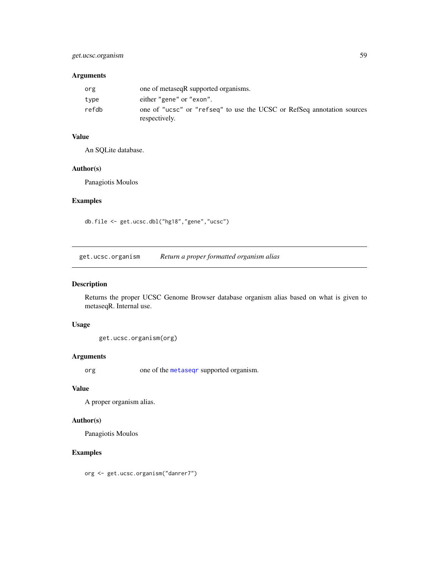# get.ucsc.organism 59

# Arguments

| org   | one of metaseqR supported organisms.                                                    |  |
|-------|-----------------------------------------------------------------------------------------|--|
| type  | either "gene" or "exon".                                                                |  |
| refdb | one of "ucsc" or "refseq" to use the UCSC or RefSeq annotation sources<br>respectively. |  |

# Value

An SQLite database.

#### Author(s)

Panagiotis Moulos

# Examples

db.file <- get.ucsc.dbl("hg18","gene","ucsc")

get.ucsc.organism *Return a proper formatted organism alias*

# Description

Returns the proper UCSC Genome Browser database organism alias based on what is given to metaseqR. Internal use.

#### Usage

get.ucsc.organism(org)

## Arguments

org one of the [metaseqr](#page-89-0) supported organism.

#### Value

A proper organism alias.

# Author(s)

Panagiotis Moulos

# Examples

org <- get.ucsc.organism("danrer7")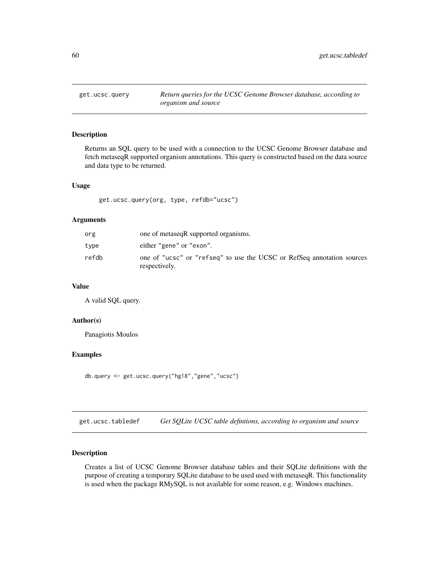<span id="page-59-0"></span>

Returns an SQL query to be used with a connection to the UCSC Genome Browser database and fetch metaseqR supported organism annotations. This query is constructed based on the data source and data type to be returned.

## Usage

get.ucsc.query(org, type, refdb="ucsc")

#### Arguments

| org   | one of metaseqR supported organisms.                                                    |
|-------|-----------------------------------------------------------------------------------------|
| type  | either "gene" or "exon".                                                                |
| refdb | one of "ucsc" or "refseq" to use the UCSC or RefSeq annotation sources<br>respectively. |

# Value

A valid SQL query.

# Author(s)

Panagiotis Moulos

## Examples

db.query <- get.ucsc.query("hg18","gene","ucsc")

get.ucsc.tabledef *Get SQLite UCSC table defintions, according to organism and source*

# Description

Creates a list of UCSC Genome Browser database tables and their SQLite definitions with the purpose of creating a temporary SQLite database to be used used with metaseqR. This functionality is used when the package RMySQL is not available for some reason, e.g. Windows machines.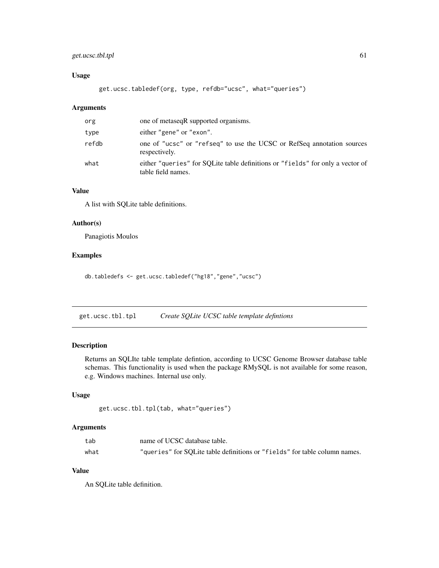# get.ucsc.tbl.tpl 61

# Usage

get.ucsc.tabledef(org, type, refdb="ucsc", what="queries")

## Arguments

| org   | one of metaseqR supported organisms.                                                                 |
|-------|------------------------------------------------------------------------------------------------------|
| type  | either "gene" or "exon".                                                                             |
| refdb | one of "ucsc" or "refseq" to use the UCSC or RefSeq annotation sources<br>respectively.              |
| what  | either "queries" for SOLite table definitions or "fields" for only a vector of<br>table field names. |

## Value

A list with SQLite table definitions.

#### Author(s)

Panagiotis Moulos

#### Examples

db.tabledefs <- get.ucsc.tabledef("hg18","gene","ucsc")

get.ucsc.tbl.tpl *Create SQLite UCSC table template defintions*

# Description

Returns an SQLIte table template defintion, according to UCSC Genome Browser database table schemas. This functionality is used when the package RMySQL is not available for some reason, e.g. Windows machines. Internal use only.

## Usage

```
get.ucsc.tbl.tpl(tab, what="queries")
```
#### Arguments

| tab  | name of UCSC database table.                                               |
|------|----------------------------------------------------------------------------|
| what | "queries" for SOLite table definitions or "fields" for table column names. |

## Value

An SQLite table definition.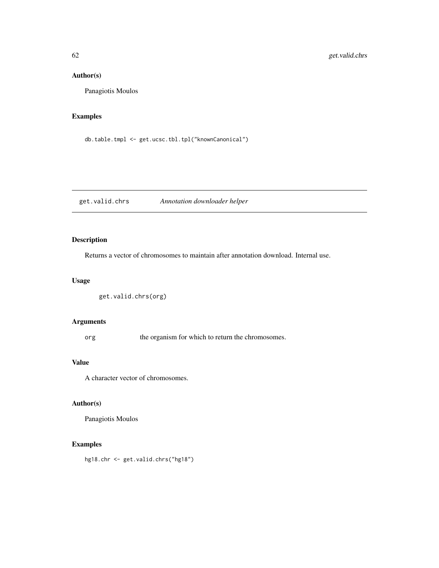# Author(s)

Panagiotis Moulos

# Examples

db.table.tmpl <- get.ucsc.tbl.tpl("knownCanonical")

get.valid.chrs *Annotation downloader helper*

# Description

Returns a vector of chromosomes to maintain after annotation download. Internal use.

# Usage

```
get.valid.chrs(org)
```
# Arguments

org the organism for which to return the chromosomes.

#### Value

A character vector of chromosomes.

## Author(s)

Panagiotis Moulos

# Examples

hg18.chr <- get.valid.chrs("hg18")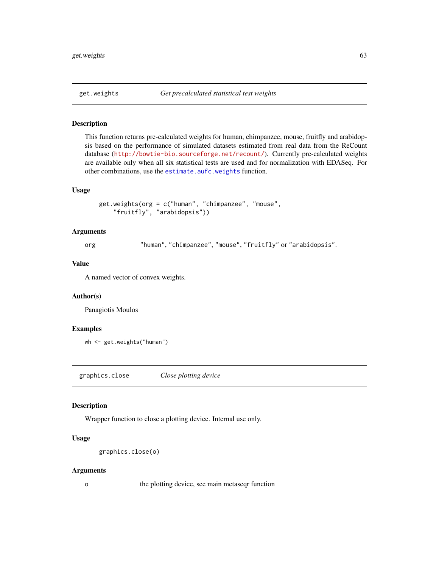This function returns pre-calculated weights for human, chimpanzee, mouse, fruitfly and arabidopsis based on the performance of simulated datasets estimated from real data from the ReCount database (<http://bowtie-bio.sourceforge.net/recount/>). Currently pre-calculated weights are available only when all six statistical tests are used and for normalization with EDASeq. For other combinations, use the [estimate.aufc.weights](#page-40-0) function.

#### Usage

```
get.weights(org = c("human", "chimpanzee", "mouse",
    "fruitfly", "arabidopsis"))
```
## Arguments

org "human", "chimpanzee", "mouse", "fruitfly" or "arabidopsis".

#### Value

A named vector of convex weights.

## Author(s)

Panagiotis Moulos

#### Examples

```
wh <- get.weights("human")
```
graphics.close *Close plotting device*

#### Description

Wrapper function to close a plotting device. Internal use only.

# Usage

```
graphics.close(o)
```
#### Arguments

o the plotting device, see main metaseqr function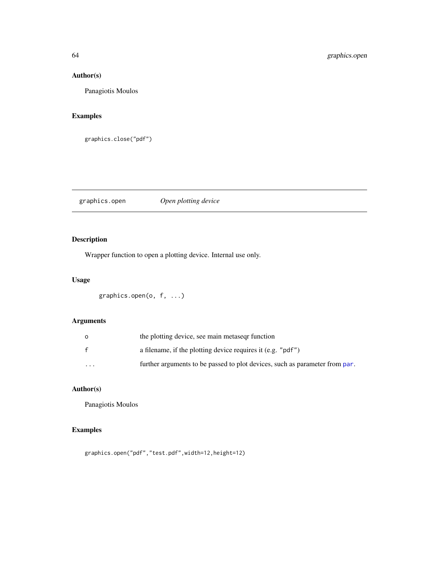# Author(s)

Panagiotis Moulos

# Examples

graphics.close("pdf")

graphics.open *Open plotting device*

# Description

Wrapper function to open a plotting device. Internal use only.

# Usage

```
graphics.open(o, f, ...)
```
# Arguments

| $\circ$      | the plotting device, see main metaseq function                              |
|--------------|-----------------------------------------------------------------------------|
| $\mathbf{f}$ | a filename, if the plotting device requires it (e.g. "pdf")                 |
| $\cdots$     | further arguments to be passed to plot devices, such as parameter from par. |

# Author(s)

Panagiotis Moulos

# Examples

graphics.open("pdf","test.pdf",width=12,height=12)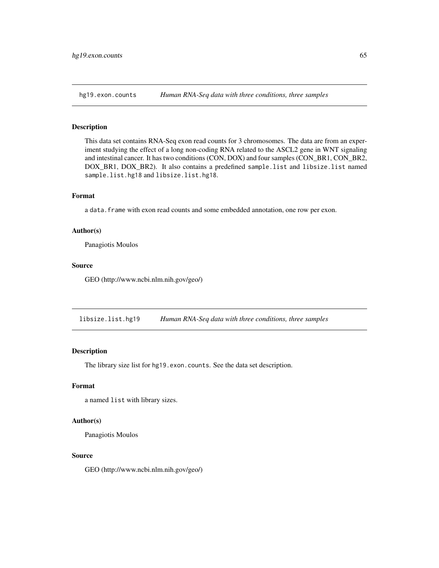This data set contains RNA-Seq exon read counts for 3 chromosomes. The data are from an experiment studying the effect of a long non-coding RNA related to the ASCL2 gene in WNT signaling and intestinal cancer. It has two conditions (CON, DOX) and four samples (CON\_BR1, CON\_BR2, DOX\_BR1, DOX\_BR2). It also contains a predefined sample.list and libsize.list named sample.list.hg18 and libsize.list.hg18.

#### Format

a data.frame with exon read counts and some embedded annotation, one row per exon.

#### Author(s)

Panagiotis Moulos

## Source

GEO (http://www.ncbi.nlm.nih.gov/geo/)

libsize.list.hg19 *Human RNA-Seq data with three conditions, three samples*

# Description

The library size list for hg19.exon.counts. See the data set description.

## Format

a named list with library sizes.

#### Author(s)

Panagiotis Moulos

#### Source

GEO (http://www.ncbi.nlm.nih.gov/geo/)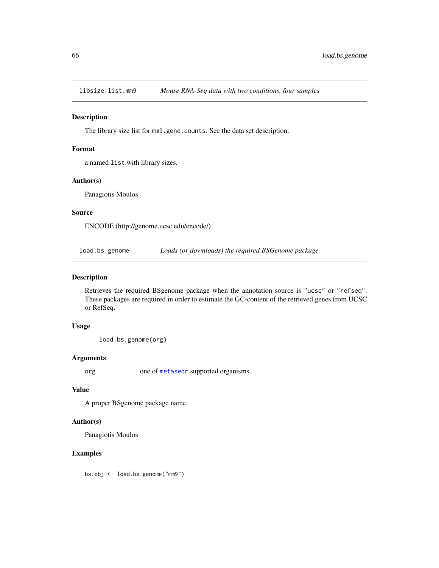libsize.list.mm9 *Mouse RNA-Seq data with two conditions, four samples*

#### Description

The library size list for mm9.gene.counts. See the data set description.

#### Format

a named list with library sizes.

#### Author(s)

Panagiotis Moulos

## Source

ENCODE (http://genome.ucsc.edu/encode/)

load.bs.genome *Loads (or downloads) the required BSGenome package*

## Description

Retrieves the required BSgenome package when the annotation source is "ucsc" or "refseq". These packages are required in order to estimate the GC-content of the retrieved genes from UCSC or RefSeq.

#### Usage

load.bs.genome(org)

#### Arguments

org one of [metaseqr](#page-89-0) supported organisms.

## Value

A proper BSgenome package name.

## Author(s)

Panagiotis Moulos

# Examples

bs.obj <- load.bs.genome("mm9")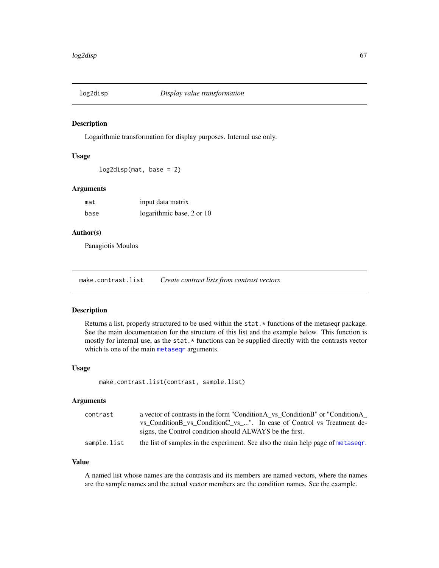Logarithmic transformation for display purposes. Internal use only.

#### Usage

log2disp(mat, base = 2)

# Arguments

| mat  | input data matrix         |
|------|---------------------------|
| base | logarithmic base, 2 or 10 |

# Author(s)

Panagiotis Moulos

make.contrast.list *Create contrast lists from contrast vectors*

#### Description

Returns a list, properly structured to be used within the stat. \* functions of the metaseqr package. See the main documentation for the structure of this list and the example below. This function is mostly for internal use, as the stat.  $*$  functions can be supplied directly with the contrasts vector which is one of the main [metaseqr](#page-89-0) arguments.

## Usage

```
make.contrast.list(contrast, sample.list)
```
#### Arguments

| contrast    | a vector of contrasts in the form "ConditionA vs ConditionB" or "ConditionA     |
|-------------|---------------------------------------------------------------------------------|
|             | vs Condition B vs Condition C vs ". In case of Control vs Treatment de-         |
|             | signs, the Control condition should ALWAYS be the first.                        |
| sample.list | the list of samples in the experiment. See also the main help page of metasegr. |

## Value

A named list whose names are the contrasts and its members are named vectors, where the names are the sample names and the actual vector members are the condition names. See the example.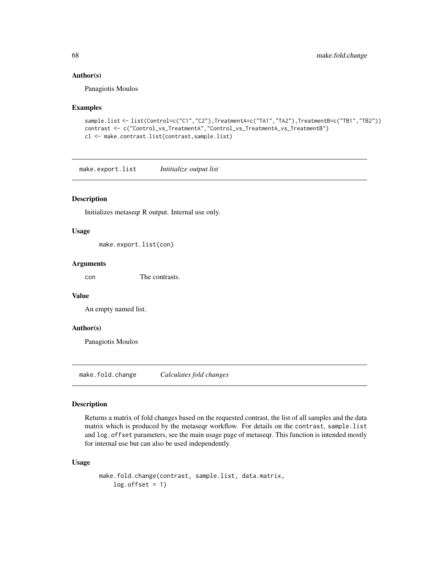#### Author(s)

Panagiotis Moulos

#### Examples

```
sample.list <- list(Control=c("C1","C2"),TreatmentA=c("TA1","TA2"),TreatmentB=c("TB1","TB2"))
contrast <- c("Control_vs_TreatmentA","Control_vs_TreatmentA_vs_TreatmentB")
cl <- make.contrast.list(contrast,sample.list)
```
make.export.list *Intitialize output list*

#### Description

Initializes metaseqr R output. Internal use only.

#### Usage

make.export.list(con)

#### Arguments

con The contrasts.

#### Value

An empty named list.

#### Author(s)

Panagiotis Moulos

make.fold.change *Calculates fold changes*

#### Description

Returns a matrix of fold changes based on the requested contrast, the list of all samples and the data matrix which is produced by the metaseqr workflow. For details on the contrast, sample.list and log.offset parameters, see the main usage page of metaseqr. This function is intended mostly for internal use but can also be used independently.

# Usage

```
make.fold.change(contrast, sample.list, data.matrix,
   log.offset = 1)
```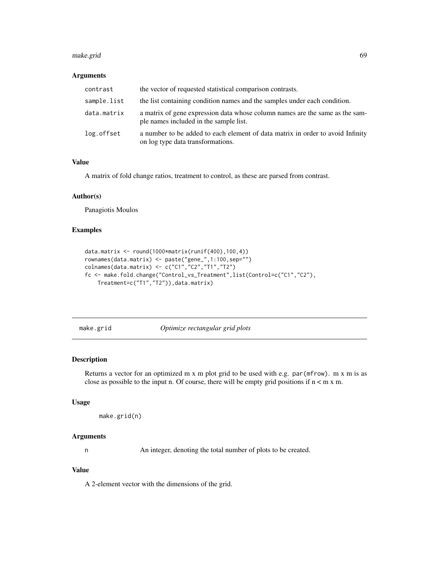#### make.grid 69

#### Arguments

| contrast    | the vector of requested statistical comparison contrasts.                                                              |
|-------------|------------------------------------------------------------------------------------------------------------------------|
| sample.list | the list containing condition names and the samples under each condition.                                              |
| data.matrix | a matrix of gene expression data whose column names are the same as the sam-<br>ple names included in the sample list. |
| log.offset  | a number to be added to each element of data matrix in order to avoid Infinity<br>on log type data transformations.    |

## Value

A matrix of fold change ratios, treatment to control, as these are parsed from contrast.

#### Author(s)

Panagiotis Moulos

## Examples

```
data.matrix <- round(1000*matrix(runif(400),100,4))
rownames(data.matrix) <- paste("gene_",1:100,sep="")
colnames(data.matrix) <- c("C1","C2","T1","T2")
fc <- make.fold.change("Control_vs_Treatment",list(Control=c("C1","C2"),
    Treatment=c("T1","T2")),data.matrix)
```
make.grid *Optimize rectangular grid plots*

#### Description

Returns a vector for an optimized m x m plot grid to be used with e.g. par ( $m$ frow). m x m is as close as possible to the input n. Of course, there will be empty grid positions if  $n < m x$  m.

## Usage

```
make.grid(n)
```
#### Arguments

n An integer, denoting the total number of plots to be created.

# Value

A 2-element vector with the dimensions of the grid.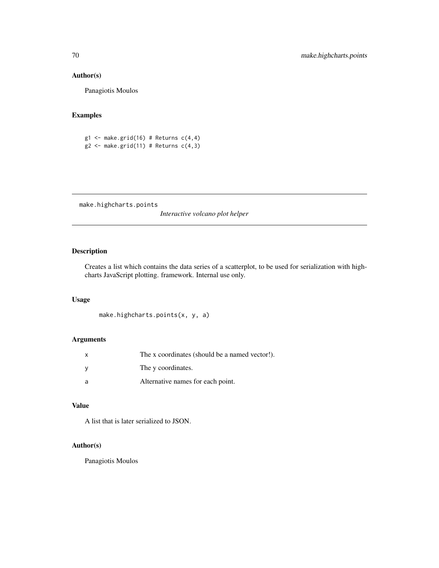## Author(s)

Panagiotis Moulos

# Examples

```
g1 <- make.grid(16) # Returns c(4,4)g2 \leq - make.grid(11) # Returns c(4,3)
```
make.highcharts.points

*Interactive volcano plot helper*

# Description

Creates a list which contains the data series of a scatterplot, to be used for serialization with highcharts JavaScript plotting. framework. Internal use only.

# Usage

```
make.highcharts.points(x, y, a)
```
# Arguments

|   | The x coordinates (should be a named vector!). |
|---|------------------------------------------------|
|   | The y coordinates.                             |
| a | Alternative names for each point.              |

## Value

A list that is later serialized to JSON.

# Author(s)

Panagiotis Moulos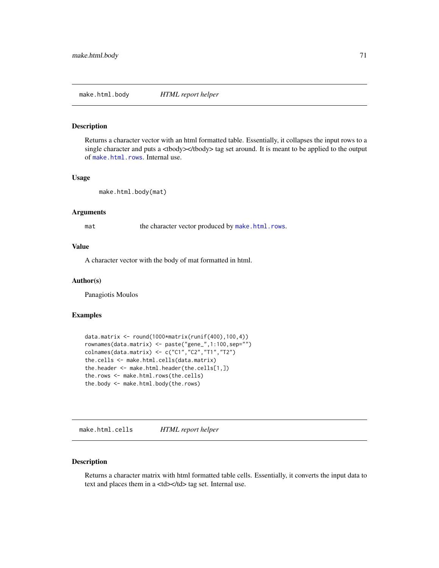make.html.body *HTML report helper*

# Description

Returns a character vector with an html formatted table. Essentially, it collapses the input rows to a single character and puts a <tbody></tbody> tag set around. It is meant to be applied to the output of [make.html.rows](#page-72-0). Internal use.

#### Usage

make.html.body(mat)

## Arguments

mat the character vector produced by [make.html.rows](#page-72-0).

#### Value

A character vector with the body of mat formatted in html.

## Author(s)

Panagiotis Moulos

## Examples

```
data.matrix <- round(1000*matrix(runif(400),100,4))
rownames(data.matrix) <- paste("gene_",1:100,sep="")
colnames(data.matrix) <- c("C1","C2","T1","T2")
the.cells <- make.html.cells(data.matrix)
the.header <- make.html.header(the.cells[1,])
the.rows <- make.html.rows(the.cells)
the.body <- make.html.body(the.rows)
```
<span id="page-70-0"></span>make.html.cells *HTML report helper*

## Description

Returns a character matrix with html formatted table cells. Essentially, it converts the input data to text and places them in a <td></td> tag set. Internal use.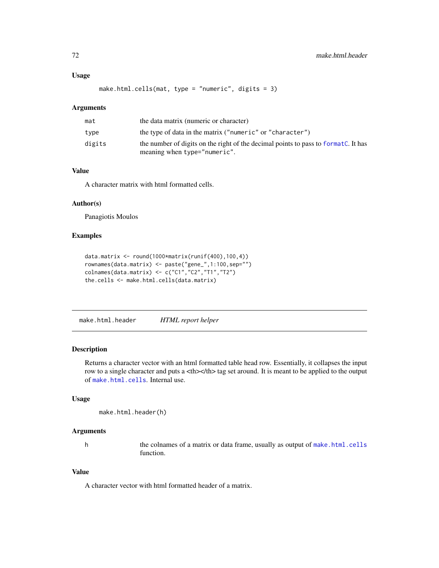## Usage

```
make.html.cells(mat, type = "numeric", digits = 3)
```
## Arguments

| mat    | the data matrix (numeric or character)                                                                            |
|--------|-------------------------------------------------------------------------------------------------------------------|
| type   | the type of data in the matrix ("numeric" or "character")                                                         |
| digits | the number of digits on the right of the decimal points to pass to format. It has<br>meaning when type="numeric". |

# Value

A character matrix with html formatted cells.

# Author(s)

Panagiotis Moulos

#### Examples

```
data.matrix <- round(1000*matrix(runif(400),100,4))
rownames(data.matrix) <- paste("gene_",1:100,sep="")
colnames(data.matrix) <- c("C1","C2","T1","T2")
the.cells <- make.html.cells(data.matrix)
```
make.html.header *HTML report helper*

# Description

Returns a character vector with an html formatted table head row. Essentially, it collapses the input row to a single character and puts a  $\langle$ th $\rangle$  tag set around. It is meant to be applied to the output of [make.html.cells](#page-70-0). Internal use.

### Usage

```
make.html.header(h)
```
#### Arguments

h the colnames of a matrix or data frame, usually as output of [make.html.cells](#page-70-0) function.

## Value

A character vector with html formatted header of a matrix.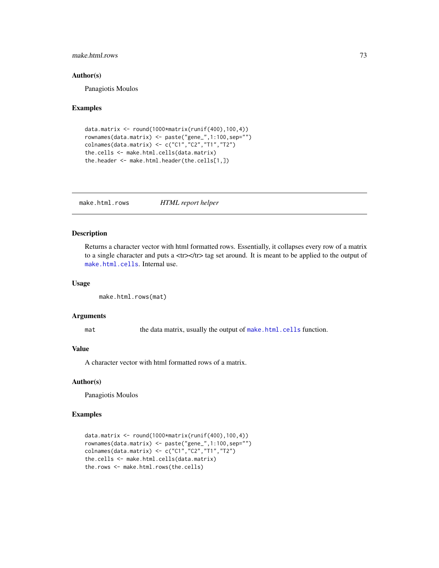## make.html.rows 73

#### Author(s)

Panagiotis Moulos

#### Examples

```
data.matrix <- round(1000*matrix(runif(400),100,4))
rownames(data.matrix) <- paste("gene_",1:100,sep="")
colnames(data.matrix) <- c("C1","C2","T1","T2")
the.cells <- make.html.cells(data.matrix)
the.header <- make.html.header(the.cells[1,])
```
<span id="page-72-0"></span>make.html.rows *HTML report helper*

# Description

Returns a character vector with html formatted rows. Essentially, it collapses every row of a matrix to a single character and puts a <tr>>tr> to tag set around. It is meant to be applied to the output of [make.html.cells](#page-70-0). Internal use.

# Usage

```
make.html.rows(mat)
```
#### Arguments

mat the data matrix, usually the output of [make.html.cells](#page-70-0) function.

# Value

A character vector with html formatted rows of a matrix.

## Author(s)

Panagiotis Moulos

```
data.matrix \le round(1000*matrix(runif(400),100,4))
rownames(data.matrix) <- paste("gene_",1:100,sep="")
colnames(data.matrix) <- c("C1","C2","T1","T2")
the.cells <- make.html.cells(data.matrix)
the.rows <- make.html.rows(the.cells)
```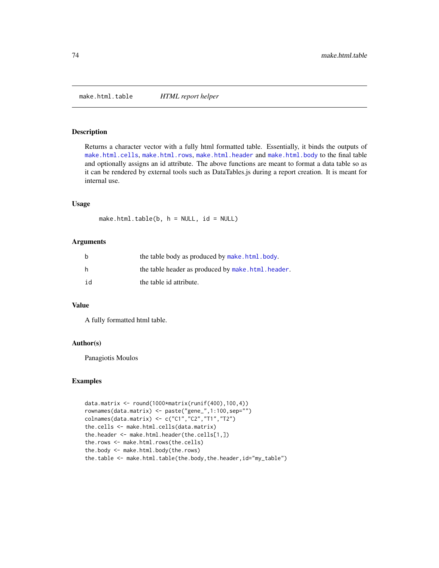make.html.table *HTML report helper*

#### Description

Returns a character vector with a fully html formatted table. Essentially, it binds the outputs of [make.html.cells](#page-70-0), [make.html.rows](#page-72-0), [make.html.header](#page-71-0) and [make.html.body](#page-70-1) to the final table and optionally assigns an id attribute. The above functions are meant to format a data table so as it can be rendered by external tools such as DataTables.js during a report creation. It is meant for internal use.

#### Usage

make.html.table( $b$ ,  $h = NULL$ ,  $id = NULL$ )

#### Arguments

| b  | the table body as produced by make.html.body.     |
|----|---------------------------------------------------|
| h. | the table header as produced by make.html.header. |
| id | the table id attribute.                           |

#### Value

A fully formatted html table.

# Author(s)

Panagiotis Moulos

```
data.matrix <- round(1000*matrix(runif(400),100,4))
rownames(data.matrix) <- paste("gene_",1:100,sep="")
colnames(data.matrix) <- c("C1","C2","T1","T2")
the.cells <- make.html.cells(data.matrix)
the.header <- make.html.header(the.cells[1,])
the.rows <- make.html.rows(the.cells)
the.body <- make.html.body(the.rows)
the.table <- make.html.table(the.body,the.header,id="my_table")
```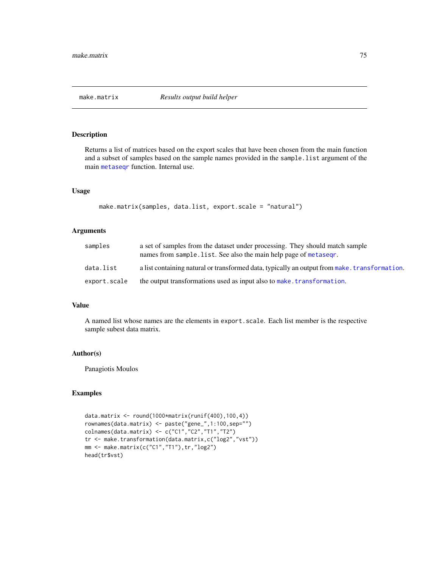# Description

Returns a list of matrices based on the export scales that have been chosen from the main function and a subset of samples based on the sample names provided in the sample.list argument of the main [metaseqr](#page-89-0) function. Internal use.

#### Usage

```
make.matrix(samples, data.list, export.scale = "natural")
```
#### Arguments

| samples      | a set of samples from the dataset under processing. They should match sample<br>names from sample. list. See also the main help page of metasegr. |
|--------------|---------------------------------------------------------------------------------------------------------------------------------------------------|
| data.list    | a list containing natural or transformed data, typically an output from make, transformation.                                                     |
| export.scale | the output transformations used as input also to make, transformation.                                                                            |

#### Value

A named list whose names are the elements in export.scale. Each list member is the respective sample subest data matrix.

#### Author(s)

Panagiotis Moulos

```
data.matrix <- round(1000*matrix(runif(400),100,4))
rownames(data.matrix) <- paste("gene_",1:100,sep="")
colnames(data.matrix) <- c("C1","C2","T1","T2")
tr <- make.transformation(data.matrix,c("log2","vst"))
mm <- make.matrix(c("C1","T1"),tr,"log2")
head(tr$vst)
```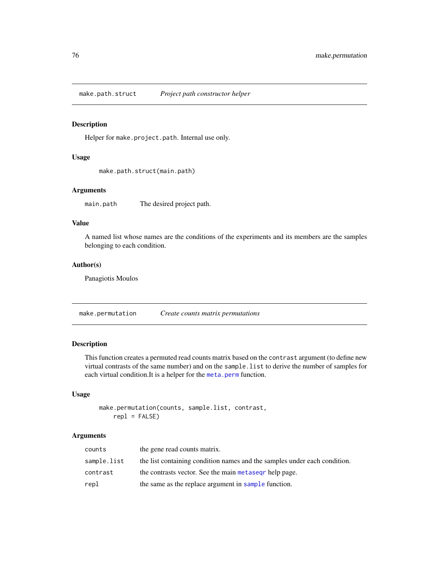make.path.struct *Project path constructor helper*

# Description

Helper for make.project.path. Internal use only.

# Usage

make.path.struct(main.path)

#### Arguments

main.path The desired project path.

# Value

A named list whose names are the conditions of the experiments and its members are the samples belonging to each condition.

# Author(s)

Panagiotis Moulos

make.permutation *Create counts matrix permutations*

# Description

This function creates a permuted read counts matrix based on the contrast argument (to define new virtual contrasts of the same number) and on the sample.list to derive the number of samples for each virtual condition.It is a helper for the [meta.perm](#page-85-0) function.

# Usage

```
make.permutation(counts, sample.list, contrast,
    rep1 = FALSE)
```
#### Arguments

| counts      | the gene read counts matrix.                                              |
|-------------|---------------------------------------------------------------------------|
| sample.list | the list containing condition names and the samples under each condition. |
| contrast    | the contrasts vector. See the main metased phelp page.                    |
| repl        | the same as the replace argument in sample function.                      |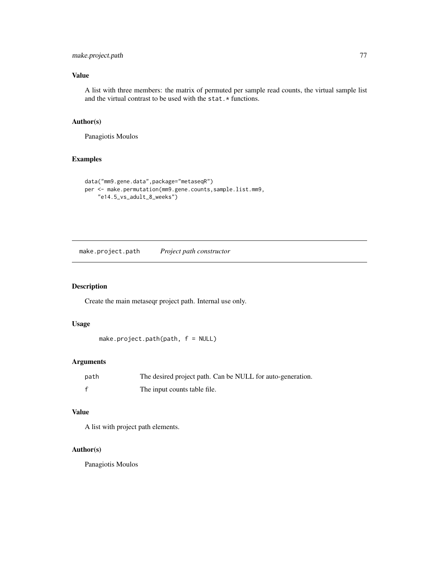# make.project.path 77

# Value

A list with three members: the matrix of permuted per sample read counts, the virtual sample list and the virtual contrast to be used with the stat.\* functions.

#### Author(s)

Panagiotis Moulos

## Examples

```
data("mm9.gene.data",package="metaseqR")
per <- make.permutation(mm9.gene.counts,sample.list.mm9,
    "e14.5_vs_adult_8_weeks")
```
make.project.path *Project path constructor*

# Description

Create the main metaseqr project path. Internal use only.

#### Usage

```
make.project.path(path, f = NULL)
```
# Arguments

| path | The desired project path. Can be NULL for auto-generation. |
|------|------------------------------------------------------------|
|      | The input counts table file.                               |

#### Value

A list with project path elements.

# Author(s)

Panagiotis Moulos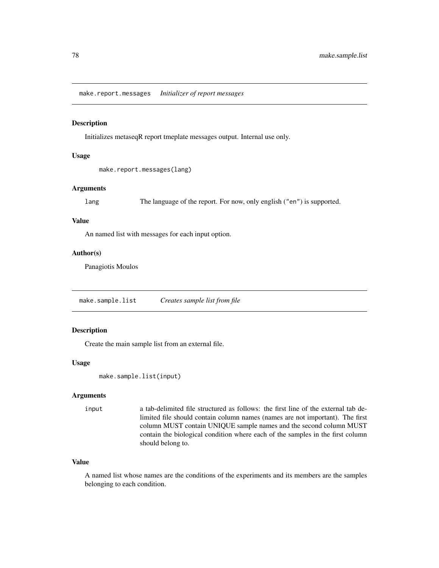make.report.messages *Initializer of report messages*

## Description

Initializes metaseqR report tmeplate messages output. Internal use only.

#### Usage

```
make.report.messages(lang)
```
#### **Arguments**

lang The language of the report. For now, only english ("en") is supported.

# Value

An named list with messages for each input option.

#### Author(s)

Panagiotis Moulos

<span id="page-77-0"></span>make.sample.list *Creates sample list from file*

# Description

Create the main sample list from an external file.

# Usage

```
make.sample.list(input)
```
#### Arguments

input a tab-delimited file structured as follows: the first line of the external tab delimited file should contain column names (names are not important). The first column MUST contain UNIQUE sample names and the second column MUST contain the biological condition where each of the samples in the first column should belong to.

### Value

A named list whose names are the conditions of the experiments and its members are the samples belonging to each condition.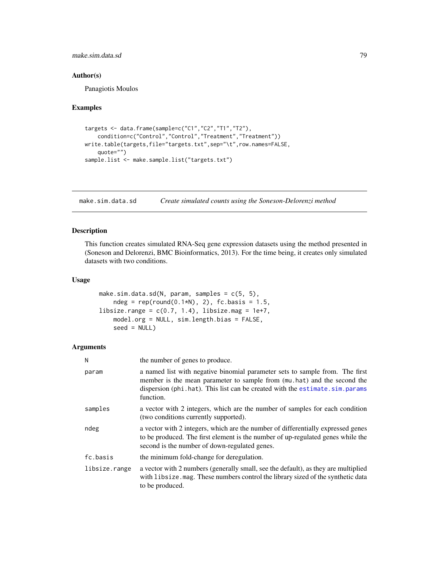make.sim.data.sd 79

#### Author(s)

Panagiotis Moulos

#### Examples

```
targets <- data.frame(sample=c("C1","C2","T1","T2"),
    condition=c("Control","Control","Treatment","Treatment"))
write.table(targets,file="targets.txt",sep="\t",row.names=FALSE,
    quote="")
sample.list <- make.sample.list("targets.txt")
```
make.sim.data.sd *Create simulated counts using the Soneson-Delorenzi method*

#### Description

This function creates simulated RNA-Seq gene expression datasets using the method presented in (Soneson and Delorenzi, BMC Bioinformatics, 2013). For the time being, it creates only simulated datasets with two conditions.

# Usage

```
make.sim.data.sd(N, param, samples = c(5, 5),
    ndeg = rep(round(0.1*N), 2), fc.basis = 1.5,libsize.range = c(0.7, 1.4), libsize.mag = 1e+7,
    model.org = NULL, sim.length.bias = FALSE,
    seed = NULL)
```
# Arguments

| N             | the number of genes to produce.                                                                                                                                                                                                                     |
|---------------|-----------------------------------------------------------------------------------------------------------------------------------------------------------------------------------------------------------------------------------------------------|
| param         | a named list with negative binomial parameter sets to sample from. The first<br>member is the mean parameter to sample from (mu.hat) and the second the<br>dispersion (phi.hat). This list can be created with the estimate.sim.params<br>function. |
| samples       | a vector with 2 integers, which are the number of samples for each condition<br>(two conditions currently supported).                                                                                                                               |
| ndeg          | a vector with 2 integers, which are the number of differentially expressed genes<br>to be produced. The first element is the number of up-regulated genes while the<br>second is the number of down-regulated genes.                                |
| fc.basis      | the minimum fold-change for deregulation.                                                                                                                                                                                                           |
| libsize.range | a vector with 2 numbers (generally small, see the default), as they are multiplied<br>with libsize. mag. These numbers control the library sized of the synthetic data<br>to be produced.                                                           |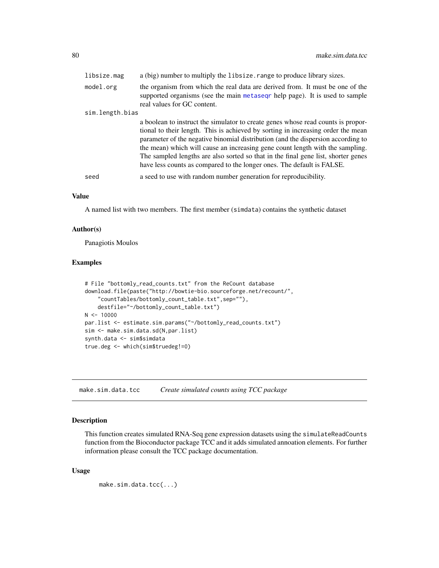| libsize.mag     | a (big) number to multiply the libsize. range to produce library sizes.                                                                                                                                                                                                                                                                                                                                                                                                                                  |
|-----------------|----------------------------------------------------------------------------------------------------------------------------------------------------------------------------------------------------------------------------------------------------------------------------------------------------------------------------------------------------------------------------------------------------------------------------------------------------------------------------------------------------------|
| model.org       | the organism from which the real data are derived from. It must be one of the<br>supported organisms (see the main metased r help page). It is used to sample<br>real values for GC content.                                                                                                                                                                                                                                                                                                             |
| sim.length.bias |                                                                                                                                                                                                                                                                                                                                                                                                                                                                                                          |
|                 | a boolean to instruct the simulator to create genes whose read counts is propor-<br>tional to their length. This is achieved by sorting in increasing order the mean<br>parameter of the negative binomial distribution (and the dispersion according to<br>the mean) which will cause an increasing gene count length with the sampling.<br>The sampled lengths are also sorted so that in the final gene list, shorter genes<br>have less counts as compared to the longer ones. The default is FALSE. |
| seed            | a seed to use with random number generation for reproducibility.                                                                                                                                                                                                                                                                                                                                                                                                                                         |

#### Value

A named list with two members. The first member (simdata) contains the synthetic dataset

# Author(s)

Panagiotis Moulos

#### Examples

```
# File "bottomly_read_counts.txt" from the ReCount database
download.file(paste("http://bowtie-bio.sourceforge.net/recount/",
    "countTables/bottomly_count_table.txt",sep=""),
    destfile="~/bottomly_count_table.txt")
N < - 10000par.list <- estimate.sim.params("~/bottomly_read_counts.txt")
sim <- make.sim.data.sd(N,par.list)
synth.data <- sim$simdata
true.deg <- which(sim$truedeg!=0)
```
make.sim.data.tcc *Create simulated counts using TCC package*

#### Description

This function creates simulated RNA-Seq gene expression datasets using the simulateReadCounts function from the Bioconductor package TCC and it adds simulated annoation elements. For further information please consult the TCC package documentation.

#### Usage

```
make.sim.data.tcc(...)
```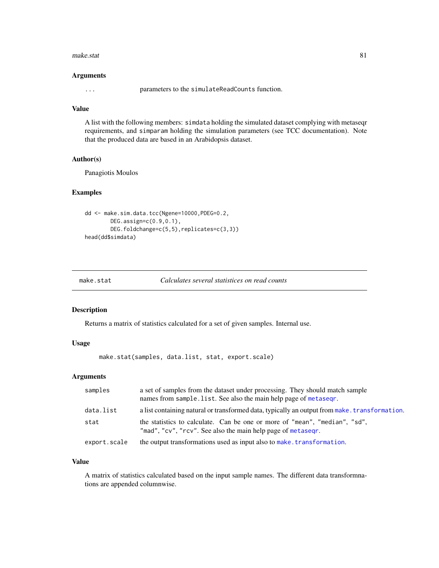#### make.stat 81

#### Arguments

... parameters to the simulateReadCounts function.

# Value

A list with the following members: simdata holding the simulated dataset complying with metaseqr requirements, and simparam holding the simulation parameters (see TCC documentation). Note that the produced data are based in an Arabidopsis dataset.

#### Author(s)

Panagiotis Moulos

#### Examples

```
dd <- make.sim.data.tcc(Ngene=10000,PDEG=0.2,
       DEG.assign=c(0.9,0.1),
       DEG.foldchange=c(5,5),replicates=c(3,3))
head(dd$simdata)
```

| make.stat | Calculates several statistices on read counts |  |
|-----------|-----------------------------------------------|--|
|-----------|-----------------------------------------------|--|

#### Description

Returns a matrix of statistics calculated for a set of given samples. Internal use.

# Usage

make.stat(samples, data.list, stat, export.scale)

## Arguments

| samples      | a set of samples from the dataset under processing. They should match sample<br>names from sample.list. See also the main help page of metaseqr. |
|--------------|--------------------------------------------------------------------------------------------------------------------------------------------------|
| data.list    | a list containing natural or transformed data, typically an output from make. transformation.                                                    |
| stat         | the statistics to calculate. Can be one or more of "mean", "median", "sd",<br>"mad", "cv", "rcv". See also the main help page of metaseqr.       |
| export.scale | the output transformations used as input also to make. transformation.                                                                           |

### Value

A matrix of statistics calculated based on the input sample names. The different data transformnations are appended columnwise.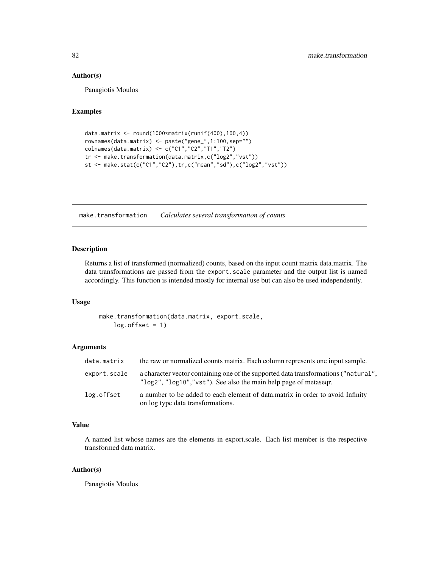#### Author(s)

Panagiotis Moulos

#### Examples

```
data.matrix <- round(1000*matrix(runif(400),100,4))
rownames(data.matrix) <- paste("gene_",1:100,sep="")
colnames(data.matrix) <- c("C1","C2","T1","T2")
tr <- make.transformation(data.matrix,c("log2","vst"))
st <- make.stat(c("C1","C2"),tr,c("mean","sd"),c("log2","vst"))
```
<span id="page-81-0"></span>make.transformation *Calculates several transformation of counts*

# Description

Returns a list of transformed (normalized) counts, based on the input count matrix data.matrix. The data transformations are passed from the export.scale parameter and the output list is named accordingly. This function is intended mostly for internal use but can also be used independently.

#### Usage

make.transformation(data.matrix, export.scale,  $log.$ offset = 1)

# Arguments

| data.matrix  | the raw or normalized counts matrix. Each column represents one input sample.                                                                                               |
|--------------|-----------------------------------------------------------------------------------------------------------------------------------------------------------------------------|
| export.scale | a character vector containing one of the supported data transformations ("natural",<br>" $\log 2$ ", " $\log 10$ ", " $\vee$ st"). See also the main help page of metasegr. |
| log.offset   | a number to be added to each element of data, matrix in order to avoid Infinity<br>on log type data transformations.                                                        |

# Value

A named list whose names are the elements in export.scale. Each list member is the respective transformed data matrix.

# Author(s)

Panagiotis Moulos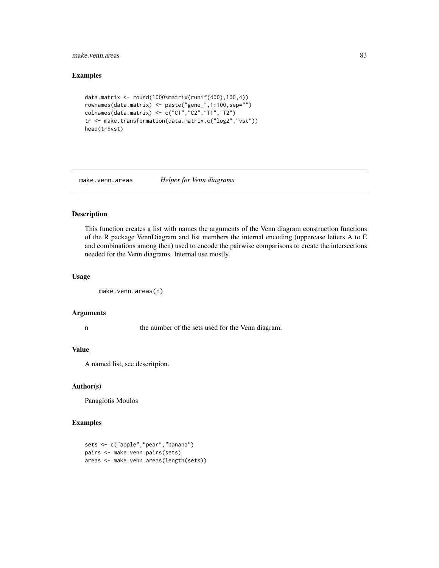# make.venn.areas 83

# Examples

```
data.matrix <- round(1000*matrix(runif(400),100,4))
rownames(data.matrix) <- paste("gene_",1:100,sep="")
colnames(data.matrix) <- c("C1","C2","T1","T2")
tr <- make.transformation(data.matrix,c("log2","vst"))
head(tr$vst)
```
make.venn.areas *Helper for Venn diagrams*

## Description

This function creates a list with names the arguments of the Venn diagram construction functions of the R package VennDiagram and list members the internal encoding (uppercase letters A to E and combinations among then) used to encode the pairwise comparisons to create the intersections needed for the Venn diagrams. Internal use mostly.

# Usage

```
make.venn.areas(n)
```
# Arguments

n the number of the sets used for the Venn diagram.

## Value

A named list, see descritpion.

# Author(s)

Panagiotis Moulos

```
sets <- c("apple","pear","banana")
pairs <- make.venn.pairs(sets)
areas <- make.venn.areas(length(sets))
```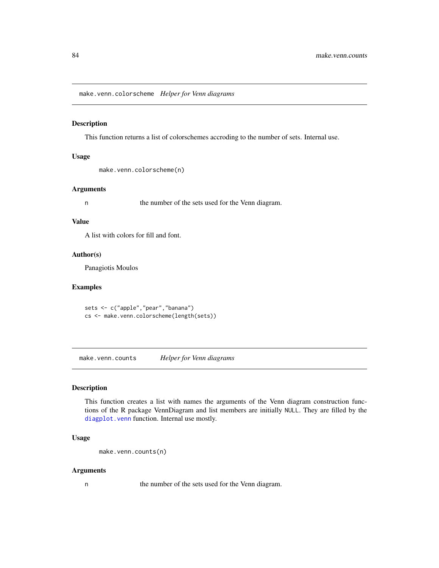make.venn.colorscheme *Helper for Venn diagrams*

## Description

This function returns a list of colorschemes accroding to the number of sets. Internal use.

#### Usage

make.venn.colorscheme(n)

## Arguments

n the number of the sets used for the Venn diagram.

### Value

A list with colors for fill and font.

## Author(s)

Panagiotis Moulos

## Examples

sets <- c("apple","pear","banana") cs <- make.venn.colorscheme(length(sets))

make.venn.counts *Helper for Venn diagrams*

#### Description

This function creates a list with names the arguments of the Venn diagram construction functions of the R package VennDiagram and list members are initially NULL. They are filled by the [diagplot.venn](#page-36-0) function. Internal use mostly.

# Usage

```
make.venn.counts(n)
```
### Arguments

n the number of the sets used for the Venn diagram.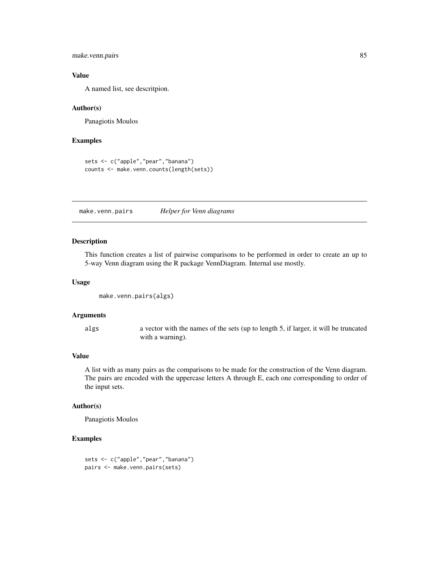make.venn.pairs 85

#### Value

A named list, see descritpion.

#### Author(s)

Panagiotis Moulos

#### Examples

```
sets <- c("apple","pear","banana")
counts <- make.venn.counts(length(sets))
```
make.venn.pairs *Helper for Venn diagrams*

# Description

This function creates a list of pairwise comparisons to be performed in order to create an up to 5-way Venn diagram using the R package VennDiagram. Internal use mostly.

#### Usage

```
make.venn.pairs(algs)
```
# Arguments

algs a vector with the names of the sets (up to length 5, if larger, it will be truncated with a warning).

## Value

A list with as many pairs as the comparisons to be made for the construction of the Venn diagram. The pairs are encoded with the uppercase letters A through E, each one corresponding to order of the input sets.

# Author(s)

Panagiotis Moulos

```
sets <- c("apple","pear","banana")
pairs <- make.venn.pairs(sets)
```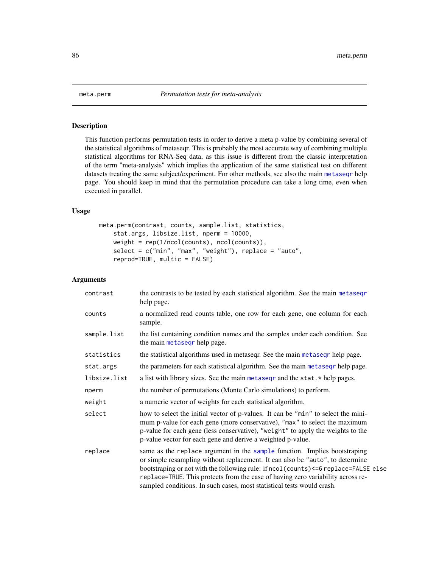<span id="page-85-0"></span>

# Description

This function performs permutation tests in order to derive a meta p-value by combining several of the statistical algorithms of metaseqr. This is probably the most accurate way of combining multiple statistical algorithms for RNA-Seq data, as this issue is different from the classic interpretation of the term "meta-analysis" which implies the application of the same statistical test on different datasets treating the same subject/experiment. For other methods, see also the main [metaseqr](#page-89-0) help page. You should keep in mind that the permutation procedure can take a long time, even when executed in parallel.

# Usage

```
meta.perm(contrast, counts, sample.list, statistics,
   stat.args, libsize.list, nperm = 10000,
   weight = rep(1/ncol(counts), ncol(counts)),select = c("min", "max", "weight"), replace = "auto",reprod=TRUE, multic = FALSE)
```
### Arguments

| contrast     | the contrasts to be tested by each statistical algorithm. See the main metasegr<br>help page.                                                                                                                                                                                                                                                                                                                 |
|--------------|---------------------------------------------------------------------------------------------------------------------------------------------------------------------------------------------------------------------------------------------------------------------------------------------------------------------------------------------------------------------------------------------------------------|
| counts       | a normalized read counts table, one row for each gene, one column for each<br>sample.                                                                                                                                                                                                                                                                                                                         |
| sample.list  | the list containing condition names and the samples under each condition. See<br>the main metaseqr help page.                                                                                                                                                                                                                                                                                                 |
| statistics   | the statistical algorithms used in metaseq. See the main metaseq help page.                                                                                                                                                                                                                                                                                                                                   |
| stat.args    | the parameters for each statistical algorithm. See the main metaseqr help page.                                                                                                                                                                                                                                                                                                                               |
| libsize.list | a list with library sizes. See the main metased r and the stat. * help pages.                                                                                                                                                                                                                                                                                                                                 |
| nperm        | the number of permutations (Monte Carlo simulations) to perform.                                                                                                                                                                                                                                                                                                                                              |
| weight       | a numeric vector of weights for each statistical algorithm.                                                                                                                                                                                                                                                                                                                                                   |
| select       | how to select the initial vector of p-values. It can be "min" to select the mini-<br>mum p-value for each gene (more conservative), "max" to select the maximum<br>p-value for each gene (less conservative), "weight" to apply the weights to the<br>p-value vector for each gene and derive a weighted p-value.                                                                                             |
| replace      | same as the replace argument in the sample function. Implies bootstraping<br>or simple resampling without replacement. It can also be "auto", to determine<br>bootstraping or not with the following rule: if ncol(counts)<=6 replace=FALSE else<br>replace=TRUE. This protects from the case of having zero variability across re-<br>sampled conditions. In such cases, most statistical tests would crash. |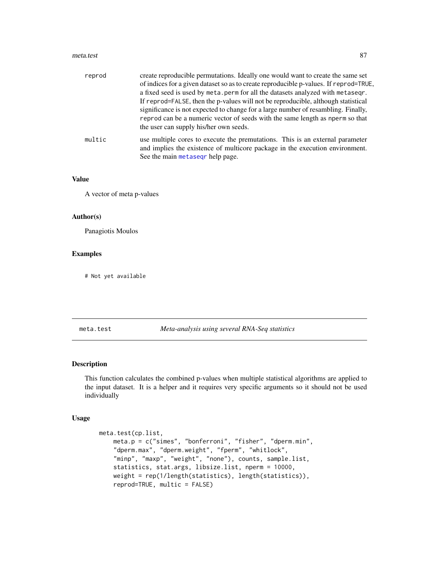#### meta.test 87

| reprod | create reproducible permutations. Ideally one would want to create the same set       |
|--------|---------------------------------------------------------------------------------------|
|        | of indices for a given dataset so as to create reproducible p-values. If reprod=TRUE, |
|        | a fixed seed is used by meta.perm for all the datasets analyzed with metaseqr.        |
|        | If reprod=FALSE, then the p-values will not be reproducible, although statistical     |
|        | significance is not expected to change for a large number of resambling. Finally,     |
|        | reprod can be a numeric vector of seeds with the same length as nperm so that         |
|        | the user can supply his/her own seeds.                                                |
| multic | use multiple cores to execute the premutations. This is an external parameter         |
|        | and implies the existence of multicore package in the execution environment.          |
|        | See the main metaseqr help page.                                                      |

#### Value

A vector of meta p-values

## Author(s)

Panagiotis Moulos

#### Examples

# Not yet available

#### meta.test *Meta-analysis using several RNA-Seq statistics*

#### Description

This function calculates the combined p-values when multiple statistical algorithms are applied to the input dataset. It is a helper and it requires very specific arguments so it should not be used individually

## Usage

```
meta.test(cp.list,
   meta.p = c("simes", "bonferroni", "fisher", "dperm.min",
    "dperm.max", "dperm.weight", "fperm", "whitlock",
   "minp", "maxp", "weight", "none"), counts, sample.list,
   statistics, stat.args, libsize.list, nperm = 10000,
   weight = rep(1/length(statistics), length(statistics)),
   reprod=TRUE, multic = FALSE)
```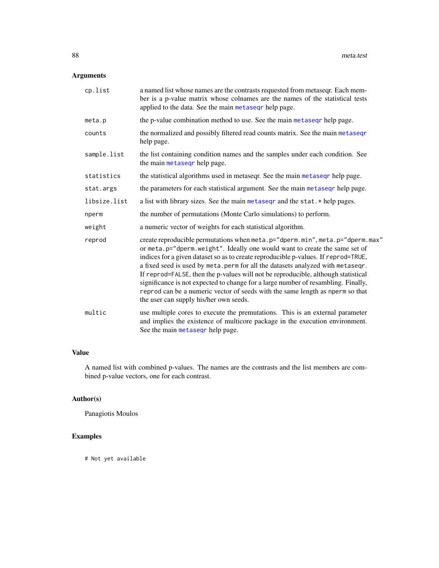# Arguments

| cp.list      | a named list whose names are the contrasts requested from metaseq r. Each mem-<br>ber is a p-value matrix whose colnames are the names of the statistical tests<br>applied to the data. See the main metaseqr help page.                                                                                                                                                                                                                                                                                                                                                                                                                |
|--------------|-----------------------------------------------------------------------------------------------------------------------------------------------------------------------------------------------------------------------------------------------------------------------------------------------------------------------------------------------------------------------------------------------------------------------------------------------------------------------------------------------------------------------------------------------------------------------------------------------------------------------------------------|
| meta.p       | the p-value combination method to use. See the main metaseq rhelp page.                                                                                                                                                                                                                                                                                                                                                                                                                                                                                                                                                                 |
| counts       | the normalized and possibly filtered read counts matrix. See the main metaseqr<br>help page.                                                                                                                                                                                                                                                                                                                                                                                                                                                                                                                                            |
| sample.list  | the list containing condition names and the samples under each condition. See<br>the main metaseqr help page.                                                                                                                                                                                                                                                                                                                                                                                                                                                                                                                           |
| statistics   | the statistical algorithms used in metaseqr. See the main metaseqr help page.                                                                                                                                                                                                                                                                                                                                                                                                                                                                                                                                                           |
| stat.args    | the parameters for each statistical argument. See the main metaseqr help page.                                                                                                                                                                                                                                                                                                                                                                                                                                                                                                                                                          |
| libsize.list | a list with library sizes. See the main metaseqr and the stat. * help pages.                                                                                                                                                                                                                                                                                                                                                                                                                                                                                                                                                            |
| nperm        | the number of permutations (Monte Carlo simulations) to perform.                                                                                                                                                                                                                                                                                                                                                                                                                                                                                                                                                                        |
| weight       | a numeric vector of weights for each statistical algorithm.                                                                                                                                                                                                                                                                                                                                                                                                                                                                                                                                                                             |
| reprod       | create reproducible permutations when meta.p="dperm.min", meta.p="dperm.max"<br>or meta.p="dperm.weight". Ideally one would want to create the same set of<br>indices for a given dataset so as to create reproducible p-values. If reprod=TRUE,<br>a fixed seed is used by meta.perm for all the datasets analyzed with metaseqr.<br>If reprod=FALSE, then the p-values will not be reproducible, although statistical<br>significance is not expected to change for a large number of resambling. Finally,<br>reprod can be a numeric vector of seeds with the same length as nperm so that<br>the user can supply his/her own seeds. |
| multic       | use multiple cores to execute the premutations. This is an external parameter<br>and implies the existence of multicore package in the execution environment.<br>See the main metaseqr help page.                                                                                                                                                                                                                                                                                                                                                                                                                                       |

# Value

A named list with combined p-values. The names are the contrasts and the list members are combined p-value vectors, one for each contrast.

# Author(s)

Panagiotis Moulos

# Examples

# Not yet available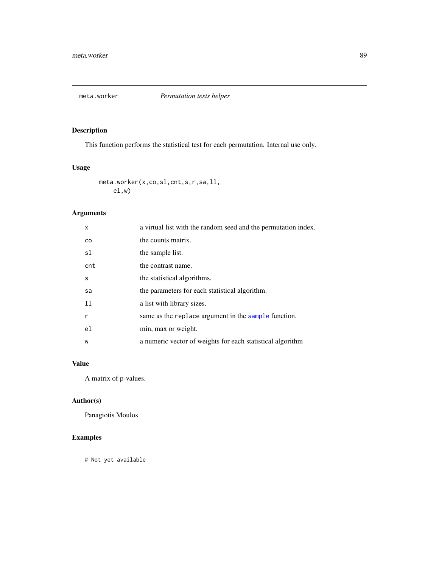# Description

This function performs the statistical test for each permutation. Internal use only.

# Usage

meta.worker(x,co,sl,cnt,s,r,sa,ll, el,w)

# Arguments

| x         | a virtual list with the random seed and the permutation index. |
|-----------|----------------------------------------------------------------|
| <b>CO</b> | the counts matrix.                                             |
| sl        | the sample list.                                               |
| cnt       | the contrast name.                                             |
| S         | the statistical algorithms.                                    |
| sa        | the parameters for each statistical algorithm.                 |
| -11       | a list with library sizes.                                     |
| r         | same as the replace argument in the sample function.           |
| el        | min, max or weight.                                            |
| W         | a numeric vector of weights for each statistical algorithm     |

# Value

A matrix of p-values.

# Author(s)

Panagiotis Moulos

# Examples

# Not yet available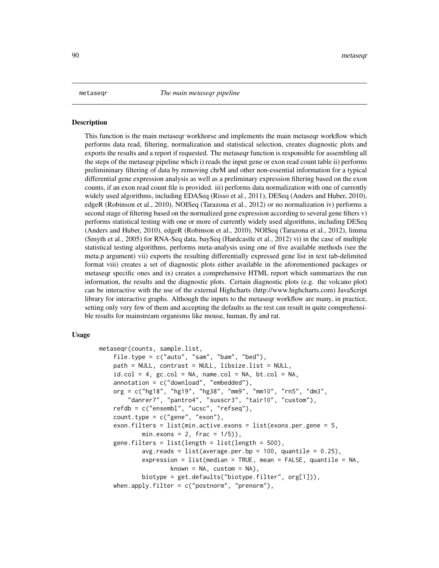#### <span id="page-89-0"></span>Description

This function is the main metaseqr workhorse and implements the main metaseqr workflow which performs data read, filtering, normalization and statistical selection, creates diagnostic plots and exports the results and a report if requested. The metaseqr function is responsible for assembling all the steps of the metaseqr pipeline which i) reads the input gene or exon read count table ii) performs prelimininary filtering of data by removing chrM and other non-essential information for a typical differential gene expression analysis as well as a preliminary expression filtering based on the exon counts, if an exon read count file is provided. iii) performs data normalization with one of currently widely used algorithms, including EDASeq (Risso et al., 2011), DESeq (Anders and Huber, 2010), edgeR (Robinson et al., 2010), NOISeq (Tarazona et al., 2012) or no normalization iv) performs a second stage of filtering based on the normalized gene expression according to several gene filters v) performs statistical testing with one or more of currently widely used algorithms, including DESeq (Anders and Huber, 2010), edgeR (Robinson et al., 2010), NOISeq (Tarazona et al., 2012), limma (Smyth et al., 2005) for RNA-Seq data, baySeq (Hardcastle et al., 2012) vi) in the case of multiple statistical testing algorithms, performs meta-analysis using one of five available methods (see the meta.p argument) vii) exports the resulting differentially expressed gene list in text tab-delimited format viii) creates a set of diagnostic plots either available in the aforementioned packages or metaseqr specific ones and ix) creates a comprehensive HTML report which summarizes the run information, the results and the diagnostic plots. Certain diagnostic plots (e.g. the volcano plot) can be interactive with the use of the external Highcharts (http://www.highcharts.com) JavaScript library for interactive graphs. Although the inputs to the metaseqr workflow are many, in practice, setting only very few of them and accepting the defaults as the rest can result in quite comprehensible results for mainstream organisms like mouse, human, fly and rat.

#### Usage

```
metaseqr(counts, sample.list,
    file.type = c("auto", "sam", "bam", "bed"),path = NULL, contrast = NULL, libsize.list = NULL,
    id.col = 4, gc.col = NA, name.col = NA, bt.col = NA,
    annotation = c("download", "embedded"),
   org = c("hg18", "hg19", "hg38", "mm9", "mm10", "rn5", "dm3",
        "danrer7", "pantro4", "susscr3", "tair10", "custom"),
    refdb = c("ensembl", "ucsc", "refseq"),
    count.type = c("gene", "exon"),exon.filters = list(min.active.exons = list(exons.per.gene = 5,
            min.exons = 2, frac = 1/5),
    gene.filters = list(length = list(length = 500),
            avg.reads = list(average.per.bp = 100, quantile = 0.25),expression = list(median = TRUE, mean = FALSE, quantile = NA,
                    known = NA, custom = NA),
            biotype = get.defaults("biotype.filter", org[1])),
   when.apply.filter = c("postnorm", "prenorm"),
```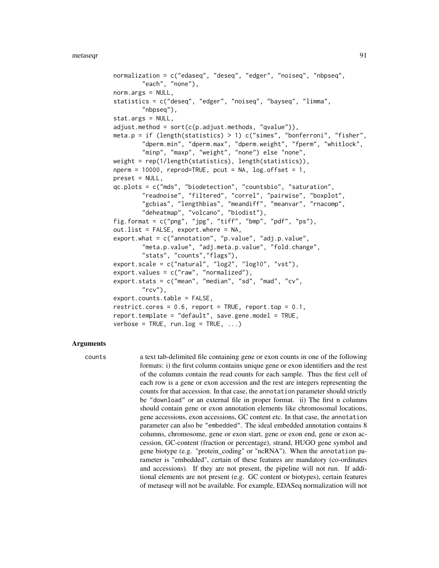```
normalization = c("edaseq", "deseq", "edger", "noiseq", "nbpseq",
        "each", "none"),
norm.args = NULL,
statistics = c("deseq", "edger", "noiseq", "bayseq", "limma",
        "nbpseq"),
stat.args = NULL,
adjust.\text{method} = sort(c(p.addjust.\text{methods}, 'qvalue")),
meta.p = if (length(statistics) > 1) c("simes", "bonferroni", "fisher",
        "dperm.min", "dperm.max", "dperm.weight", "fperm", "whitlock",
        "minp", "maxp", "weight", "none") else "none",
weight = rep(1/length(statistics), length(statistics)),
nperm = 10000, reprod = TRUE, pcut = NA, log.offset = 1,
preset = NULL,
qc.plots = c("mds", "biodetection", "countsbio", "saturation",
        "readnoise", "filtered", "correl", "pairwise", "boxplot",
        "gcbias", "lengthbias", "meandiff", "meanvar", "rnacomp",
        "deheatmap", "volcano", "biodist"),
fig.format = c("png", "jpg", "tiff", "bmp", "pdf", "ps"),out.list = FALSE, export.where = NA,
export.what = c("annotation", "p.value", "adj.p.value",
        "meta.p.value", "adj.meta.p.value", "fold.change",
        "stats", "counts","flags"),
export.scale = c("natural", "log2", "log10", "vst"),
export.values = c("raw", "normalized"),
export.stats = c("mean", "median", "sd", "mad", "cv",
        "rcv",
export.counts.table = FALSE,
restrict.cores = 0.6, report = TRUE, report.top = 0.1,
report.template = "default", save.gene.model = TRUE,
verbose = TRUE, run.log = TRUE, \ldots)
```
#### Arguments

counts a text tab-delimited file containing gene or exon counts in one of the following formats: i) the first column contains unique gene or exon identifiers and the rest of the columns contain the read counts for each sample. Thus the first cell of each row is a gene or exon accession and the rest are integers representing the counts for that accession. In that case, the annotation parameter should strictly be "download" or an external file in proper format. ii) The first n columns should contain gene or exon annotation elements like chromosomal locations, gene accessions, exon accessions, GC content etc. In that case, the annotation parameter can also be "embedded". The ideal embedded annotation contains 8 columns, chromosome, gene or exon start, gene or exon end, gene or exon accession, GC-content (fraction or percentage), strand, HUGO gene symbol and gene biotype (e.g. "protein\_coding" or "ncRNA"). When the annotation parameter is "embedded", certain of these features are mandatory (co-ordinates and accessions). If they are not present, the pipeline will not run. If additional elements are not present (e.g. GC content or biotypes), certain features of metaseqr will not be available. For example, EDASeq normalization will not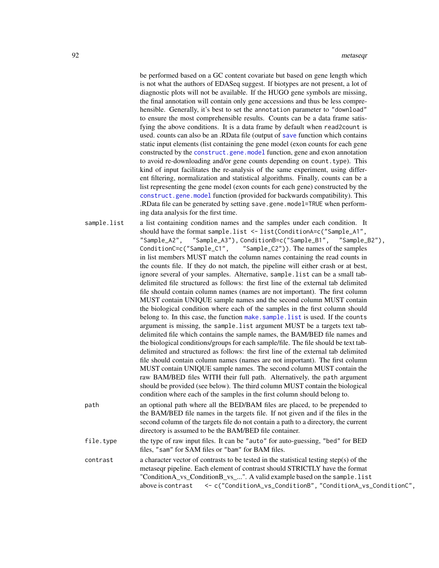be performed based on a GC content covariate but based on gene length which is not what the authors of EDASeq suggest. If biotypes are not present, a lot of diagnostic plots will not be available. If the HUGO gene symbols are missing, the final annotation will contain only gene accessions and thus be less comprehensible. Generally, it's best to set the annotation parameter to "download" to ensure the most comprehensible results. Counts can be a data frame satisfying the above conditions. It is a data frame by default when read2count is used. counts can also be an .RData file (output of [save](#page-0-0) function which contains static input elements (list containing the gene model (exon counts for each gene constructed by the [construct.gene.model](#page-19-0) function, gene and exon annotation to avoid re-downloading and/or gene counts depending on count.type). This kind of input facilitates the re-analysis of the same experiment, using different filtering, normalization and statistical algorithms. Finally, counts can be a list representing the gene model (exon counts for each gene) constructed by the [construct.gene.model](#page-19-0) function (provided for backwards compatibility). This .RData file can be generated by setting save.gene.model=TRUE when performing data analysis for the first time.

| sample.list | a list containing condition names and the samples under each condition. It<br>should have the format sample.list <- list(ConditionA=c("Sample_A1",                      |
|-------------|-------------------------------------------------------------------------------------------------------------------------------------------------------------------------|
|             | "Sample_A2", "Sample_A3"), ConditionB=c("Sample_B1", "Sample_B2"),                                                                                                      |
|             | ConditionC=c("Sample_C1", "Sample_C2")). The names of the samples                                                                                                       |
|             | in list members MUST match the column names containing the read counts in                                                                                               |
|             | the counts file. If they do not match, the pipeline will either crash or at best,                                                                                       |
|             | ignore several of your samples. Alternative, sample.list can be a small tab-                                                                                            |
|             | delimited file structured as follows: the first line of the external tab delimited                                                                                      |
|             | file should contain column names (names are not important). The first column                                                                                            |
|             | MUST contain UNIQUE sample names and the second column MUST contain                                                                                                     |
|             | the biological condition where each of the samples in the first column should                                                                                           |
|             | belong to. In this case, the function make. sample. list is used. If the counts                                                                                         |
|             | argument is missing, the sample. list argument MUST be a targets text tab-                                                                                              |
|             | delimited file which contains the sample names, the BAM/BED file names and                                                                                              |
|             | the biological conditions/groups for each sample/file. The file should be text tab-                                                                                     |
|             | delimited and structured as follows: the first line of the external tab delimited                                                                                       |
|             | file should contain column names (names are not important). The first column                                                                                            |
|             | MUST contain UNIQUE sample names. The second column MUST contain the                                                                                                    |
|             | raw BAM/BED files WITH their full path. Alternatively, the path argument                                                                                                |
|             | should be provided (see below). The third column MUST contain the biological<br>condition where each of the samples in the first column should belong to.               |
| path        | an optional path where all the BED/BAM files are placed, to be prepended to                                                                                             |
|             | the BAM/BED file names in the targets file. If not given and if the files in the                                                                                        |
|             | second column of the targets file do not contain a path to a directory, the current                                                                                     |
|             | directory is assumed to be the BAM/BED file container.                                                                                                                  |
| file.type   | the type of raw input files. It can be "auto" for auto-guessing, "bed" for BED                                                                                          |
|             | files, "sam" for SAM files or "bam" for BAM files.                                                                                                                      |
| contrast    | a character vector of contrasts to be tested in the statistical testing step(s) of the<br>matesaan ningling. Each clament of contrast should CTDICTI V house the format |

metaseqr pipeline. Each element of contrast should STRICTLY have the format "ConditionA\_vs\_ConditionB\_vs\_...". A valid example based on the sample.list above is contrast <- c("ConditionA\_vs\_ConditionB", "ConditionA\_vs\_ConditionC",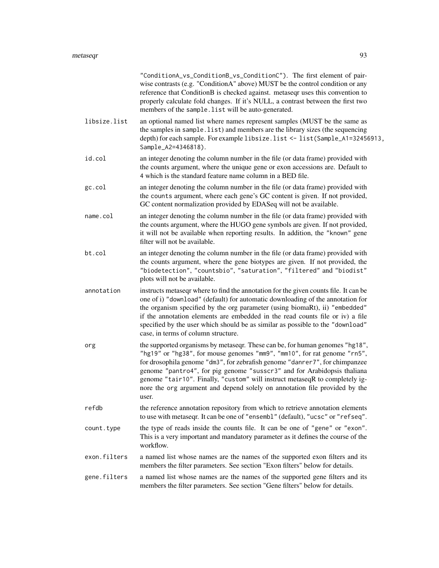|              | "ConditionA_vs_ConditionB_vs_ConditionC"). The first element of pair-<br>wise contrasts (e.g. "ConditionA" above) MUST be the control condition or any<br>reference that ConditionB is checked against. metaseqr uses this convention to<br>properly calculate fold changes. If it's NULL, a contrast between the first two<br>members of the sample. list will be auto-generated.                                                                                                       |
|--------------|------------------------------------------------------------------------------------------------------------------------------------------------------------------------------------------------------------------------------------------------------------------------------------------------------------------------------------------------------------------------------------------------------------------------------------------------------------------------------------------|
| libsize.list | an optional named list where names represent samples (MUST be the same as<br>the samples in sample. list) and members are the library sizes (the sequencing<br>depth) for each sample. For example libsize. list <- list (Sample_A1=32456913,<br>Sample_A2=4346818).                                                                                                                                                                                                                     |
| id.col       | an integer denoting the column number in the file (or data frame) provided with<br>the counts argument, where the unique gene or exon accessions are. Default to<br>4 which is the standard feature name column in a BED file.                                                                                                                                                                                                                                                           |
| gc.col       | an integer denoting the column number in the file (or data frame) provided with<br>the counts argument, where each gene's GC content is given. If not provided,<br>GC content normalization provided by EDASeq will not be available.                                                                                                                                                                                                                                                    |
| name.col     | an integer denoting the column number in the file (or data frame) provided with<br>the counts argument, where the HUGO gene symbols are given. If not provided,<br>it will not be available when reporting results. In addition, the "known" gene<br>filter will not be available.                                                                                                                                                                                                       |
| bt.col       | an integer denoting the column number in the file (or data frame) provided with<br>the counts argument, where the gene biotypes are given. If not provided, the<br>"biodetection", "countsbio", "saturation", "filtered" and "biodist"<br>plots will not be available.                                                                                                                                                                                                                   |
| annotation   | instructs metaseqr where to find the annotation for the given counts file. It can be<br>one of i) "download" (default) for automatic downloading of the annotation for<br>the organism specified by the org parameter (using biomaRt), ii) "embedded"<br>if the annotation elements are embedded in the read counts file or iv) a file<br>specified by the user which should be as similar as possible to the "download"<br>case, in terms of column structure.                          |
| org          | the supported organisms by metaseqr. These can be, for human genomes "hg18",<br>"hg19" or "hg38", for mouse genomes "mm9", "mm10", for rat genome "rn5",<br>for drosophila genome "dm3", for zebrafish genome "danrer7", for chimpanzee<br>genome "pantro4", for pig genome "susscr3" and for Arabidopsis thaliana<br>genome "tair10". Finally, "custom" will instruct metaseqR to completely ig-<br>nore the org argument and depend solely on annotation file provided by the<br>user. |
| refdb        | the reference annotation repository from which to retrieve annotation elements<br>to use with metaseqr. It can be one of "ensembl" (default), "ucsc" or "refseq".                                                                                                                                                                                                                                                                                                                        |
| count.type   | the type of reads inside the counts file. It can be one of "gene" or "exon".<br>This is a very important and mandatory parameter as it defines the course of the<br>workflow.                                                                                                                                                                                                                                                                                                            |
| exon.filters | a named list whose names are the names of the supported exon filters and its<br>members the filter parameters. See section "Exon filters" below for details.                                                                                                                                                                                                                                                                                                                             |
| gene.filters | a named list whose names are the names of the supported gene filters and its<br>members the filter parameters. See section "Gene filters" below for details.                                                                                                                                                                                                                                                                                                                             |
|              |                                                                                                                                                                                                                                                                                                                                                                                                                                                                                          |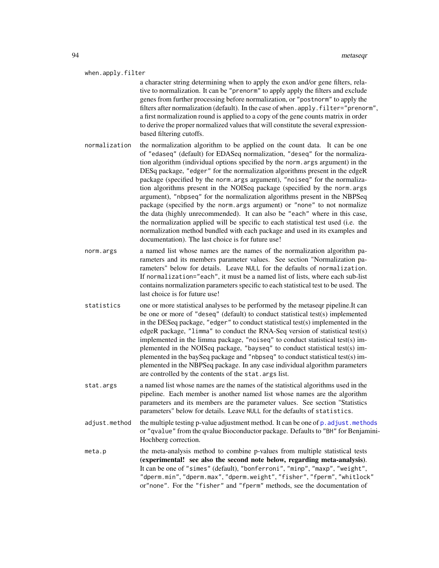#### when.apply.filter

a character string determining when to apply the exon and/or gene filters, relative to normalization. It can be "prenorm" to apply apply the filters and exclude genes from further processing before normalization, or "postnorm" to apply the filters after normalization (default). In the case of when.apply.filter="prenorm", a first normalization round is applied to a copy of the gene counts matrix in order to derive the proper normalized values that will constitute the several expressionbased filtering cutoffs.

- normalization the normalization algorithm to be applied on the count data. It can be one of "edaseq" (default) for EDASeq normalization, "deseq" for the normalization algorithm (individual options specified by the norm.args argument) in the DESq package, "edger" for the normalization algorithms present in the edgeR package (specified by the norm.args argument), "noiseq" for the normalization algorithms present in the NOISeq package (specified by the norm.args argument), "nbpseq" for the normalization algorithms present in the NBPSeq package (specified by the norm.args argument) or "none" to not normalize the data (highly unrecommended). It can also be "each" where in this case, the normalization applied will be specific to each statistical test used (i.e. the normalization method bundled with each package and used in its examples and documentation). The last choice is for future use!
- norm, args a named list whose names are the names of the normalization algorithm parameters and its members parameter values. See section "Normalization parameters" below for details. Leave NULL for the defaults of normalization. If normalization="each", it must be a named list of lists, where each sub-list contains normalization parameters specific to each statistical test to be used. The last choice is for future use!
- statistics one or more statistical analyses to be performed by the metaseqr pipeline.It can be one or more of "deseq" (default) to conduct statistical test(s) implemented in the DESeq package, "edger" to conduct statistical test(s) implemented in the edgeR package, "limma" to conduct the RNA-Seq version of statistical test(s) implemented in the limma package, "noiseq" to conduct statistical test(s) implemented in the NOISeq package, "bayseq" to conduct statistical test(s) implemented in the baySeq package and "nbpseq" to conduct statistical test(s) implemented in the NBPSeq package. In any case individual algorithm parameters are controlled by the contents of the stat.args list.
- stat.args a named list whose names are the names of the statistical algorithms used in the pipeline. Each member is another named list whose names are the algorithm parameters and its members are the parameter values. See section "Statistics parameters" below for details. Leave NULL for the defaults of statistics.
- adjust.method the multiple testing p-value adjustment method. It can be one of [p.adjust.methods](#page-0-0) or "qvalue" from the qvalue Bioconductor package. Defaults to "BH" for Benjamini-Hochberg correction.
- meta.p the meta-analysis method to combine p-values from multiple statistical tests (experimental! see also the second note below, regarding meta-analysis). It can be one of "simes" (default), "bonferroni", "minp", "maxp", "weight", "dperm.min", "dperm.max", "dperm.weight", "fisher", "fperm", "whitlock" or"none". For the "fisher" and "fperm" methods, see the documentation of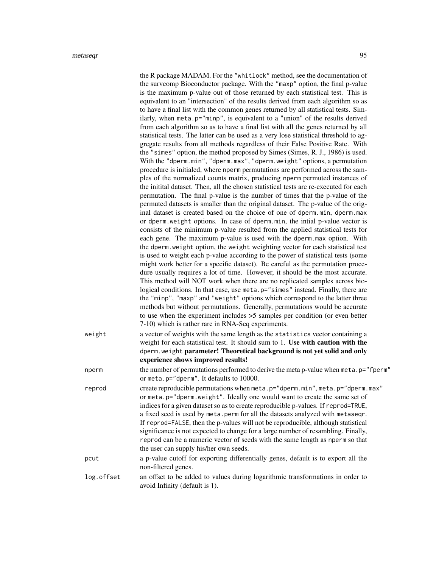|            | the R package MADAM. For the "whitlock" method, see the documentation of<br>the survcomp Bioconductor package. With the "maxp" option, the final p-value<br>is the maximum p-value out of those returned by each statistical test. This is<br>equivalent to an "intersection" of the results derived from each algorithm so as<br>to have a final list with the common genes returned by all statistical tests. Sim-<br>ilarly, when meta.p="minp", is equivalent to a "union" of the results derived<br>from each algorithm so as to have a final list with all the genes returned by all<br>statistical tests. The latter can be used as a very lose statistical threshold to ag-<br>gregate results from all methods regardless of their False Positive Rate. With<br>the "simes" option, the method proposed by Simes (Simes, R. J., 1986) is used.<br>With the "dperm.min", "dperm.max", "dperm.weight" options, a permutation<br>procedure is initialed, where nperm permutations are performed across the sam-<br>ples of the normalized counts matrix, producing nperm permuted instances of<br>the initital dataset. Then, all the chosen statistical tests are re-executed for each<br>permutation. The final p-value is the number of times that the p-value of the<br>permuted datasets is smaller than the original dataset. The p-value of the orig-<br>inal dataset is created based on the choice of one of dperm.min, dperm.max<br>or dperm.weight options. In case of dperm.min, the intial p-value vector is<br>consists of the minimum p-value resulted from the applied statistical tests for<br>each gene. The maximum p-value is used with the dperm.max option. With<br>the dperm. weight option, the weight weighting vector for each statistical test<br>is used to weight each p-value according to the power of statistical tests (some<br>might work better for a specific dataset). Be careful as the permutation proce-<br>dure usually requires a lot of time. However, it should be the most accurate.<br>This method will NOT work when there are no replicated samples across bio-<br>logical conditions. In that case, use meta.p="simes" instead. Finally, there are<br>the "minp", "maxp" and "weight" options which correspond to the latter three<br>methods but without permutations. Generally, permutations would be accurate |
|------------|--------------------------------------------------------------------------------------------------------------------------------------------------------------------------------------------------------------------------------------------------------------------------------------------------------------------------------------------------------------------------------------------------------------------------------------------------------------------------------------------------------------------------------------------------------------------------------------------------------------------------------------------------------------------------------------------------------------------------------------------------------------------------------------------------------------------------------------------------------------------------------------------------------------------------------------------------------------------------------------------------------------------------------------------------------------------------------------------------------------------------------------------------------------------------------------------------------------------------------------------------------------------------------------------------------------------------------------------------------------------------------------------------------------------------------------------------------------------------------------------------------------------------------------------------------------------------------------------------------------------------------------------------------------------------------------------------------------------------------------------------------------------------------------------------------------------------------------------------------------------------------------------------------------------------------------------------------------------------------------------------------------------------------------------------------------------------------------------------------------------------------------------------------------------------------------------------------------------------------------------------------------------------------------------------------------------------------------------------------------------------|
| weight     | to use when the experiment includes $>5$ samples per condition (or even better<br>7-10) which is rather rare in RNA-Seq experiments.<br>a vector of weights with the same length as the statistics vector containing a<br>weight for each statistical test. It should sum to 1. Use with caution with the                                                                                                                                                                                                                                                                                                                                                                                                                                                                                                                                                                                                                                                                                                                                                                                                                                                                                                                                                                                                                                                                                                                                                                                                                                                                                                                                                                                                                                                                                                                                                                                                                                                                                                                                                                                                                                                                                                                                                                                                                                                                |
|            | dperm. weight parameter! Theoretical background is not yet solid and only<br>experience shows improved results!                                                                                                                                                                                                                                                                                                                                                                                                                                                                                                                                                                                                                                                                                                                                                                                                                                                                                                                                                                                                                                                                                                                                                                                                                                                                                                                                                                                                                                                                                                                                                                                                                                                                                                                                                                                                                                                                                                                                                                                                                                                                                                                                                                                                                                                          |
| nperm      | the number of permutations performed to derive the meta p-value when meta.p="fperm"<br>or meta.p="dperm". It defaults to 10000.                                                                                                                                                                                                                                                                                                                                                                                                                                                                                                                                                                                                                                                                                                                                                                                                                                                                                                                                                                                                                                                                                                                                                                                                                                                                                                                                                                                                                                                                                                                                                                                                                                                                                                                                                                                                                                                                                                                                                                                                                                                                                                                                                                                                                                          |
| reprod     | create reproducible permutations when meta.p="dperm.min", meta.p="dperm.max"<br>or meta.p="dperm.weight". Ideally one would want to create the same set of<br>indices for a given dataset so as to create reproducible p-values. If reprod=TRUE,<br>a fixed seed is used by meta.perm for all the datasets analyzed with metaseqr.<br>If reprod=FALSE, then the p-values will not be reproducible, although statistical<br>significance is not expected to change for a large number of resambling. Finally,<br>reprod can be a numeric vector of seeds with the same length as nperm so that<br>the user can supply his/her own seeds.                                                                                                                                                                                                                                                                                                                                                                                                                                                                                                                                                                                                                                                                                                                                                                                                                                                                                                                                                                                                                                                                                                                                                                                                                                                                                                                                                                                                                                                                                                                                                                                                                                                                                                                                  |
| pcut       | a p-value cutoff for exporting differentially genes, default is to export all the<br>non-filtered genes.                                                                                                                                                                                                                                                                                                                                                                                                                                                                                                                                                                                                                                                                                                                                                                                                                                                                                                                                                                                                                                                                                                                                                                                                                                                                                                                                                                                                                                                                                                                                                                                                                                                                                                                                                                                                                                                                                                                                                                                                                                                                                                                                                                                                                                                                 |
| log.offset | an offset to be added to values during logarithmic transformations in order to<br>avoid Infinity (default is 1).                                                                                                                                                                                                                                                                                                                                                                                                                                                                                                                                                                                                                                                                                                                                                                                                                                                                                                                                                                                                                                                                                                                                                                                                                                                                                                                                                                                                                                                                                                                                                                                                                                                                                                                                                                                                                                                                                                                                                                                                                                                                                                                                                                                                                                                         |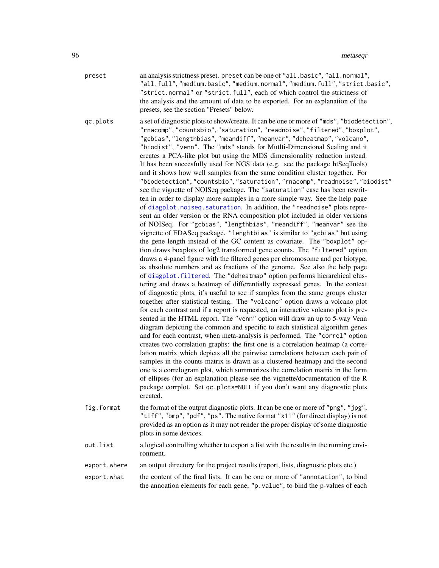preset an analysis strictness preset. preset can be one of "all.basic", "all.normal", "all.full", "medium.basic", "medium.normal", "medium.full", "strict.basic", "strict.normal" or "strict.full", each of which control the strictness of the analysis and the amount of data to be exported. For an explanation of the presets, see the section "Presets" below.

qc.plots a set of diagnostic plots to show/create. It can be one or more of "mds", "biodetection", "rnacomp", "countsbio", "saturation", "readnoise", "filtered", "boxplot", "gcbias", "lengthbias", "meandiff", "meanvar", "deheatmap", "volcano", "biodist", "venn". The "mds" stands for Mutlti-Dimensional Scaling and it creates a PCA-like plot but using the MDS dimensionality reduction instead. It has been succesfully used for NGS data (e.g. see the package htSeqTools) and it shows how well samples from the same condition cluster together. For "biodetection", "countsbio", "saturation", "rnacomp", "readnoise", "biodist" see the vignette of NOISeq package. The "saturation" case has been rewritten in order to display more samples in a more simple way. See the help page of [diagplot.noiseq.saturation](#page-33-0). In addition, the "readnoise" plots represent an older version or the RNA composition plot included in older versions of NOISeq. For "gcbias", "lengthbias", "meandiff", "meanvar" see the vignette of EDASeq package. "lenghtbias" is similar to "gcbias" but using the gene length instead of the GC content as covariate. The "boxplot" option draws boxplots of log2 transformed gene counts. The "filtered" option draws a 4-panel figure with the filtered genes per chromosome and per biotype, as absolute numbers and as fractions of the genome. See also the help page of [diagplot.filtered](#page-26-0). The "deheatmap" option performs hierarchical clustering and draws a heatmap of differentially expressed genes. In the context of diagnostic plots, it's useful to see if samples from the same groups cluster together after statistical testing. The "volcano" option draws a volcano plot for each contrast and if a report is requested, an interactive volcano plot is presented in the HTML report. The "venn" option will draw an up to 5-way Venn diagram depicting the common and specific to each statistical algorithm genes and for each contrast, when meta-analysis is performed. The "correl" option creates two correlation graphs: the first one is a correlation heatmap (a correlation matrix which depicts all the pairwise correlations between each pair of samples in the counts matrix is drawn as a clustered heatmap) and the second one is a correlogram plot, which summarizes the correlation matrix in the form of ellipses (for an explanation please see the vignette/documentation of the R package corrplot. Set qc.plots=NULL if you don't want any diagnostic plots created.

- fig.format the format of the output diagnostic plots. It can be one or more of "png", "jpg", "tiff", "bmp", "pdf", "ps". The native format "x11" (for direct display) is not provided as an option as it may not render the proper display of some diagnostic plots in some devices.
- out.list a logical controlling whether to export a list with the results in the running environment.
- export.where an output directory for the project results (report, lists, diagnostic plots etc.)
- export.what the content of the final lists. It can be one or more of "annotation", to bind the annoation elements for each gene, "p.value", to bind the p-values of each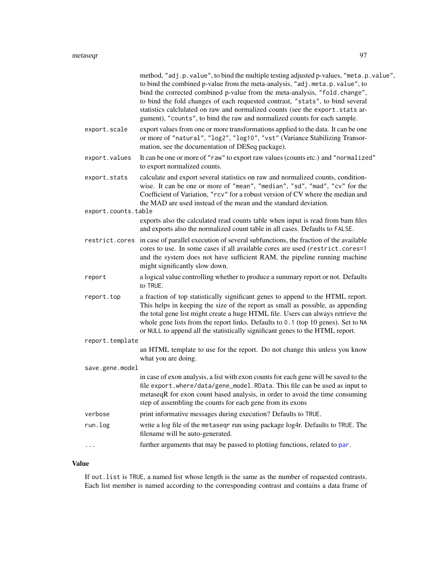|                     | method, "adj.p.value", to bind the multiple testing adjusted p-values, "meta.p.value",<br>to bind the combined p-value from the meta-analysis, "adj.meta.p.value", to<br>bind the corrected combined p-value from the meta-analysis, "fold.change",<br>to bind the fold changes of each requested contrast, "stats", to bind several<br>statistics calclulated on raw and normalized counts (see the export.stats ar-<br>gument), "counts", to bind the raw and normalized counts for each sample. |
|---------------------|----------------------------------------------------------------------------------------------------------------------------------------------------------------------------------------------------------------------------------------------------------------------------------------------------------------------------------------------------------------------------------------------------------------------------------------------------------------------------------------------------|
| export.scale        | export values from one or more transformations applied to the data. It can be one<br>or more of "natural", "log2", "log10", "vst" (Variance Stabilizing Transor-<br>mation, see the documentation of DESeq package).                                                                                                                                                                                                                                                                               |
| export.values       | It can be one or more of "raw" to export raw values (counts etc.) and "normalized"<br>to export normalized counts.                                                                                                                                                                                                                                                                                                                                                                                 |
| export.stats        | calculate and export several statistics on raw and normalized counts, condition-<br>wise. It can be one or more of "mean", "median", "sd", "mad", "cv" for the<br>Coefficient of Variation, "rcv" for a robust version of CV where the median and<br>the MAD are used instead of the mean and the standard deviation.                                                                                                                                                                              |
| export.counts.table |                                                                                                                                                                                                                                                                                                                                                                                                                                                                                                    |
|                     | exports also the calculated read counts table when input is read from bam files<br>and exports also the normalized count table in all cases. Defaults to FALSE.                                                                                                                                                                                                                                                                                                                                    |
|                     | restrict.cores in case of parallel execution of several subfunctions, the fraction of the available<br>cores to use. In some cases if all available cores are used (restrict.cores=1<br>and the system does not have sufficient RAM, the pipeline running machine<br>might significantly slow down.                                                                                                                                                                                                |
| report              | a logical value controlling whether to produce a summary report or not. Defaults<br>to TRUE.                                                                                                                                                                                                                                                                                                                                                                                                       |
| report.top          | a fraction of top statistically significant genes to append to the HTML report.<br>This helps in keeping the size of the report as small as possible, as appending<br>the total gene list might create a huge HTML file. Users can always retrieve the<br>whole gene lists from the report links. Defaults to 0.1 (top 10 genes). Set to NA<br>or NULL to append all the statistically significant genes to the HTML report.                                                                       |
| report.template     |                                                                                                                                                                                                                                                                                                                                                                                                                                                                                                    |
|                     | an HTML template to use for the report. Do not change this unless you know<br>what you are doing.                                                                                                                                                                                                                                                                                                                                                                                                  |
| save.gene.model     |                                                                                                                                                                                                                                                                                                                                                                                                                                                                                                    |
|                     | in case of exon analysis, a list with exon counts for each gene will be saved to the<br>file export.where/data/gene_model.RData. This file can be used as input to<br>metaseqR for exon count based analysis, in order to avoid the time consuming<br>step of assembling the counts for each gene from its exons                                                                                                                                                                                   |
| verbose             | print informative messages during execution? Defaults to TRUE.                                                                                                                                                                                                                                                                                                                                                                                                                                     |
| run.log             | write a log file of the metaseqr run using package log4r. Defaults to TRUE. The<br>filename will be auto-generated.                                                                                                                                                                                                                                                                                                                                                                                |
|                     | further arguments that may be passed to plotting functions, related to par.                                                                                                                                                                                                                                                                                                                                                                                                                        |
|                     |                                                                                                                                                                                                                                                                                                                                                                                                                                                                                                    |

# Value

If out.list is TRUE, a named list whose length is the same as the number of requested contrasts. Each list member is named according to the corresponding contrast and contains a data frame of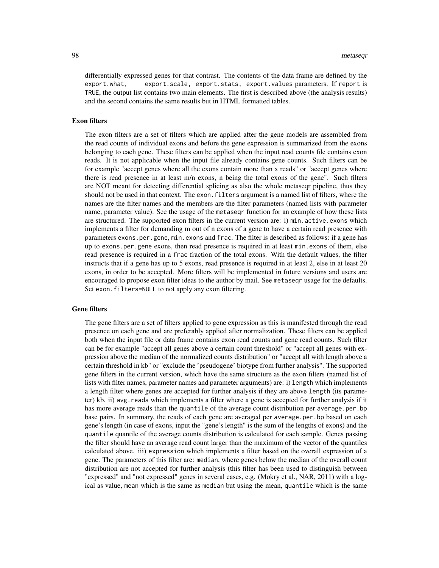differentially expressed genes for that contrast. The contents of the data frame are defined by the export.what, export.scale, export.stats, export.values parameters. If report is TRUE, the output list contains two main elements. The first is described above (the analysis results) and the second contains the same results but in HTML formatted tables.

#### Exon filters

The exon filters are a set of filters which are applied after the gene models are assembled from the read counts of individual exons and before the gene expression is summarized from the exons belonging to each gene. These filters can be applied when the input read counts file contains exon reads. It is not applicable when the input file already contains gene counts. Such filters can be for example "accept genes where all the exons contain more than x reads" or "accept genes where there is read presence in at least m/n exons, n being the total exons of the gene". Such filters are NOT meant for detecting differential splicing as also the whole metaseqr pipeline, thus they should not be used in that context. The exon.filters argument is a named list of filters, where the names are the filter names and the members are the filter parameters (named lists with parameter name, parameter value). See the usage of the metaseqr function for an example of how these lists are structured. The supported exon filters in the current version are: i) min.active.exons which implements a filter for demanding m out of n exons of a gene to have a certain read presence with parameters exons.per.gene, min.exons and frac. The filter is described as follows: if a gene has up to exons.per.gene exons, then read presence is required in at least min.exons of them, else read presence is required in a frac fraction of the total exons. With the default values, the filter instructs that if a gene has up to 5 exons, read presence is required in at least 2, else in at least 20 exons, in order to be accepted. More filters will be implemented in future versions and users are encouraged to propose exon filter ideas to the author by mail. See metaseqr usage for the defaults. Set exon. filters=NULL to not apply any exon filtering.

#### Gene filters

The gene filters are a set of filters applied to gene expression as this is manifested through the read presence on each gene and are preferably applied after normalization. These filters can be applied both when the input file or data frame contains exon read counts and gene read counts. Such filter can be for example "accept all genes above a certain count threshold" or "accept all genes with expression above the median of the normalized counts distribution" or "accept all with length above a certain threshold in kb" or "exclude the 'pseudogene' biotype from further analysis". The supported gene filters in the current version, which have the same structure as the exon filters (named list of lists with filter names, parameter names and parameter arguments) are: i) length which implements a length filter where genes are accepted for further analysis if they are above length (its parameter) kb. ii) avg.reads which implements a filter where a gene is accepted for further analysis if it has more average reads than the quantile of the average count distribution per average.per.bp base pairs. In summary, the reads of each gene are averaged per average.per.bp based on each gene's length (in case of exons, input the "gene's length" is the sum of the lengths of exons) and the quantile quantile of the average counts distribution is calculated for each sample. Genes passing the filter should have an average read count larger than the maximum of the vector of the quantiles calculated above. iii) expression which implements a filter based on the overall expression of a gene. The parameters of this filter are: median, where genes below the median of the overall count distribution are not accepted for further analysis (this filter has been used to distinguish between "expressed" and "not expressed" genes in several cases, e.g. (Mokry et al., NAR, 2011) with a logical as value, mean which is the same as median but using the mean, quantile which is the same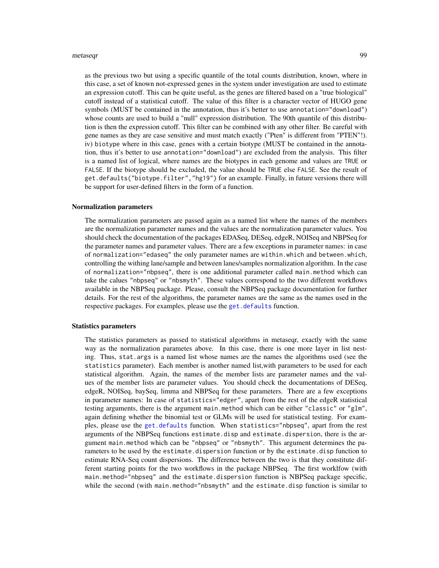#### metaseqr 99

as the previous two but using a specific quantile of the total counts distribution, known, where in this case, a set of known not-expressed genes in the system under investigation are used to estimate an expression cutoff. This can be quite useful, as the genes are filtered based on a "true biological" cutoff instead of a statistical cutoff. The value of this filter is a character vector of HUGO gene symbols (MUST be contained in the annotation, thus it's better to use annotation="download") whose counts are used to build a "null" expression distribution. The 90th quantile of this distribution is then the expression cutoff. This filter can be combined with any other filter. Be careful with gene names as they are case sensitive and must match exactly ("Pten" is different from "PTEN"!). iv) biotype where in this case, genes with a certain biotype (MUST be contained in the annotation, thus it's better to use annotation="download") are excluded from the analysis. This filter is a named list of logical, where names are the biotypes in each genome and values are TRUE or FALSE. If the biotype should be excluded, the value should be TRUE else FALSE. See the result of get.defaults("biotype.filter","hg19") for an example. Finally, in future versions there will be support for user-defined filters in the form of a function.

#### Normalization parameters

The normalization parameters are passed again as a named list where the names of the members are the normalization parameter names and the values are the normalization parameter values. You should check the documentation of the packages EDASeq, DESeq, edgeR, NOISeq and NBPSeq for the parameter names and parameter values. There are a few exceptions in parameter names: in case of normalization="edaseq" the only parameter names are within.which and between.which, controlling the withing lane/sample and between lanes/samples normalization algorithm. In the case of normalization="nbpseq", there is one additional parameter called main.method which can take the calues "nbpseq" or "nbsmyth". These values correspond to the two different workflows available in the NBPSeq package. Please, consult the NBPSeq package documentation for further details. For the rest of the algorithms, the parameter names are the same as the names used in the respective packages. For examples, please use the [get.defaults](#page-50-0) function.

#### Statistics parameters

The statistics parameters as passed to statistical algorithms in metaseqr, exactly with the same way as the normalization parametes above. In this case, there is one more layer in list nesting. Thus, stat.args is a named list whose names are the names the algorithms used (see the statistics parameter). Each member is another named list,with parameters to be used for each statistical algorithm. Again, the names of the member lists are parameter names and the values of the member lists are parameter values. You should check the documentations of DESeq, edgeR, NOISeq, baySeq, limma and NBPSeq for these parameters. There are a few exceptions in parameter names: In case of statistics="edger", apart from the rest of the edgeR statistical testing arguments, there is the argument main.method which can be either "classic" or "glm", again defining whether the binomial test or GLMs will be used for statistical testing. For examples, please use the [get.defaults](#page-50-0) function. When statistics="nbpseq", apart from the rest arguments of the NBPSeq functions estimate.disp and estimate.dispersion, there is the argument main.method which can be "nbpseq" or "nbsmyth". This argument determines the parameters to be used by the estimate.dispersion function or by the estimate.disp function to estimate RNA-Seq count dispersions. The difference between the two is that they constitute different starting points for the two workflows in the package NBPSeq. The first worklfow (with main.method="nbpseq" and the estimate.dispersion function is NBPSeq package specific, while the second (with main.method="nbsmyth" and the estimate.disp function is similar to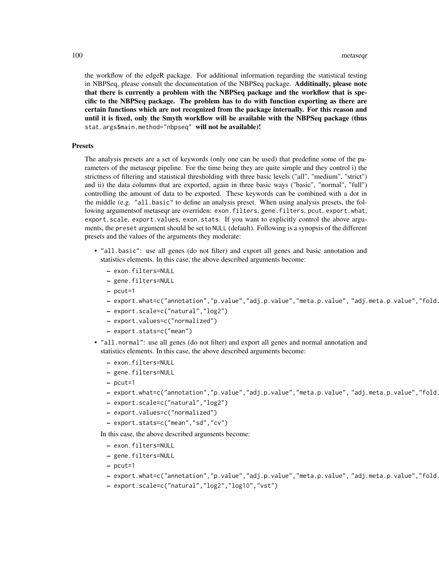the workflow of the edgeR package. For additional information regarding the statistical testing in NBPSeq, please consult the documentation of the NBPSeq package. Additinally, please note that there is currently a problem with the NBPSeq package and the workflow that is specific to the NBPSeq package. The problem has to do with function exporting as there are certain functions which are not recognized from the package internally. For this reason and until it is fixed, only the Smyth workflow will be available with the NBPSeq package (thus stat.args\$main.method="nbpseq" will not be available)!

#### Presets

The analysis presets are a set of keywords (only one can be used) that predefine some of the parameters of the metaseqr pipeline. For the time being they are quite simple and they control i) the strictness of filtering and statistical thresholding with three basic levels ("all", "medium", "strict") and ii) the data columns that are exported, again in three basic ways ("basic", "normal", "full") controlling the amount of data to be exported. These keywords can be combined with a dot in the middle (e.g. "all.basic" to define an analysis preset. When using analysis presets, the following argumentsof metaseqr are overriden: exon.filters, gene.filters, pcut, export.what, export.scale, export.values, exon.stats. If you want to explicitly control the above arguments, the preset argument should be set to NULL (default). Following is a synopsis of the different presets and the values of the arguments they moderate:

- "all.basic": use all genes (do not filter) and export all genes and basic annotation and statistics elements. In this case, the above described arguments become:
	- exon.filters=NULL
	- gene.filters=NULL
	- pcut=1
	- export.what=c("annotation","p.value","adj.p.value","meta.p.value","adj.meta.p.value","fold.
	- export.scale=c("natural","log2")
	- export.values=c("normalized")
	- export.stats=c("mean")
- "all.normal": use all genes (do not filter) and export all genes and normal annotation and statistics elements. In this case, the above described arguments become:
	- exon.filters=NULL
	- gene.filters=NULL
	- pcut=1
	- export.what=c("annotation","p.value","adj.p.value","meta.p.value","adj.meta.p.value","fold.
	- export.scale=c("natural","log2")
	- export.values=c("normalized")
	- export.stats=c("mean","sd","cv")

In this case, the above described arguments become:

- exon.filters=NULL
- gene.filters=NULL
- pcut=1
- export.what=c("annotation","p.value","adj.p.value","meta.p.value", "adj.meta.p.value","fold.change","stats","counts")
- export.scale=c("natural","log2","log10","vst")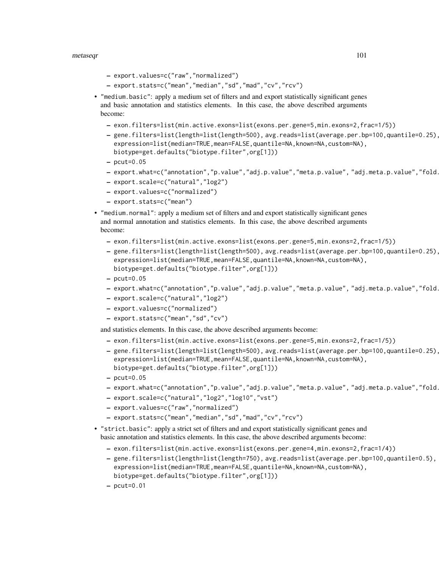#### metaseqr 101

- export.values=c("raw","normalized")
- export.stats=c("mean","median","sd","mad","cv","rcv")
- "medium.basic": apply a medium set of filters and and export statistically significant genes and basic annotation and statistics elements. In this case, the above described arguments become:
	- exon.filters=list(min.active.exons=list(exons.per.gene=5,min.exons=2,frac=1/5))
	- gene.filters=list(length=list(length=500), avg.reads=list(average.per.bp=100,quantile=0.25), expression=list(median=TRUE,mean=FALSE,quantile=NA,known=NA,custom=NA), biotype=get.defaults("biotype.filter",org[1]))
	- $-$  pcut=0.05
	- export.what=c("annotation","p.value","adj.p.value","meta.p.value", "adj.meta.p.value","fold.change")
	- export.scale=c("natural","log2")
	- export.values=c("normalized")
	- export.stats=c("mean")
- "medium.normal": apply a medium set of filters and and export statistically significant genes and normal annotation and statistics elements. In this case, the above described arguments become:
	- exon.filters=list(min.active.exons=list(exons.per.gene=5,min.exons=2,frac=1/5))
	- gene.filters=list(length=list(length=500), avg.reads=list(average.per.bp=100,quantile=0.25), expression=list(median=TRUE,mean=FALSE,quantile=NA,known=NA,custom=NA), biotype=get.defaults("biotype.filter",org[1]))
	- $-$  pcut=0.05
	- export.what=c("annotation","p.value","adj.p.value","meta.p.value", "adj.meta.p.value","fold.change","stats","counts")
	- export.scale=c("natural","log2")
	- export.values=c("normalized")
	- export.stats=c("mean","sd","cv")

and statistics elements. In this case, the above described arguments become:

- exon.filters=list(min.active.exons=list(exons.per.gene=5,min.exons=2,frac=1/5))
- gene.filters=list(length=list(length=500), avg.reads=list(average.per.bp=100,quantile=0.25), expression=list(median=TRUE,mean=FALSE,quantile=NA,known=NA,custom=NA), biotype=get.defaults("biotype.filter",org[1]))
- $-$  pcut=0.05
- export.what=c("annotation","p.value","adj.p.value","meta.p.value", "adj.meta.p.value","fold.change","stats","counts")
- export.scale=c("natural","log2","log10","vst")
- export.values=c("raw","normalized")
- export.stats=c("mean","median","sd","mad","cv","rcv")
- "strict.basic": apply a strict set of filters and and export statistically significant genes and basic annotation and statistics elements. In this case, the above described arguments become:
	- exon.filters=list(min.active.exons=list(exons.per.gene=4,min.exons=2,frac=1/4))
	- gene.filters=list(length=list(length=750), avg.reads=list(average.per.bp=100,quantile=0.5), expression=list(median=TRUE,mean=FALSE,quantile=NA,known=NA,custom=NA), biotype=get.defaults("biotype.filter",org[1]))
	- $-$  pcut=0.01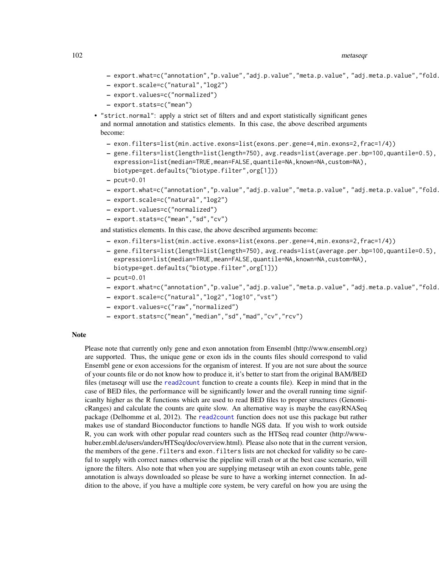#### 102 metaseqr

- export.what=c("annotation","p.value","adj.p.value","meta.p.value", "adj.meta.p.value","fold.change")
- export.scale=c("natural","log2")
- export.values=c("normalized")
- export.stats=c("mean")
- "strict.normal": apply a strict set of filters and and export statistically significant genes and normal annotation and statistics elements. In this case, the above described arguments become:
	- exon.filters=list(min.active.exons=list(exons.per.gene=4,min.exons=2,frac=1/4))
	- gene.filters=list(length=list(length=750), avg.reads=list(average.per.bp=100,quantile=0.5), expression=list(median=TRUE,mean=FALSE,quantile=NA,known=NA,custom=NA), biotype=get.defaults("biotype.filter",org[1]))
	- $-$  pcut=0.01
	- export.what=c("annotation","p.value","adj.p.value","meta.p.value", "adj.meta.p.value","fold.change","stats","counts")
	- export.scale=c("natural","log2")
	- export.values=c("normalized")
	- export.stats=c("mean","sd","cv")

and statistics elements. In this case, the above described arguments become:

- exon.filters=list(min.active.exons=list(exons.per.gene=4,min.exons=2,frac=1/4))
- gene.filters=list(length=list(length=750), avg.reads=list(average.per.bp=100,quantile=0.5), expression=list(median=TRUE,mean=FALSE,quantile=NA,known=NA,custom=NA), biotype=get.defaults("biotype.filter",org[1]))
- $-$  pcut=0.01
- export.what=c("annotation","p.value","adj.p.value","meta.p.value", "adj.meta.p.value","fold.change","stats","counts")
- export.scale=c("natural","log2","log10","vst")
- export.values=c("raw","normalized")
- export.stats=c("mean","median","sd","mad","cv","rcv")

#### Note

Please note that currently only gene and exon annotation from Ensembl (http://www.ensembl.org) are supported. Thus, the unique gene or exon ids in the counts files should correspond to valid Ensembl gene or exon accessions for the organism of interest. If you are not sure about the source of your counts file or do not know how to produce it, it's better to start from the original BAM/BED files (metaseqr will use the [read2count](#page-112-0) function to create a counts file). Keep in mind that in the case of BED files, the performance will be significantly lower and the overall running time significanlty higher as the R functions which are used to read BED files to proper structures (GenomicRanges) and calculate the counts are quite slow. An alternative way is maybe the easyRNASeq package (Delhomme et al, 2012). The [read2count](#page-112-0) function does not use this package but rather makes use of standard Bioconductor functions to handle NGS data. If you wish to work outside R, you can work with other popular read counters such as the HTSeq read counter (http://wwwhuber.embl.de/users/anders/HTSeq/doc/overview.html). Please also note that in the current version, the members of the gene.filters and exon.filters lists are not checked for validity so be careful to supply with correct names otherwise the pipeline will crash or at the best case scenario, will ignore the filters. Also note that when you are supplying metaseqr wtih an exon counts table, gene annotation is always downloaded so please be sure to have a working internet connection. In addition to the above, if you have a multiple core system, be very careful on how you are using the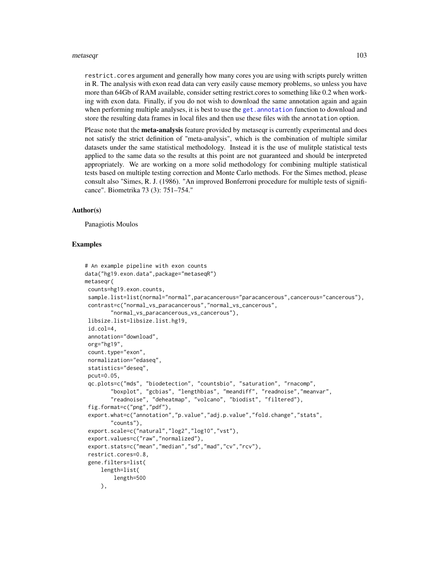#### metaseqr and the state of the state of the state of the state of the state of the state of the state of the state of the state of the state of the state of the state of the state of the state of the state of the state of t

restrict.cores argument and generally how many cores you are using with scripts purely written in R. The analysis with exon read data can very easily cause memory problems, so unless you have more than 64Gb of RAM available, consider setting restrict.cores to something like 0.2 when working with exon data. Finally, if you do not wish to download the same annotation again and again when performing multiple analyses, it is best to use the get. annotation function to download and store the resulting data frames in local files and then use these files with the annotation option.

Please note that the meta-analysis feature provided by metaseqr is currently experimental and does not satisfy the strict definition of "meta-analysis", which is the combination of multiple similar datasets under the same statistical methodology. Instead it is the use of mulitple statistical tests applied to the same data so the results at this point are not guaranteed and should be interpreted appropriately. We are working on a more solid methodology for combining multiple statistical tests based on multiple testing correction and Monte Carlo methods. For the Simes method, please consult also "Simes, R. J. (1986). "An improved Bonferroni procedure for multiple tests of significance". Biometrika 73 (3): 751–754."

#### Author(s)

Panagiotis Moulos

```
# An example pipeline with exon counts
data("hg19.exon.data",package="metaseqR")
metaseqr(
counts=hg19.exon.counts,
 sample.list=list(normal="normal",paracancerous="paracancerous",cancerous="cancerous"),
 contrast=c("normal_vs_paracancerous","normal_vs_cancerous",
        "normal_vs_paracancerous_vs_cancerous"),
 libsize.list=libsize.list.hg19,
 id.col=4,
 annotation="download",
 org="hg19",
 count.type="exon",
 normalization="edaseq",
 statistics="deseq",
 pcut=0.05,
 qc.plots=c("mds", "biodetection", "countsbio", "saturation", "rnacomp",
        "boxplot", "gcbias", "lengthbias", "meandiff", "readnoise","meanvar",
        "readnoise", "deheatmap", "volcano", "biodist", "filtered"),
 fig.format=c("png","pdf"),
 export.what=c("annotation","p.value","adj.p.value","fold.change","stats",
        "counts"),
 export.scale=c("natural","log2","log10","vst"),
 export.values=c("raw","normalized"),
 export.stats=c("mean","median","sd","mad","cv","rcv"),
 restrict.cores=0.8,
 gene.filters=list(
     length=list(
        length=500
     ),
```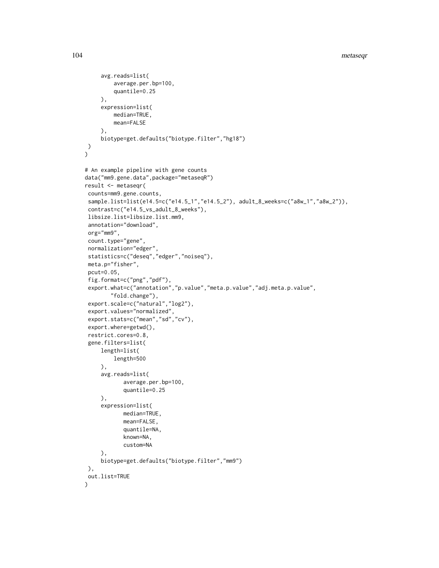```
avg.reads=list(
         average.per.bp=100,
         quantile=0.25
     ),
     expression=list(
         median=TRUE,
         mean=FALSE
     ),
     biotype=get.defaults("biotype.filter","hg18")
)
\mathcal{L}# An example pipeline with gene counts
data("mm9.gene.data",package="metaseqR")
result <- metaseqr(
counts=mm9.gene.counts,
sample.list=list(e14.5=c("e14.5_1","e14.5_2"), adult_8_weeks=c("a8w_1","a8w_2")),
contrast=c("e14.5_vs_adult_8_weeks"),
libsize.list=libsize.list.mm9,
annotation="download",
org="mm9",
count.type="gene",
normalization="edger",
statistics=c("deseq","edger","noiseq"),
meta.p="fisher",
pcut=0.05,
 fig.format=c("png","pdf"),
export.what=c("annotation","p.value","meta.p.value","adj.meta.p.value",
        "fold.change"),
export.scale=c("natural","log2"),
export.values="normalized",
export.stats=c("mean","sd","cv"),
 export.where=getwd(),
restrict.cores=0.8,
gene.filters=list(
     length=list(
         length=500
     ),
     avg.reads=list(
            average.per.bp=100,
            quantile=0.25
     ),
     expression=list(
            median=TRUE,
            mean=FALSE,
            quantile=NA,
            known=NA,
            custom=NA
     ),
     biotype=get.defaults("biotype.filter","mm9")
),
out.list=TRUE
\mathcal{L}
```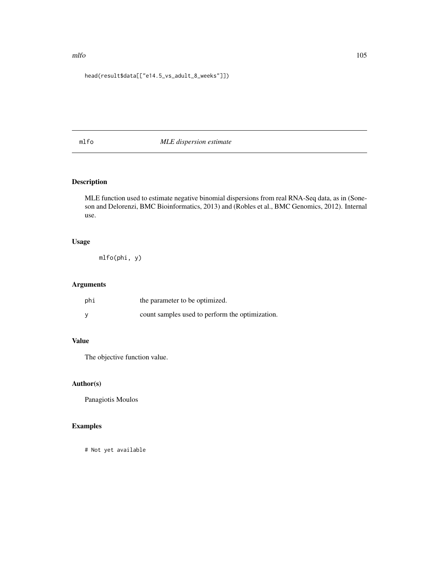#### mlfo and the state of the state of the state of the state of the state of the state of the state of the state of the state of the state of the state of the state of the state of the state of the state of the state of the s

# head(result\$data[["e14.5\_vs\_adult\_8\_weeks"]])

# mlfo *MLE dispersion estimate*

# Description

MLE function used to estimate negative binomial dispersions from real RNA-Seq data, as in (Soneson and Delorenzi, BMC Bioinformatics, 2013) and (Robles et al., BMC Genomics, 2012). Internal use.

# Usage

mlfo(phi, y)

# Arguments

| phi | the parameter to be optimized.                  |
|-----|-------------------------------------------------|
| V   | count samples used to perform the optimization. |

# Value

The objective function value.

## Author(s)

Panagiotis Moulos

# Examples

# Not yet available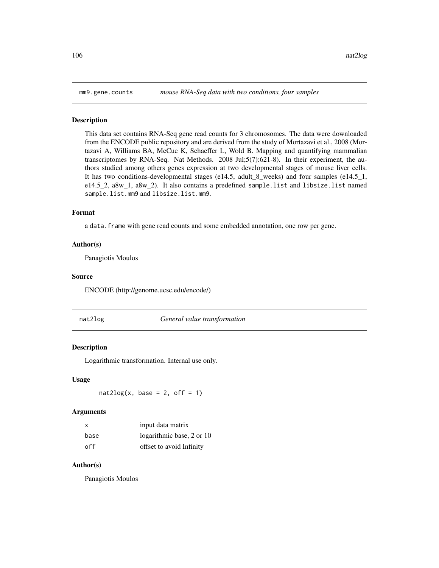#### Description

This data set contains RNA-Seq gene read counts for 3 chromosomes. The data were downloaded from the ENCODE public repository and are derived from the study of Mortazavi et al., 2008 (Mortazavi A, Williams BA, McCue K, Schaeffer L, Wold B. Mapping and quantifying mammalian transcriptomes by RNA-Seq. Nat Methods. 2008 Jul;5(7):621-8). In their experiment, the authors studied among others genes expression at two developmental stages of mouse liver cells. It has two conditions-developmental stages (e14.5, adult\_8\_weeks) and four samples (e14.5\_1, e14.5\_2, a8w\_1, a8w\_2). It also contains a predefined sample.list and libsize.list named sample.list.mm9 and libsize.list.mm9.

#### Format

a data.frame with gene read counts and some embedded annotation, one row per gene.

# Author(s)

Panagiotis Moulos

# Source

ENCODE (http://genome.ucsc.edu/encode/)

nat2log *General value transformation*

## **Description**

Logarithmic transformation. Internal use only.

#### Usage

 $nat2log(x, base = 2, off = 1)$ 

#### Arguments

| x    | input data matrix         |
|------|---------------------------|
| base | logarithmic base, 2 or 10 |
| off  | offset to avoid Infinity  |

#### Author(s)

Panagiotis Moulos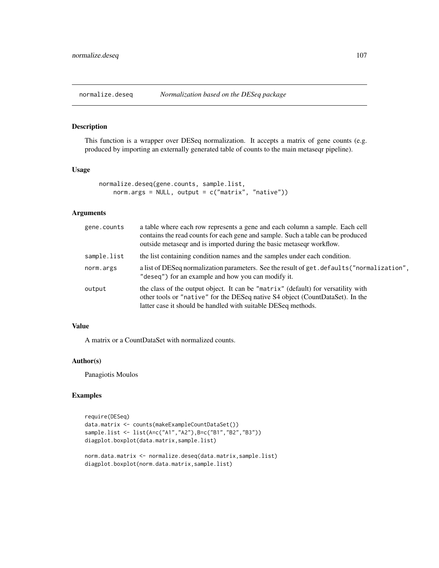normalize.deseq *Normalization based on the DESeq package*

# Description

This function is a wrapper over DESeq normalization. It accepts a matrix of gene counts (e.g. produced by importing an externally generated table of counts to the main metaseqr pipeline).

## Usage

```
normalize.deseq(gene.counts, sample.list,
   norm.args = NULL, output = c("matrix", "native")
```
# Arguments

| gene.counts | a table where each row represents a gene and each column a sample. Each cell<br>contains the read counts for each gene and sample. Such a table can be produced<br>outside metaseqr and is imported during the basic metaseqr workflow. |
|-------------|-----------------------------------------------------------------------------------------------------------------------------------------------------------------------------------------------------------------------------------------|
| sample.list | the list containing condition names and the samples under each condition.                                                                                                                                                               |
| norm.args   | a list of DESeq normalization parameters. See the result of get. defaults ("normalization",<br>"deseq") for an example and how you can modify it.                                                                                       |
| output      | the class of the output object. It can be "matrix" (default) for versatility with<br>other tools or "native" for the DESeq native S4 object (CountDataSet). In the<br>latter case it should be handled with suitable DESeq methods.     |

# Value

A matrix or a CountDataSet with normalized counts.

# Author(s)

Panagiotis Moulos

```
require(DESeq)
data.matrix <- counts(makeExampleCountDataSet())
sample.list <- list(A=c("A1","A2"),B=c("B1","B2","B3"))
diagplot.boxplot(data.matrix,sample.list)
norm.data.matrix <- normalize.deseq(data.matrix,sample.list)
```

```
diagplot.boxplot(norm.data.matrix,sample.list)
```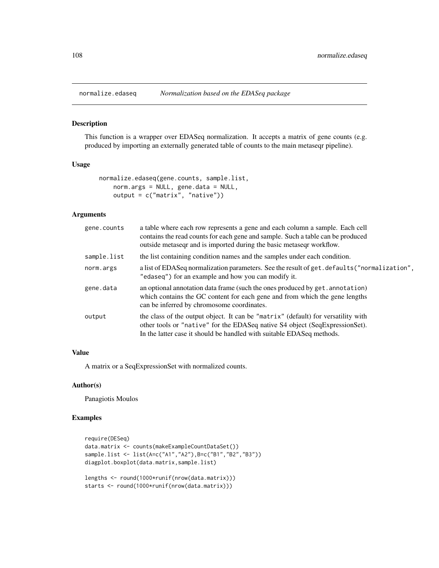#### Description

This function is a wrapper over EDASeq normalization. It accepts a matrix of gene counts (e.g. produced by importing an externally generated table of counts to the main metaseqr pipeline).

#### Usage

```
normalize.edaseq(gene.counts, sample.list,
   norm.args = NULL, gene.data = NULL,
   output = c("matrix", "native"))
```
# Arguments

| gene.counts | a table where each row represents a gene and each column a sample. Each cell<br>contains the read counts for each gene and sample. Such a table can be produced<br>outside metaseqr and is imported during the basic metaseqr workflow.   |
|-------------|-------------------------------------------------------------------------------------------------------------------------------------------------------------------------------------------------------------------------------------------|
| sample.list | the list containing condition names and the samples under each condition.                                                                                                                                                                 |
| norm.args   | a list of EDAS eq normalization parameters. See the result of get. defaults ("normalization",<br>"edaseq") for an example and how you can modify it.                                                                                      |
| gene.data   | an optional annotation data frame (such the ones produced by get. annotation)<br>which contains the GC content for each gene and from which the gene lengths<br>can be inferred by chromosome coordinates.                                |
| output      | the class of the output object. It can be "matrix" (default) for versatility with<br>other tools or "native" for the EDASeq native S4 object (SeqExpressionSet).<br>In the latter case it should be handled with suitable EDASeq methods. |

#### Value

A matrix or a SeqExpressionSet with normalized counts.

#### Author(s)

Panagiotis Moulos

```
require(DESeq)
data.matrix <- counts(makeExampleCountDataSet())
sample.list <- list(A=c("A1","A2"),B=c("B1","B2","B3"))
diagplot.boxplot(data.matrix,sample.list)
lengths <- round(1000*runif(nrow(data.matrix)))
```

```
starts <- round(1000*runif(nrow(data.matrix)))
```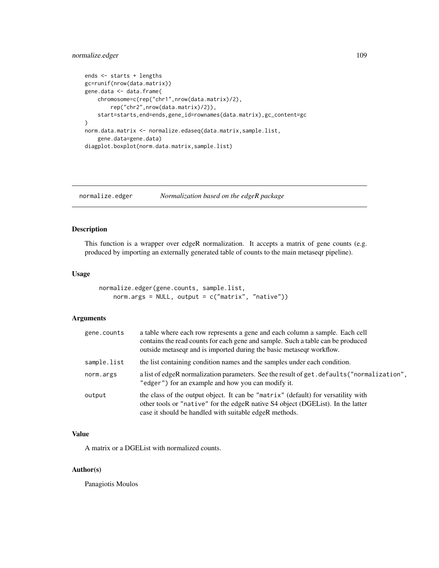# <span id="page-108-0"></span>normalize.edger 109

```
ends <- starts + lengths
gc=runif(nrow(data.matrix))
gene.data <- data.frame(
    chromosome=c(rep("chr1",nrow(data.matrix)/2),
        rep("chr2",nrow(data.matrix)/2)),
    start=starts,end=ends,gene_id=rownames(data.matrix),gc_content=gc
\mathcal{L}norm.data.matrix <- normalize.edaseq(data.matrix,sample.list,
    gene.data=gene.data)
diagplot.boxplot(norm.data.matrix,sample.list)
```
normalize.edger *Normalization based on the edgeR package*

## Description

This function is a wrapper over edgeR normalization. It accepts a matrix of gene counts (e.g. produced by importing an externally generated table of counts to the main metaseqr pipeline).

## Usage

```
normalize.edger(gene.counts, sample.list,
   norm.args = NULL, output = c("matrix", "native")
```
## Arguments

| gene.counts | a table where each row represents a gene and each column a sample. Each cell<br>contains the read counts for each gene and sample. Such a table can be produced<br>outside metaseqr and is imported during the basic metaseqr workflow. |
|-------------|-----------------------------------------------------------------------------------------------------------------------------------------------------------------------------------------------------------------------------------------|
| sample.list | the list containing condition names and the samples under each condition.                                                                                                                                                               |
| norm.args   | a list of edgeR normalization parameters. See the result of get.defaults ("normalization",<br>"edger") for an example and how you can modify it.                                                                                        |
| output      | the class of the output object. It can be "matrix" (default) for versatility with<br>other tools or "native" for the edgeR native S4 object (DGEList). In the latter<br>case it should be handled with suitable edgeR methods.          |

## Value

A matrix or a DGEList with normalized counts.

## Author(s)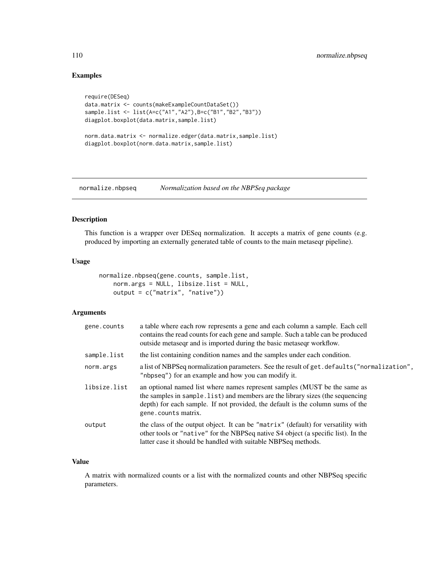# Examples

```
require(DESeq)
data.matrix <- counts(makeExampleCountDataSet())
sample.list <- list(A=c("A1","A2"),B=c("B1","B2","B3"))
diagplot.boxplot(data.matrix,sample.list)
norm.data.matrix <- normalize.edger(data.matrix,sample.list)
diagplot.boxplot(norm.data.matrix,sample.list)
```
normalize.nbpseq *Normalization based on the NBPSeq package*

# Description

This function is a wrapper over DESeq normalization. It accepts a matrix of gene counts (e.g. produced by importing an externally generated table of counts to the main metaseqr pipeline).

## Usage

```
normalize.nbpseq(gene.counts, sample.list,
   norm.args = NULL, libsize.list = NULL,
   output = c("matrix", "native"))
```
#### Arguments

| gene.counts  | a table where each row represents a gene and each column a sample. Each cell<br>contains the read counts for each gene and sample. Such a table can be produced<br>outside metaseqr and is imported during the basic metaseqr workflow.                              |
|--------------|----------------------------------------------------------------------------------------------------------------------------------------------------------------------------------------------------------------------------------------------------------------------|
| sample.list  | the list containing condition names and the samples under each condition.                                                                                                                                                                                            |
| norm.args    | a list of NBPSeq normalization parameters. See the result of get. defaults ("normalization",<br>"nbpseq") for an example and how you can modify it.                                                                                                                  |
| libsize.list | an optional named list where names represent samples (MUST be the same as<br>the samples in sample. list) and members are the library sizes (the sequencing<br>depth) for each sample. If not provided, the default is the column sums of the<br>gene.counts matrix. |
| output       | the class of the output object. It can be "matrix" (default) for versatility with<br>other tools or "native" for the NBPSeq native S4 object (a specific list). In the<br>latter case it should be handled with suitable NBPSeq methods.                             |

## Value

A matrix with normalized counts or a list with the normalized counts and other NBPSeq specific parameters.

<span id="page-109-0"></span>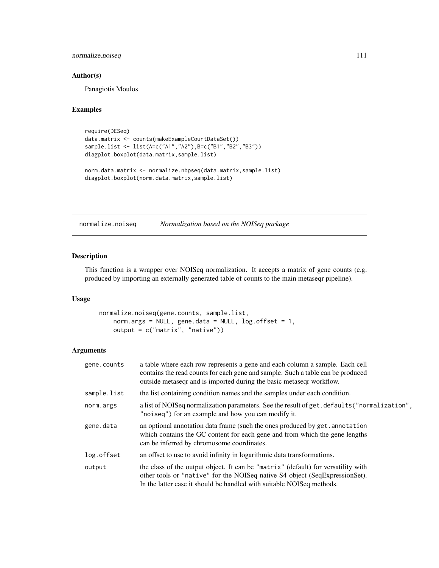# <span id="page-110-0"></span>normalize.noiseq 111

## Author(s)

Panagiotis Moulos

#### Examples

```
require(DESeq)
data.matrix <- counts(makeExampleCountDataSet())
sample.list <- list(A=c("A1","A2"),B=c("B1","B2","B3"))
diagplot.boxplot(data.matrix,sample.list)
norm.data.matrix <- normalize.nbpseq(data.matrix,sample.list)
diagplot.boxplot(norm.data.matrix,sample.list)
```
normalize.noiseq *Normalization based on the NOISeq package*

# Description

This function is a wrapper over NOISeq normalization. It accepts a matrix of gene counts (e.g. produced by importing an externally generated table of counts to the main metaseqr pipeline).

#### Usage

```
normalize.noiseq(gene.counts, sample.list,
   norm.args = NULL, gene.data = NULL, log.offset = 1,
   output = c("matrix", "native"))
```
# Arguments

| gene.counts | a table where each row represents a gene and each column a sample. Each cell<br>contains the read counts for each gene and sample. Such a table can be produced<br>outside metaseqr and is imported during the basic metaseqr workflow.    |
|-------------|--------------------------------------------------------------------------------------------------------------------------------------------------------------------------------------------------------------------------------------------|
| sample.list | the list containing condition names and the samples under each condition.                                                                                                                                                                  |
| norm.args   | a list of NOIS eq normalization parameters. See the result of get. defaults ("normalization",<br>"noiseq") for an example and how you can modify it.                                                                                       |
| gene.data   | an optional annotation data frame (such the ones produced by get. annotation<br>which contains the GC content for each gene and from which the gene lengths<br>can be inferred by chromosome coordinates.                                  |
| log.offset  | an offset to use to avoid infinity in logarithmic data transformations.                                                                                                                                                                    |
| output      | the class of the output object. It can be "matrix" (default) for versatility with<br>other tools or "native" for the NOISeq native S4 object (SeqExpressionSet).<br>In the latter case it should be handled with suitable NOIS eq methods. |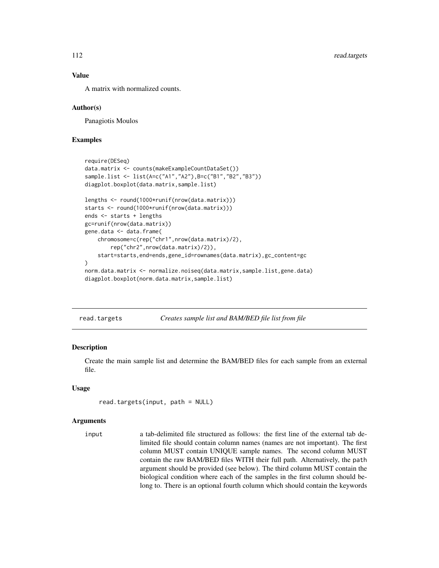## Value

A matrix with normalized counts.

#### Author(s)

Panagiotis Moulos

## Examples

```
require(DESeq)
data.matrix <- counts(makeExampleCountDataSet())
sample.list <- list(A=c("A1","A2"),B=c("B1","B2","B3"))
diagplot.boxplot(data.matrix,sample.list)
lengths <- round(1000*runif(nrow(data.matrix)))
starts <- round(1000*runif(nrow(data.matrix)))
ends <- starts + lengths
gc=runif(nrow(data.matrix))
gene.data <- data.frame(
    chromosome=c(rep("chr1",nrow(data.matrix)/2),
        rep("chr2",nrow(data.matrix)/2)),
    start=starts,end=ends,gene_id=rownames(data.matrix),gc_content=gc
)
norm.data.matrix <- normalize.noiseq(data.matrix,sample.list,gene.data)
diagplot.boxplot(norm.data.matrix,sample.list)
```
<span id="page-111-0"></span>read.targets *Creates sample list and BAM/BED file list from file*

#### Description

Create the main sample list and determine the BAM/BED files for each sample from an external file.

## Usage

```
read.targets(input, path = NULL)
```
#### Arguments

input a tab-delimited file structured as follows: the first line of the external tab delimited file should contain column names (names are not important). The first column MUST contain UNIQUE sample names. The second column MUST contain the raw BAM/BED files WITH their full path. Alternatively, the path argument should be provided (see below). The third column MUST contain the biological condition where each of the samples in the first column should belong to. There is an optional fourth column which should contain the keywords

<span id="page-111-1"></span>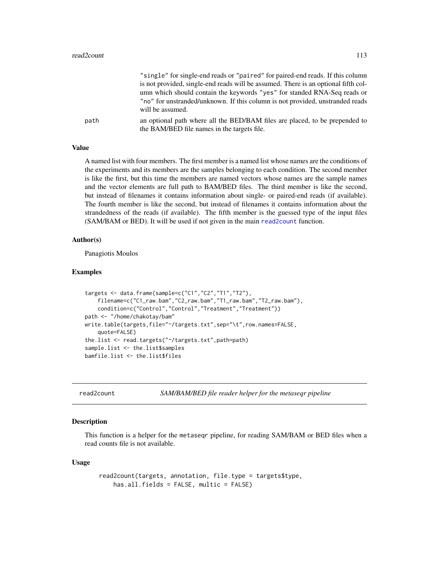#### <span id="page-112-1"></span>read2count 113

|      | "single" for single-end reads or "paired" for paired-end reads. If this column                                             |
|------|----------------------------------------------------------------------------------------------------------------------------|
|      | is not provided, single-end reads will be assumed. There is an optional fifth col-                                         |
|      | umn which should contain the keywords "yes" for standed RNA-Seq reads or                                                   |
|      | "no" for unstranded/unknown. If this column is not provided, unstranded reads<br>will be assumed.                          |
| path | an optional path where all the BED/BAM files are placed, to be prepended to<br>the BAM/BED file names in the targets file. |

#### Value

A named list with four members. The first member is a named list whose names are the conditions of the experiments and its members are the samples belonging to each condition. The second member is like the first, but this time the members are named vectors whose names are the sample names and the vector elements are full path to BAM/BED files. The third member is like the second, but instead of filenames it contains information about single- or paired-end reads (if available). The fourth member is like the second, but instead of filenames it contains information about the strandedness of the reads (if available). The fifth member is the guessed type of the input files (SAM/BAM or BED). It will be used if not given in the main [read2count](#page-112-0) function.

#### Author(s)

Panagiotis Moulos

#### Examples

```
targets <- data.frame(sample=c("C1","C2","T1","T2"),
    filename=c("C1_raw.bam","C2_raw.bam","T1_raw.bam","T2_raw.bam"),
    condition=c("Control","Control","Treatment","Treatment"))
path <- "/home/chakotay/bam"
write.table(targets,file="~/targets.txt",sep="\t",row.names=FALSE,
    quote=FALSE)
the.list <- read.targets("~/targets.txt",path=path)
sample.list <- the.list$samples
bamfile.list <- the.list$files
```
<span id="page-112-0"></span>read2count *SAM/BAM/BED file reader helper for the metaseqr pipeline*

#### Description

This function is a helper for the metaseqr pipeline, for reading SAM/BAM or BED files when a read counts file is not available.

#### Usage

```
read2count(targets, annotation, file.type = targets$type,
   has.all.fields = FALSE, multic = FALSE)
```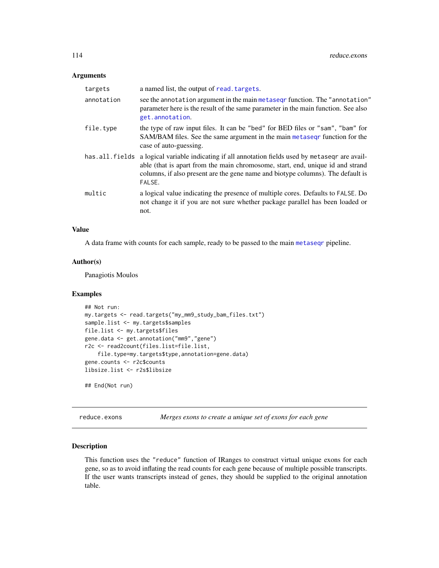#### <span id="page-113-0"></span>Arguments

| targets        | a named list, the output of read. targets.                                                                                                                                                                                                                       |
|----------------|------------------------------------------------------------------------------------------------------------------------------------------------------------------------------------------------------------------------------------------------------------------|
| annotation     | see the annotation argument in the main metaseq rfunction. The "annotation"<br>parameter here is the result of the same parameter in the main function. See also<br>get.annotation.                                                                              |
| file.type      | the type of raw input files. It can be "bed" for BED files or "sam", "bam" for<br>SAM/BAM files. See the same argument in the main metasegr function for the<br>case of auto-guessing.                                                                           |
| has.all.fields | a logical variable indicating if all annotation fields used by metased are avail-<br>able (that is apart from the main chromosome, start, end, unique id and strand<br>columns, if also present are the gene name and biotype columns). The default is<br>FALSE. |
| multic         | a logical value indicating the presence of multiple cores. Defaults to FALSE. Do<br>not change it if you are not sure whether package parallel has been loaded or<br>not.                                                                                        |

## Value

A data frame with counts for each sample, ready to be passed to the main [metaseqr](#page-89-0) pipeline.

## Author(s)

Panagiotis Moulos

## Examples

```
## Not run:
my.targets <- read.targets("my_mm9_study_bam_files.txt")
sample.list <- my.targets$samples
file.list <- my.targets$files
gene.data <- get.annotation("mm9","gene")
r2c <- read2count(files.list=file.list,
    file.type=my.targets$type,annotation=gene.data)
gene.counts <- r2c$counts
libsize.list <- r2s$libsize
```
## End(Not run)

reduce.exons *Merges exons to create a unique set of exons for each gene*

#### Description

This function uses the "reduce" function of IRanges to construct virtual unique exons for each gene, so as to avoid inflating the read counts for each gene because of multiple possible transcripts. If the user wants transcripts instead of genes, they should be supplied to the original annotation table.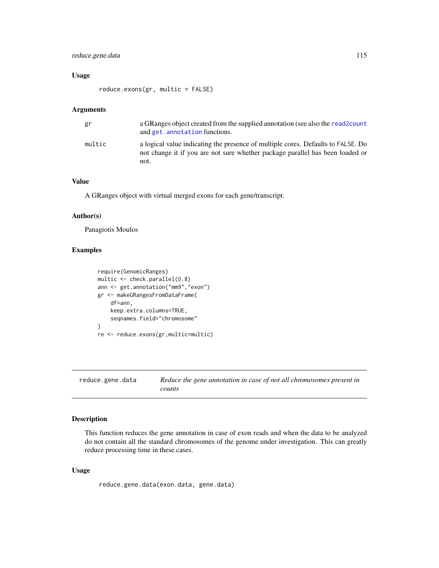# <span id="page-114-0"></span>reduce.gene.data 115

## Usage

reduce.exons(gr, multic = FALSE)

#### Arguments

| gr     | a GRanges object created from the supplied annotation (see also the read 2 count<br>and get. annotation functions.                                                        |
|--------|---------------------------------------------------------------------------------------------------------------------------------------------------------------------------|
| multic | a logical value indicating the presence of multiple cores. Defaults to FALSE. Do<br>not change it if you are not sure whether package parallel has been loaded or<br>not. |

# Value

A GRanges object with virtual merged exons for each gene/transcript.

#### Author(s)

Panagiotis Moulos

# Examples

```
require(GenomicRanges)
multic <- check.parallel(0.8)
ann <- get.annotation("mm9","exon")
gr <- makeGRangesFromDataFrame(
    df=ann,
    keep.extra.columns=TRUE,
    seqnames.field="chromosome"
\mathcal{L}re <- reduce.exons(gr,multic=multic)
```
reduce.gene.data *Reduce the gene annotation in case of not all chromosomes present in counts*

# Description

This function reduces the gene annotation in case of exon reads and when the data to be analyzed do not contain all the standard chromosomes of the genome under investigation. This can greatly reduce processing time in these cases.

## Usage

```
reduce.gene.data(exon.data, gene.data)
```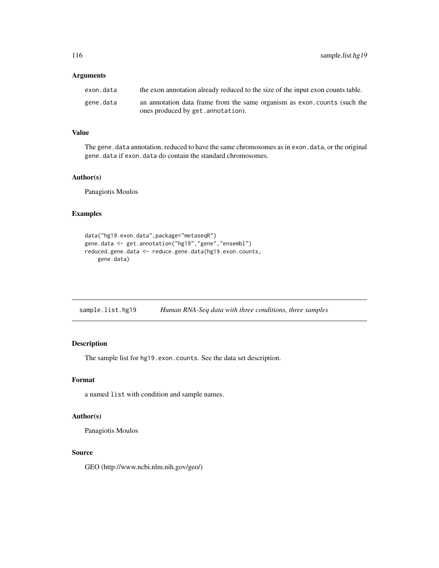<span id="page-115-0"></span>116 sample.list.hg19

## Arguments

| exon.data | the exon annotation already reduced to the size of the input exon counts table. |
|-----------|---------------------------------------------------------------------------------|
| gene.data | an annotation data frame from the same organism as exon.counts (such the        |
|           | ones produced by get. annotation).                                              |

#### Value

The gene.data annotation, reduced to have the same chromosomes as in exon.data, or the original gene.data if exon.data do contain the standard chromosomes.

## Author(s)

Panagiotis Moulos

## Examples

```
data("hg19.exon.data",package="metaseqR")
gene.data <- get.annotation("hg19","gene","ensembl")
reduced.gene.data <- reduce.gene.data(hg19.exon.counts,
   gene.data)
```

| sample.list.hg19 |  | Human RNA-Seq data with three conditions, three samples |  |
|------------------|--|---------------------------------------------------------|--|
|------------------|--|---------------------------------------------------------|--|

# Description

The sample list for hg19.exon.counts. See the data set description.

#### Format

a named list with condition and sample names.

#### Author(s)

Panagiotis Moulos

#### Source

GEO (http://www.ncbi.nlm.nih.gov/geo/)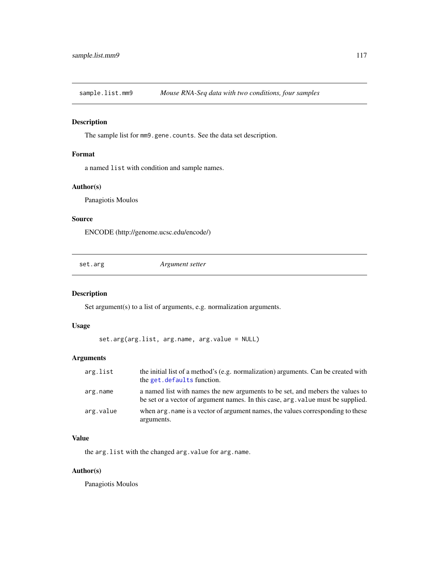<span id="page-116-0"></span>

# Description

The sample list for mm9.gene.counts. See the data set description.

# Format

a named list with condition and sample names.

## Author(s)

Panagiotis Moulos

## Source

ENCODE (http://genome.ucsc.edu/encode/)

set.arg *Argument setter*

#### Description

Set argument(s) to a list of arguments, e.g. normalization arguments.

#### Usage

```
set.arg(arg.list, arg.name, arg.value = NULL)
```
#### Arguments

| arg.list  | the initial list of a method's (e.g. normalization) arguments. Can be created with<br>the get. defaults function.                                                 |
|-----------|-------------------------------------------------------------------------------------------------------------------------------------------------------------------|
| arg.name  | a named list with names the new arguments to be set, and mebers the values to<br>be set or a vector of argument names. In this case, arg. value must be supplied. |
| arg.value | when arg, name is a vector of argument names, the values corresponding to these<br>arguments.                                                                     |

# Value

the arg.list with the changed arg.value for arg.name.

## Author(s)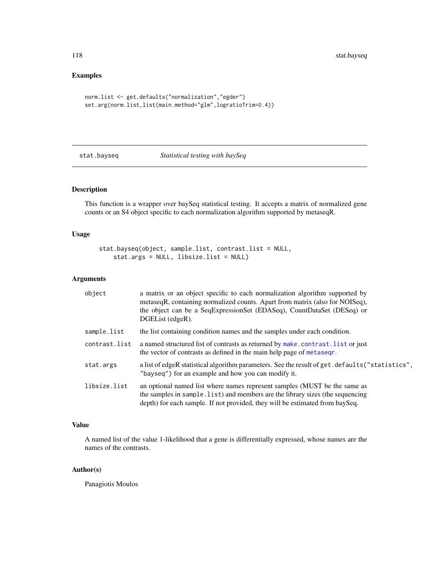# Examples

```
norm.list <- get.defaults("normalization","egder")
set.arg(norm.list,list(main.method="glm",logratioTrim=0.4))
```
stat.bayseq *Statistical testing with baySeq*

# Description

This function is a wrapper over baySeq statistical testing. It accepts a matrix of normalized gene counts or an S4 object specific to each normalization algorithm supported by metaseqR.

## Usage

stat.bayseq(object, sample.list, contrast.list = NULL, stat.args = NULL, libsize.list = NULL)

# Arguments

| object        | a matrix or an object specific to each normalization algorithm supported by<br>metaseqR, containing normalized counts. Apart from matrix (also for NOISeq),<br>the object can be a SeqExpressionSet (EDASeq), CountDataSet (DESeq) or<br>DGEList (edgeR). |
|---------------|-----------------------------------------------------------------------------------------------------------------------------------------------------------------------------------------------------------------------------------------------------------|
| sample.list   | the list containing condition names and the samples under each condition.                                                                                                                                                                                 |
| contrast.list | a named structured list of contrasts as returned by make.contrast. list or just<br>the vector of contrasts as defined in the main help page of metaseqr.                                                                                                  |
| stat.args     | a list of edgeR statistical algorithm parameters. See the result of get. defaults ("statistics",<br>"bayseq") for an example and how you can modify it.                                                                                                   |
| libsize.list  | an optional named list where names represent samples (MUST be the same as<br>the samples in sample. list) and members are the library sizes (the sequencing<br>depth) for each sample. If not provided, they will be estimated from baySeq.               |

## Value

A named list of the value 1-likelihood that a gene is differentially expressed, whose names are the names of the contrasts.

## Author(s)

<span id="page-117-0"></span>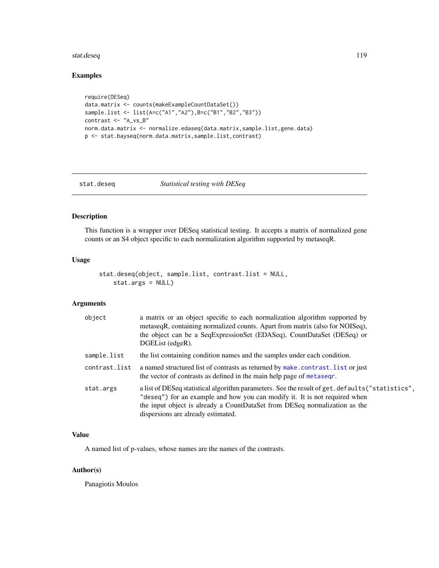#### <span id="page-118-0"></span>stat.deseq 119

# Examples

```
require(DESeq)
data.matrix <- counts(makeExampleCountDataSet())
sample.list <- list(A=c("A1","A2"),B=c("B1","B2","B3"))
contrast <- "A_vs_B"
norm.data.matrix <- normalize.edaseq(data.matrix,sample.list,gene.data)
p <- stat.bayseq(norm.data.matrix,sample.list,contrast)
```
#### stat.deseq *Statistical testing with DESeq*

# Description

This function is a wrapper over DESeq statistical testing. It accepts a matrix of normalized gene counts or an S4 object specific to each normalization algorithm supported by metaseqR.

# Usage

```
stat.deseq(object, sample.list, contrast.list = NULL,
   stat.args = NULL)
```
# Arguments

| object        | a matrix or an object specific to each normalization algorithm supported by<br>metaseqR, containing normalized counts. Apart from matrix (also for NOISeq),<br>the object can be a SeqExpressionSet (EDASeq), CountDataSet (DESeq) or<br>DGEList (edgeR).                                          |
|---------------|----------------------------------------------------------------------------------------------------------------------------------------------------------------------------------------------------------------------------------------------------------------------------------------------------|
| sample.list   | the list containing condition names and the samples under each condition.                                                                                                                                                                                                                          |
| contrast.list | a named structured list of contrasts as returned by make.contrast.list or just<br>the vector of contrasts as defined in the main help page of metasegr.                                                                                                                                            |
| stat.args     | a list of DESeq statistical algorithm parameters. See the result of get. defaults ("statistics",<br>"deseq") for an example and how you can modify it. It is not required when<br>the input object is already a CountDataSet from DESeq normalization as the<br>dispersions are already estimated. |

## Value

A named list of p-values, whose names are the names of the contrasts.

## Author(s)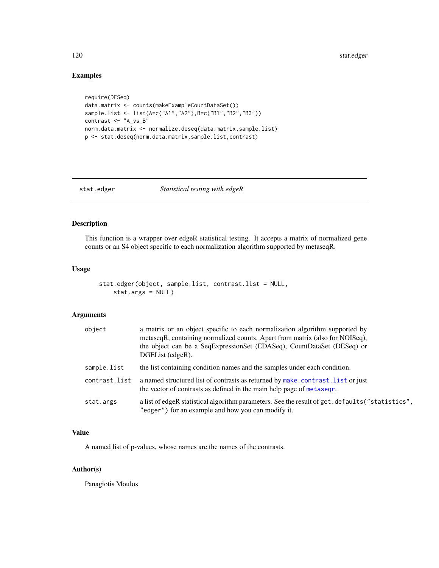# Examples

```
require(DESeq)
data.matrix <- counts(makeExampleCountDataSet())
sample.list <- list(A=c("A1","A2"),B=c("B1","B2","B3"))
contrast <- "A_vs_B"
norm.data.matrix <- normalize.deseq(data.matrix,sample.list)
p <- stat.deseq(norm.data.matrix,sample.list,contrast)
```
# stat.edger *Statistical testing with edgeR*

# Description

This function is a wrapper over edgeR statistical testing. It accepts a matrix of normalized gene counts or an S4 object specific to each normalization algorithm supported by metaseqR.

## Usage

```
stat.edger(object, sample.list, contrast.list = NULL,
   stat.args = NULL)
```
#### Arguments

| object        | a matrix or an object specific to each normalization algorithm supported by<br>metaseqR, containing normalized counts. Apart from matrix (also for NOISeq),<br>the object can be a SeqExpressionSet (EDASeq), CountDataSet (DESeq) or<br>DGEList (edgeR). |
|---------------|-----------------------------------------------------------------------------------------------------------------------------------------------------------------------------------------------------------------------------------------------------------|
| sample.list   | the list containing condition names and the samples under each condition.                                                                                                                                                                                 |
| contrast.list | a named structured list of contrasts as returned by make.contrast. list or just<br>the vector of contrasts as defined in the main help page of metasegr.                                                                                                  |
| stat.args     | a list of edgeR statistical algorithm parameters. See the result of get. defaults ("statistics",<br>"edger") for an example and how you can modify it.                                                                                                    |

# Value

A named list of p-values, whose names are the names of the contrasts.

## Author(s)

<span id="page-119-0"></span>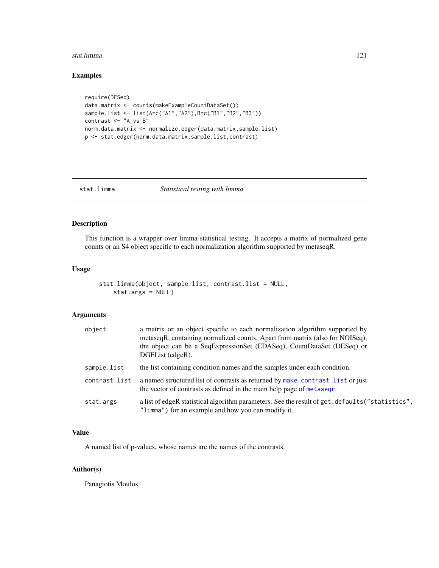#### <span id="page-120-0"></span>stat.limma 121

# Examples

```
require(DESeq)
data.matrix <- counts(makeExampleCountDataSet())
sample.list <- list(A=c("A1","A2"),B=c("B1","B2","B3"))
contrast <- "A_vs_B"
norm.data.matrix <- normalize.edger(data.matrix,sample.list)
p <- stat.edger(norm.data.matrix,sample.list,contrast)
```
# stat.limma *Statistical testing with limma*

# Description

This function is a wrapper over limma statistical testing. It accepts a matrix of normalized gene counts or an S4 object specific to each normalization algorithm supported by metaseqR.

## Usage

```
stat.limma(object, sample.list, contrast.list = NULL,
   stat.args = NULL)
```
#### Arguments

| object        | a matrix or an object specific to each normalization algorithm supported by<br>metaseqR, containing normalized counts. Apart from matrix (also for NOISeq),<br>the object can be a SeqExpressionSet (EDASeq), CountDataSet (DESeq) or<br>DGEList (edgeR). |
|---------------|-----------------------------------------------------------------------------------------------------------------------------------------------------------------------------------------------------------------------------------------------------------|
| sample.list   | the list containing condition names and the samples under each condition.                                                                                                                                                                                 |
| contrast.list | a named structured list of contrasts as returned by make.contrast. list or just<br>the vector of contrasts as defined in the main help page of metasegr.                                                                                                  |
| stat.args     | a list of edgeR statistical algorithm parameters. See the result of get.defaults ("statistics",<br>"limma") for an example and how you can modify it.                                                                                                     |

# Value

A named list of p-values, whose names are the names of the contrasts.

# Author(s)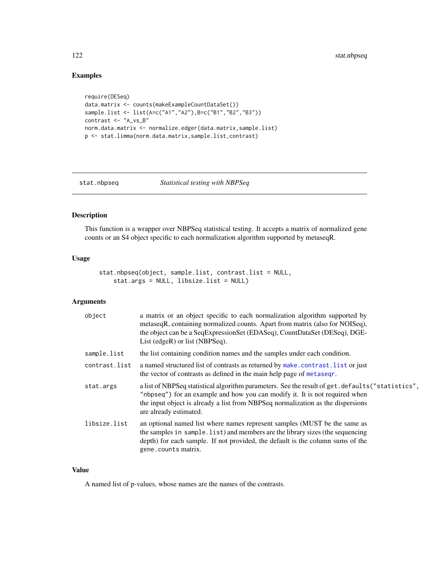# Examples

```
require(DESeq)
data.matrix <- counts(makeExampleCountDataSet())
sample.list <- list(A=c("A1","A2"),B=c("B1","B2","B3"))
contrast <- "A_vs_B"
norm.data.matrix <- normalize.edger(data.matrix,sample.list)
p <- stat.limma(norm.data.matrix,sample.list,contrast)
```
stat.nbpseq *Statistical testing with NBPSeq*

### Description

This function is a wrapper over NBPSeq statistical testing. It accepts a matrix of normalized gene counts or an S4 object specific to each normalization algorithm supported by metaseqR.

# Usage

stat.nbpseq(object, sample.list, contrast.list = NULL, stat.args = NULL, libsize.list = NULL)

# Arguments

| object        | a matrix or an object specific to each normalization algorithm supported by<br>metaseqR, containing normalized counts. Apart from matrix (also for NOISeq),<br>the object can be a SeqExpressionSet (EDASeq), CountDataSet (DESeq), DGE-<br>List (edgeR) or list (NBPSeq).                    |
|---------------|-----------------------------------------------------------------------------------------------------------------------------------------------------------------------------------------------------------------------------------------------------------------------------------------------|
| sample.list   | the list containing condition names and the samples under each condition.                                                                                                                                                                                                                     |
| contrast.list | a named structured list of contrasts as returned by make.contrast. list or just<br>the vector of contrasts as defined in the main help page of metasegr.                                                                                                                                      |
| stat.args     | a list of NBPSeq statistical algorithm parameters. See the result of get. defaults ("statistics",<br>"nbpseq") for an example and how you can modify it. It is not required when<br>the input object is already a list from NBPSeq normalization as the dispersions<br>are already estimated. |
| libsize.list  | an optional named list where names represent samples (MUST be the same as<br>the samples in sample. list) and members are the library sizes (the sequencing<br>depth) for each sample. If not provided, the default is the column sums of the<br>gene.counts matrix.                          |

## Value

A named list of p-values, whose names are the names of the contrasts.

<span id="page-121-0"></span>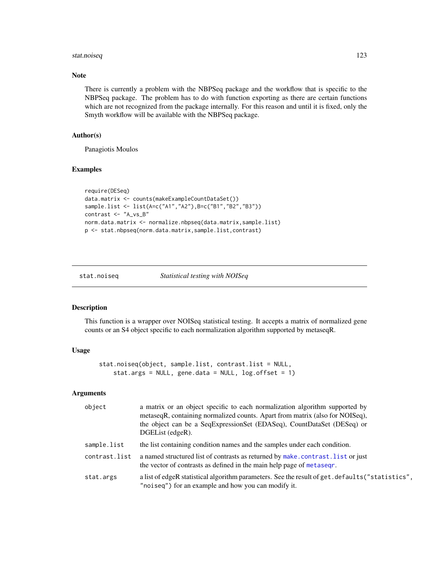#### <span id="page-122-0"></span>stat.noiseq 123

## Note

There is currently a problem with the NBPSeq package and the workflow that is specific to the NBPSeq package. The problem has to do with function exporting as there are certain functions which are not recognized from the package internally. For this reason and until it is fixed, only the Smyth workflow will be available with the NBPSeq package.

## Author(s)

Panagiotis Moulos

# Examples

```
require(DESeq)
data.matrix <- counts(makeExampleCountDataSet())
sample.list <- list(A=c("A1","A2"),B=c("B1","B2","B3"))
contrast <- "A_vs_B"
norm.data.matrix <- normalize.nbpseq(data.matrix,sample.list)
p <- stat.nbpseq(norm.data.matrix,sample.list,contrast)
```
#### stat.noiseq *Statistical testing with NOISeq*

# Description

This function is a wrapper over NOISeq statistical testing. It accepts a matrix of normalized gene counts or an S4 object specific to each normalization algorithm supported by metaseqR.

# Usage

```
stat.noiseq(object, sample.list, contrast.list = NULL,
   stat.args = NULL, gene.data = NULL, log.offset = 1)
```
#### Arguments

| object        | a matrix or an object specific to each normalization algorithm supported by<br>metaseqR, containing normalized counts. Apart from matrix (also for NOISeq),<br>the object can be a SeqExpressionSet (EDASeq), CountDataSet (DESeq) or<br>DGEList (edgeR). |
|---------------|-----------------------------------------------------------------------------------------------------------------------------------------------------------------------------------------------------------------------------------------------------------|
| sample.list   | the list containing condition names and the samples under each condition.                                                                                                                                                                                 |
| contrast.list | a named structured list of contrasts as returned by make.contrast.list or just<br>the vector of contrasts as defined in the main help page of metaseqr.                                                                                                   |
| stat.args     | a list of edgeR statistical algorithm parameters. See the result of get. defaults ("statistics",<br>"noiseq") for an example and how you can modify it.                                                                                                   |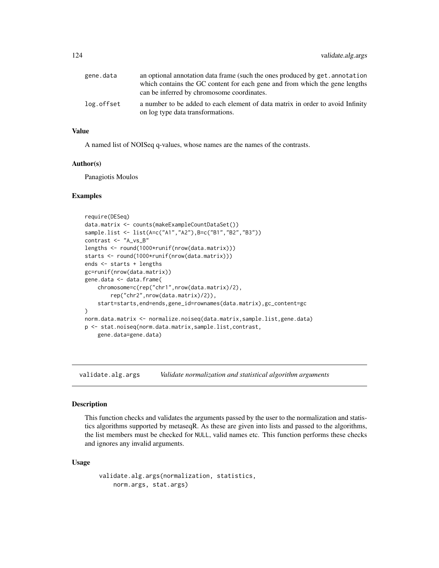<span id="page-123-0"></span>

| gene.data  | an optional annotation data frame (such the ones produced by get. annotation   |
|------------|--------------------------------------------------------------------------------|
|            | which contains the GC content for each gene and from which the gene lengths    |
|            | can be inferred by chromosome coordinates.                                     |
| log.offset | a number to be added to each element of data matrix in order to avoid Infinity |
|            | on log type data transformations.                                              |

# Value

A named list of NOISeq q-values, whose names are the names of the contrasts.

#### Author(s)

Panagiotis Moulos

#### Examples

```
require(DESeq)
data.matrix <- counts(makeExampleCountDataSet())
sample.list <- list(A=c("A1","A2"),B=c("B1","B2","B3"))
contrast <- "A_vs_B"
lengths <- round(1000*runif(nrow(data.matrix)))
starts <- round(1000*runif(nrow(data.matrix)))
ends <- starts + lengths
gc=runif(nrow(data.matrix))
gene.data <- data.frame(
    chromosome=c(rep("chr1",nrow(data.matrix)/2),
        rep("chr2",nrow(data.matrix)/2)),
    start=starts,end=ends,gene_id=rownames(data.matrix),gc_content=gc
\mathcal{L}norm.data.matrix <- normalize.noiseq(data.matrix,sample.list,gene.data)
p <- stat.noiseq(norm.data.matrix,sample.list,contrast,
    gene.data=gene.data)
```
validate.alg.args *Validate normalization and statistical algorithm arguments*

#### Description

This function checks and validates the arguments passed by the user to the normalization and statistics algorithms supported by metaseqR. As these are given into lists and passed to the algorithms, the list members must be checked for NULL, valid names etc. This function performs these checks and ignores any invalid arguments.

#### Usage

```
validate.alg.args(normalization, statistics,
   norm.args, stat.args)
```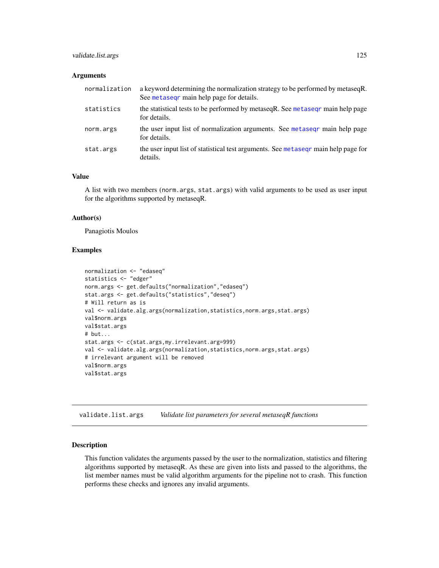# <span id="page-124-0"></span>validate.list.args 125

#### **Arguments**

| normalization | a keyword determining the normalization strategy to be performed by metaseqR.<br>See metasegr main help page for details. |
|---------------|---------------------------------------------------------------------------------------------------------------------------|
| statistics    | the statistical tests to be performed by metaseq R. See metaseq r main help page<br>for details.                          |
| norm.args     | the user input list of normalization arguments. See metasegr main help page<br>for details.                               |
| stat.args     | the user input list of statistical test arguments. See metased main help page for<br>details.                             |

## Value

A list with two members (norm.args, stat.args) with valid arguments to be used as user input for the algorithms supported by metaseqR.

#### Author(s)

Panagiotis Moulos

## Examples

```
normalization <- "edaseq"
statistics <- "edger"
norm.args <- get.defaults("normalization","edaseq")
stat.args <- get.defaults("statistics","deseq")
# Will return as is
val <- validate.alg.args(normalization,statistics,norm.args,stat.args)
val$norm.args
val$stat.args
# but...
stat.args <- c(stat.args,my.irrelevant.arg=999)
val <- validate.alg.args(normalization,statistics,norm.args,stat.args)
# irrelevant argument will be removed
val$norm.args
val$stat.args
```
validate.list.args *Validate list parameters for several metaseqR functions*

#### **Description**

This function validates the arguments passed by the user to the normalization, statistics and filtering algorithms supported by metaseqR. As these are given into lists and passed to the algorithms, the list member names must be valid algorithm arguments for the pipeline not to crash. This function performs these checks and ignores any invalid arguments.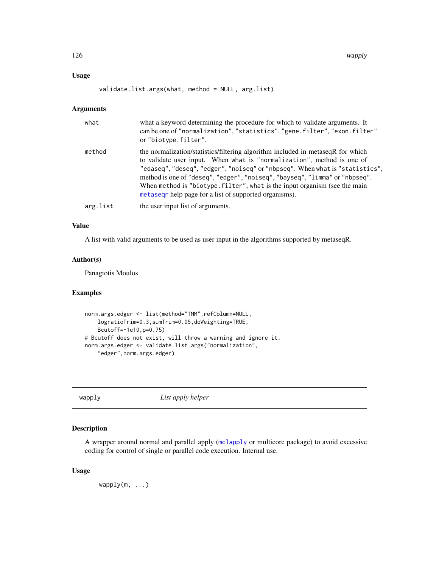## <span id="page-125-0"></span>Usage

```
validate.list.args(what, method = NULL, arg.list)
```
## Arguments

| what     | what a keyword determining the procedure for which to validate arguments. It<br>can be one of "normalization", "statistics", "gene.filter", "exon.filter"<br>or "biotype.filter".                                                                                                                                                                                                                                                                                         |
|----------|---------------------------------------------------------------------------------------------------------------------------------------------------------------------------------------------------------------------------------------------------------------------------------------------------------------------------------------------------------------------------------------------------------------------------------------------------------------------------|
| method   | the normalization/statistics/filtering algorithm included in metaseqR for which<br>to validate user input. When what is "normalization", method is one of<br>"edaseq", "deseq", "edger", "noiseq" or "nbpseq". When what is "statistics",<br>method is one of "deseq", "edger", "noiseq", "bayseq", "limma" or "nbpseq".<br>When method is "biotype. filter", what is the input organism (see the main<br>metased belonging help page for a list of supported organisms). |
| arg.list | the user input list of arguments.                                                                                                                                                                                                                                                                                                                                                                                                                                         |

## Value

A list with valid arguments to be used as user input in the algorithms supported by metaseqR.

## Author(s)

Panagiotis Moulos

## Examples

```
norm.args.edger <- list(method="TMM",refColumn=NULL,
    logratioTrim=0.3,sumTrim=0.05,doWeighting=TRUE,
    Bcutoff=-1e10,p=0.75)
# Bcutoff does not exist, will throw a warning and ignore it.
norm.args.edger <- validate.list.args("normalization",
    "edger",norm.args.edger)
```
wapply *List apply helper*

## Description

A wrapper around normal and parallel apply ([mclapply](#page-0-0) or multicore package) to avoid excessive coding for control of single or parallel code execution. Internal use.

# Usage

 $wapply(m, \ldots)$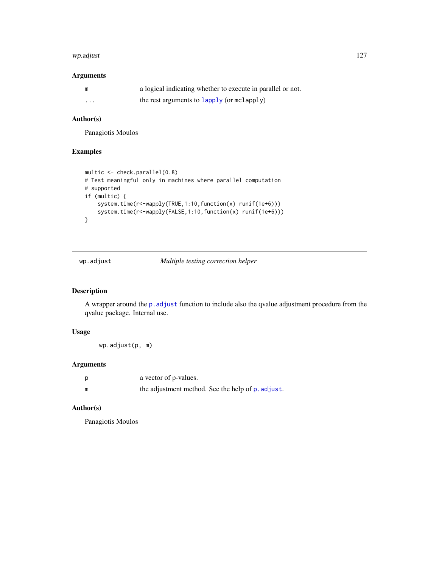#### <span id="page-126-0"></span>wp.adjust 127

# Arguments

|          | a logical indicating whether to execute in parallel or not. |
|----------|-------------------------------------------------------------|
| $\cdots$ | the rest arguments to lapply (or mclapply)                  |

## Author(s)

Panagiotis Moulos

## Examples

```
multic <- check.parallel(0.8)
# Test meaningful only in machines where parallel computation
# supported
if (multic) {
    system.time(r<-wapply(TRUE,1:10,function(x) runif(1e+6)))
    system.time(r<-wapply(FALSE,1:10,function(x) runif(1e+6)))
}
```
wp.adjust *Multiple testing correction helper*

# Description

A wrapper around the [p.adjust](#page-0-0) function to include also the qvalue adjustment procedure from the qvalue package. Internal use.

# Usage

wp.adjust(p, m)

## Arguments

| p | a vector of p-values.                             |
|---|---------------------------------------------------|
| m | the adjustment method. See the help of p. adjust. |

## Author(s)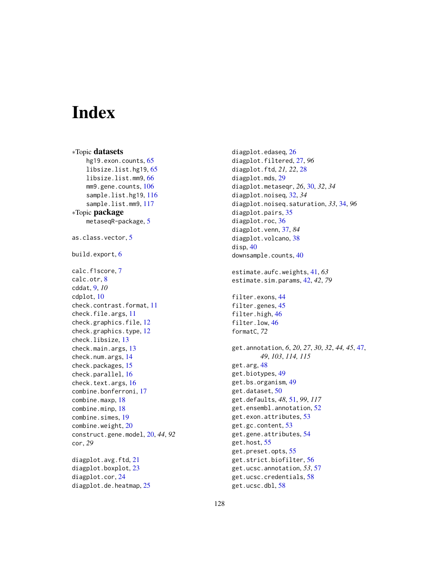# **Index**

∗Topic datasets hg19.exon.counts, [65](#page-64-0) libsize.list.hg19, [65](#page-64-0) libsize.list.mm9, [66](#page-65-0) mm9.gene.counts, [106](#page-105-0) sample.list.hg19, [116](#page-115-0) sample.list.mm9, [117](#page-116-0) ∗Topic package metaseqR-package, [5](#page-4-0) as.class.vector, [5](#page-4-0) build.export, [6](#page-5-0) calc.f1score, [7](#page-6-0) calc.otr, [8](#page-7-0) cddat, [9,](#page-8-0) *10* cdplot, [10](#page-9-0) check.contrast.format, [11](#page-10-0) check.file.args, [11](#page-10-0) check.graphics.file, [12](#page-11-0) check.graphics.type, [12](#page-11-0) check.libsize, [13](#page-12-0) check.main.args, [13](#page-12-0) check.num.args, [14](#page-13-0) check.packages, [15](#page-14-0) check.parallel, [16](#page-15-0) check.text.args, [16](#page-15-0) combine.bonferroni, [17](#page-16-0) combine.maxp, [18](#page-17-0) combine.minp, [18](#page-17-0) combine.simes, [19](#page-18-0) combine.weight, [20](#page-19-0) construct.gene.model, [20,](#page-19-0) *44*, *92* cor, *29* diagplot.avg.ftd, [21](#page-20-0) diagplot.boxplot, [23](#page-22-0) diagplot.cor, [24](#page-23-0) diagplot.de.heatmap, [25](#page-24-0)

diagplot.edaseq, [26](#page-25-0) diagplot.filtered, [27,](#page-26-0) *96* diagplot.ftd, *21, 22*, [28](#page-27-0) diagplot.mds, [29](#page-28-0) diagplot.metaseqr, *26*, [30,](#page-29-0) *32*, *34* diagplot.noiseq, [32,](#page-31-0) *34* diagplot.noiseq.saturation, *33*, [34,](#page-33-0) *96* diagplot.pairs, [35](#page-34-0) diagplot.roc, [36](#page-35-0) diagplot.venn, [37,](#page-36-0) *84* diagplot.volcano, [38](#page-37-0) disp, [40](#page-39-0) downsample.counts, [40](#page-39-0) estimate.aufc.weights, [41,](#page-40-0) *63* estimate.sim.params, [42,](#page-41-0) *42*, *79* filter.exons, [44](#page-43-0) filter.genes, [45](#page-44-0) filter.high, [46](#page-45-0) filter.low, [46](#page-45-0) formatC, *72* get.annotation, *6*, *20*, *27*, *30*, *32*, *44, 45*, [47,](#page-46-1) *49*, *103*, *114, 115* get.arg, [48](#page-47-0) get.biotypes, [49](#page-48-0) get.bs.organism, [49](#page-48-0) get.dataset, [50](#page-49-0) get.defaults, *48*, [51,](#page-50-1) *99*, *117* get.ensembl.annotation, [52](#page-51-0) get.exon.attributes, [53](#page-52-0) get.gc.content, [53](#page-52-0) get.gene.attributes, [54](#page-53-0) get.host, [55](#page-54-0) get.preset.opts, [55](#page-54-0) get.strict.biofilter, [56](#page-55-0) get.ucsc.annotation, *53*, [57](#page-56-0) get.ucsc.credentials, [58](#page-57-0) get.ucsc.dbl, [58](#page-57-0)